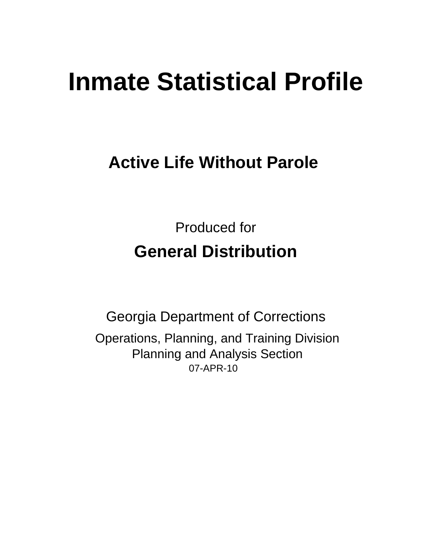# **Inmate Statistical Profile**

## **Active Life Without Parole**

**Produced for General Distribution** 

**Georgia Department of Corrections** Operations, Planning, and Training Division **Planning and Analysis Section** 07-APR-10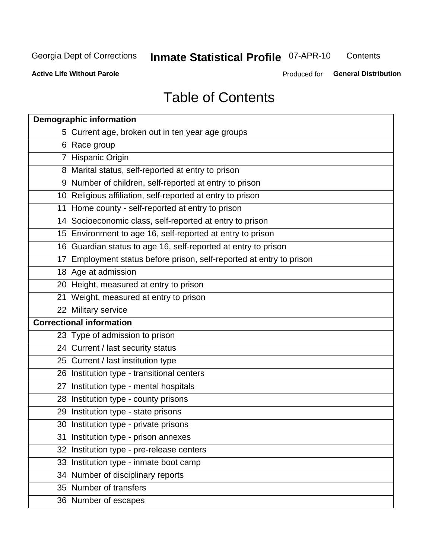## **Inmate Statistical Profile O7-APR-10**

Contents

**Active Life Without Parole** 

Produced for General Distribution

## **Table of Contents**

| <b>Demographic information</b> |                                                                      |  |  |  |  |  |
|--------------------------------|----------------------------------------------------------------------|--|--|--|--|--|
|                                | 5 Current age, broken out in ten year age groups                     |  |  |  |  |  |
|                                | 6 Race group                                                         |  |  |  |  |  |
|                                | 7 Hispanic Origin                                                    |  |  |  |  |  |
|                                | 8 Marital status, self-reported at entry to prison                   |  |  |  |  |  |
|                                | 9 Number of children, self-reported at entry to prison               |  |  |  |  |  |
|                                | 10 Religious affiliation, self-reported at entry to prison           |  |  |  |  |  |
|                                | 11 Home county - self-reported at entry to prison                    |  |  |  |  |  |
|                                | 14 Socioeconomic class, self-reported at entry to prison             |  |  |  |  |  |
|                                | 15 Environment to age 16, self-reported at entry to prison           |  |  |  |  |  |
|                                | 16 Guardian status to age 16, self-reported at entry to prison       |  |  |  |  |  |
|                                | 17 Employment status before prison, self-reported at entry to prison |  |  |  |  |  |
|                                | 18 Age at admission                                                  |  |  |  |  |  |
|                                | 20 Height, measured at entry to prison                               |  |  |  |  |  |
|                                | 21 Weight, measured at entry to prison                               |  |  |  |  |  |
|                                | 22 Military service                                                  |  |  |  |  |  |
|                                | <b>Correctional information</b>                                      |  |  |  |  |  |
|                                | 23 Type of admission to prison                                       |  |  |  |  |  |
|                                | 24 Current / last security status                                    |  |  |  |  |  |
|                                | 25 Current / last institution type                                   |  |  |  |  |  |
|                                | 26 Institution type - transitional centers                           |  |  |  |  |  |
|                                | 27 Institution type - mental hospitals                               |  |  |  |  |  |
|                                | 28 Institution type - county prisons                                 |  |  |  |  |  |
|                                | 29 Institution type - state prisons                                  |  |  |  |  |  |
|                                | 30 Institution type - private prisons                                |  |  |  |  |  |
|                                | 31 Institution type - prison annexes                                 |  |  |  |  |  |
|                                | 32 Institution type - pre-release centers                            |  |  |  |  |  |
|                                | 33 Institution type - inmate boot camp                               |  |  |  |  |  |
|                                | 34 Number of disciplinary reports                                    |  |  |  |  |  |
|                                | 35 Number of transfers                                               |  |  |  |  |  |
|                                | 36 Number of escapes                                                 |  |  |  |  |  |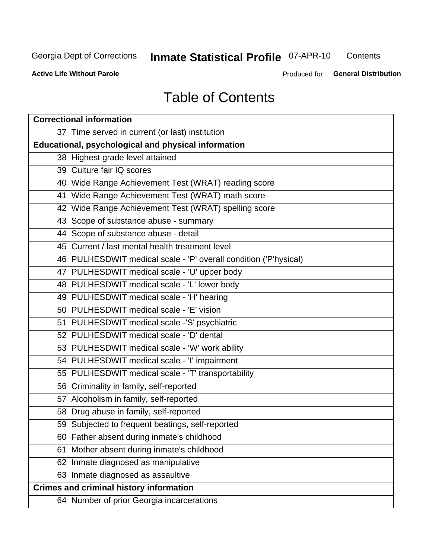## **Inmate Statistical Profile 07-APR-10**

Contents

**Active Life Without Parole** 

Produced for General Distribution

## **Table of Contents**

| <b>Correctional information</b>                                  |  |  |  |  |  |  |  |
|------------------------------------------------------------------|--|--|--|--|--|--|--|
| 37 Time served in current (or last) institution                  |  |  |  |  |  |  |  |
| Educational, psychological and physical information              |  |  |  |  |  |  |  |
| 38 Highest grade level attained                                  |  |  |  |  |  |  |  |
| 39 Culture fair IQ scores                                        |  |  |  |  |  |  |  |
| 40 Wide Range Achievement Test (WRAT) reading score              |  |  |  |  |  |  |  |
| 41 Wide Range Achievement Test (WRAT) math score                 |  |  |  |  |  |  |  |
| 42 Wide Range Achievement Test (WRAT) spelling score             |  |  |  |  |  |  |  |
| 43 Scope of substance abuse - summary                            |  |  |  |  |  |  |  |
| 44 Scope of substance abuse - detail                             |  |  |  |  |  |  |  |
| 45 Current / last mental health treatment level                  |  |  |  |  |  |  |  |
| 46 PULHESDWIT medical scale - 'P' overall condition ('P'hysical) |  |  |  |  |  |  |  |
| 47 PULHESDWIT medical scale - 'U' upper body                     |  |  |  |  |  |  |  |
| 48 PULHESDWIT medical scale - 'L' lower body                     |  |  |  |  |  |  |  |
| 49 PULHESDWIT medical scale - 'H' hearing                        |  |  |  |  |  |  |  |
| 50 PULHESDWIT medical scale - 'E' vision                         |  |  |  |  |  |  |  |
| 51 PULHESDWIT medical scale -'S' psychiatric                     |  |  |  |  |  |  |  |
| 52 PULHESDWIT medical scale - 'D' dental                         |  |  |  |  |  |  |  |
| 53 PULHESDWIT medical scale - 'W' work ability                   |  |  |  |  |  |  |  |
| 54 PULHESDWIT medical scale - 'I' impairment                     |  |  |  |  |  |  |  |
| 55 PULHESDWIT medical scale - 'T' transportability               |  |  |  |  |  |  |  |
| 56 Criminality in family, self-reported                          |  |  |  |  |  |  |  |
| 57 Alcoholism in family, self-reported                           |  |  |  |  |  |  |  |
| 58 Drug abuse in family, self-reported                           |  |  |  |  |  |  |  |
| 59 Subjected to frequent beatings, self-reported                 |  |  |  |  |  |  |  |
| 60 Father absent during inmate's childhood                       |  |  |  |  |  |  |  |
| Mother absent during inmate's childhood<br>61                    |  |  |  |  |  |  |  |
| 62 Inmate diagnosed as manipulative                              |  |  |  |  |  |  |  |
| 63 Inmate diagnosed as assaultive                                |  |  |  |  |  |  |  |
| <b>Crimes and criminal history information</b>                   |  |  |  |  |  |  |  |
| 64 Number of prior Georgia incarcerations                        |  |  |  |  |  |  |  |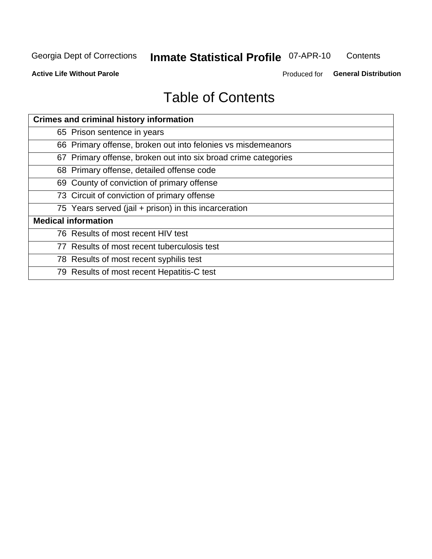## **Inmate Statistical Profile O7-APR-10**

Contents

**Active Life Without Parole** 

Produced for General Distribution

## **Table of Contents**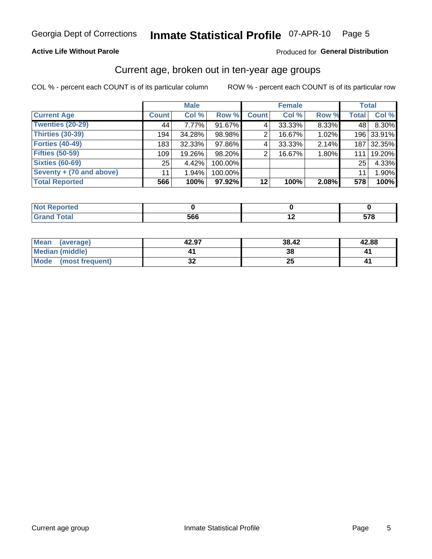#### Inmate Statistical Profile 07-APR-10 Page 5

#### **Active Life Without Parole**

#### Produced for General Distribution

#### Current age, broken out in ten-year age groups

COL % - percent each COUNT is of its particular column

|                          |              | <b>Male</b> |         |              | <b>Female</b> |       |              | <b>Total</b> |
|--------------------------|--------------|-------------|---------|--------------|---------------|-------|--------------|--------------|
| <b>Current Age</b>       | <b>Count</b> | Col %       | Row %   | <b>Count</b> | Col %         | Row % | <b>Total</b> | Col %        |
| Twenties (20-29)         | 44           | $7.77\%$    | 91.67%  | 4            | 33.33%        | 8.33% | 48 l         | 8.30%        |
| Thirties (30-39)         | 194          | 34.28%      | 98.98%  | 2            | 16.67%        | 1.02% |              | 196 33.91%   |
| <b>Forties (40-49)</b>   | 183          | 32.33%      | 97.86%  | 4            | 33.33%        | 2.14% | 187          | 32.35%       |
| <b>Fifties (50-59)</b>   | 109          | 19.26%      | 98.20%  | 2            | 16.67%        | 1.80% | 111          | 19.20%       |
| <b>Sixties (60-69)</b>   | 25           | 4.42%       | 100.00% |              |               |       | 25           | 4.33%        |
| Seventy + (70 and above) | 11           | $1.94\%$    | 100.00% |              |               |       | 11           | 1.90%        |
| <b>Total Reported</b>    | 566          | 100%        | 97.92%  | 12           | 100%          | 2.08% | 578          | 100%         |

| eported     |     |         |
|-------------|-----|---------|
| .<br>______ | 566 | $- - -$ |

| Mean<br>(average)       | 42.97    | 38.42    | 42.88 |
|-------------------------|----------|----------|-------|
| <b>Median (middle)</b>  |          | 38       |       |
| Mode<br>(most frequent) | n.<br>◡▴ | ОF<br>∠J |       |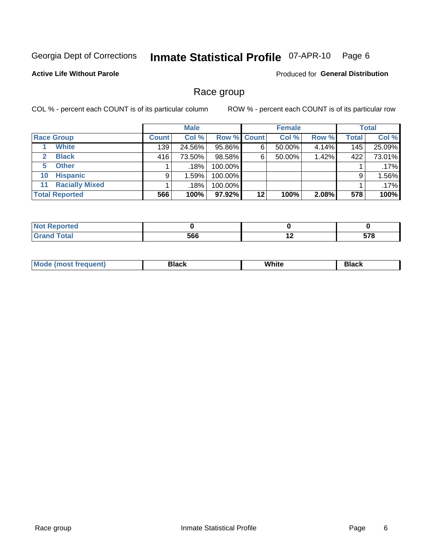#### Inmate Statistical Profile 07-APR-10 Page 6

#### **Active Life Without Parole**

Produced for General Distribution

#### Race group

COL % - percent each COUNT is of its particular column

|              |                       | <b>Male</b>  |         |                    | <b>Female</b> |        |       | <b>Total</b> |        |
|--------------|-----------------------|--------------|---------|--------------------|---------------|--------|-------|--------------|--------|
|              | <b>Race Group</b>     | <b>Count</b> | Col %   | <b>Row % Count</b> |               | Col %  | Row % | <b>Total</b> | Col %  |
|              | <b>White</b>          | 139          | 24.56%  | 95.86%             | 6             | 50.00% | 4.14% | 145          | 25.09% |
| $\mathbf{2}$ | <b>Black</b>          | 416          | 73.50%  | 98.58%             | 6             | 50.00% | 1.42% | 422          | 73.01% |
| 5.           | <b>Other</b>          |              | .18%    | 100.00%            |               |        |       |              | .17%   |
| 10           | <b>Hispanic</b>       | 9            | 1.59%   | 100.00%            |               |        |       | 9            | 1.56%  |
| 11           | <b>Racially Mixed</b> |              | $.18\%$ | 100.00%            |               |        |       |              | .17%   |
|              | <b>Total Reported</b> | 566          | 100%    | $97.92\%$          | 12            | 100%   | 2.08% | 578          | 100%   |

| <b>Enorted</b> |     |     |                     |
|----------------|-----|-----|---------------------|
| <b>Total</b>   | 566 | . . | <b>E70</b><br>v r u |

| M | .<br>w<br>$\sim$ $\sim$ $\sim$ $\sim$ | Piasn |
|---|---------------------------------------|-------|
|   |                                       |       |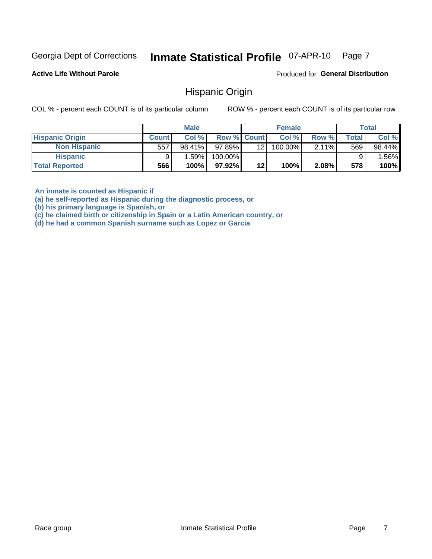#### Inmate Statistical Profile 07-APR-10 Page 7

**Active Life Without Parole** 

Produced for General Distribution

#### **Hispanic Origin**

COL % - percent each COUNT is of its particular column

ROW % - percent each COUNT is of its particular row

|                        |              | <b>Male</b> |                    |     | <b>Female</b> |          |       | <b>Total</b> |
|------------------------|--------------|-------------|--------------------|-----|---------------|----------|-------|--------------|
| <b>Hispanic Origin</b> | <b>Count</b> | Col %       | <b>Row % Count</b> |     | Col %         | Row %    | Total | Col %        |
| <b>Non Hispanic</b>    | 557          | 98.41%      | 97.89%             | 121 | 100.00%       | $2.11\%$ | 569   | 98.44%       |
| <b>Hispanic</b>        |              | ا %1.59     | 100.00%            |     |               |          |       | $.56\%$      |
| <b>Total Reported</b>  | 566          | 100%        | 97.92%             | 12  | 100%          | 2.08%    | 578   | 100%         |

An inmate is counted as Hispanic if

(a) he self-reported as Hispanic during the diagnostic process, or

(b) his primary language is Spanish, or

(c) he claimed birth or citizenship in Spain or a Latin American country, or

(d) he had a common Spanish surname such as Lopez or Garcia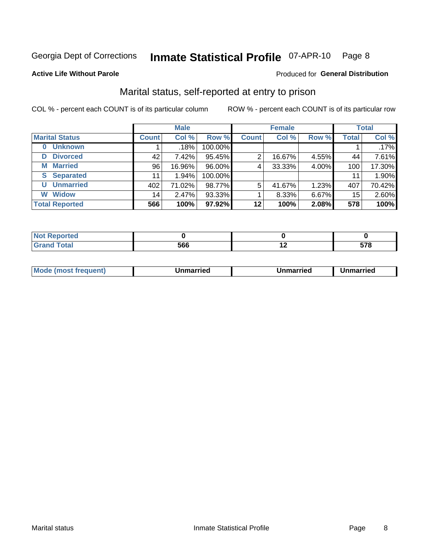#### Inmate Statistical Profile 07-APR-10 Page 8

#### **Active Life Without Parole**

#### Produced for General Distribution

### Marital status, self-reported at entry to prison

COL % - percent each COUNT is of its particular column

|                            | <b>Male</b>  |        |         | <b>Female</b> |        |       | <b>Total</b> |        |
|----------------------------|--------------|--------|---------|---------------|--------|-------|--------------|--------|
| <b>Marital Status</b>      | <b>Count</b> | Col %  | Row %   | <b>Count</b>  | Col %  | Row % | <b>Total</b> | Col %  |
| <b>Unknown</b><br>$\bf{0}$ |              | .18%   | 100.00% |               |        |       |              | .17%   |
| <b>Divorced</b><br>D       | 42           | 7.42%  | 95.45%  | 2             | 16.67% | 4.55% | 44           | 7.61%  |
| <b>Married</b><br>М        | 96           | 16.96% | 96.00%  | 4             | 33.33% | 4.00% | 100          | 17.30% |
| <b>Separated</b><br>S.     | 11           | 1.94%  | 100.00% |               |        |       | 11           | 1.90%  |
| <b>Unmarried</b><br>U      | 402          | 71.02% | 98.77%  | 5             | 41.67% | 1.23% | 407          | 70.42% |
| <b>Widow</b><br>W          | 14           | 2.47%  | 93.33%  |               | 8.33%  | 6.67% | 15           | 2.60%  |
| <b>Total Reported</b>      | 566          | 100%   | 97.92%  | 12            | 100%   | 2.08% | 578          | 100%   |

| $\mathbf{L}$ and $\mathbf{L}$<br><b>prted</b><br>NOT<br>. <b>.</b> <u>.</u> |           |             |
|-----------------------------------------------------------------------------|-----------|-------------|
|                                                                             | LCC<br>טר | E70<br>JI U |

|  | M | . | Unmarried | າmarried<br>_____ |
|--|---|---|-----------|-------------------|
|--|---|---|-----------|-------------------|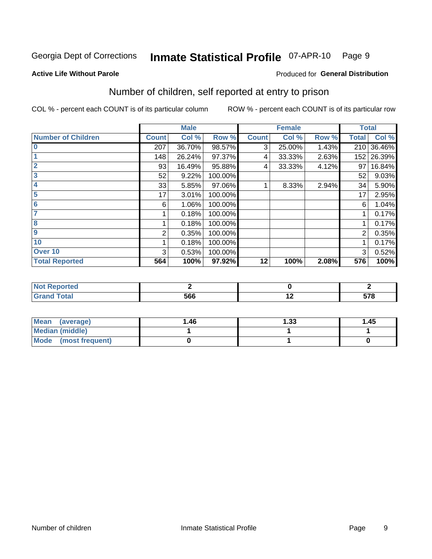#### Inmate Statistical Profile 07-APR-10 Page 9

#### **Active Life Without Parole**

#### Produced for General Distribution

### Number of children, self reported at entry to prison

COL % - percent each COUNT is of its particular column

|                           |              | <b>Male</b> |         |              | <b>Female</b> |       | <b>Total</b> |        |
|---------------------------|--------------|-------------|---------|--------------|---------------|-------|--------------|--------|
| <b>Number of Children</b> | <b>Count</b> | Col %       | Row %   | <b>Count</b> | Col %         | Row % | <b>Total</b> | Col %  |
| $\bf{0}$                  | 207          | 36.70%      | 98.57%  | 3            | 25.00%        | 1.43% | 210          | 36.46% |
|                           | 148          | 26.24%      | 97.37%  | 4            | 33.33%        | 2.63% | 152          | 26.39% |
| $\overline{2}$            | 93           | 16.49%      | 95.88%  | 4            | 33.33%        | 4.12% | 97           | 16.84% |
| 3                         | 52           | 9.22%       | 100.00% |              |               |       | 52           | 9.03%  |
| 4                         | 33           | 5.85%       | 97.06%  |              | 8.33%         | 2.94% | 34           | 5.90%  |
| 5                         | 17           | 3.01%       | 100.00% |              |               |       | 17           | 2.95%  |
| 6                         | 6            | 1.06%       | 100.00% |              |               |       | 6            | 1.04%  |
| 7                         |              | 0.18%       | 100.00% |              |               |       |              | 0.17%  |
| 8                         |              | 0.18%       | 100.00% |              |               |       |              | 0.17%  |
| $\boldsymbol{9}$          | 2            | 0.35%       | 100.00% |              |               |       | 2            | 0.35%  |
| 10                        |              | 0.18%       | 100.00% |              |               |       |              | 0.17%  |
| Over 10                   | 3            | 0.53%       | 100.00% |              |               |       | 3            | 0.52%  |
| <b>Total Reported</b>     | 564          | 100%        | 97.92%  | 12           | 100%          | 2.08% | 576          | 100%   |

| neo    |     |     |
|--------|-----|-----|
| $\sim$ | 566 | 570 |

| Mean<br>(average)       | 1.46 | 1.33 | 1.45 |
|-------------------------|------|------|------|
| Median (middle)         |      |      |      |
| Mode<br>(most frequent) |      |      |      |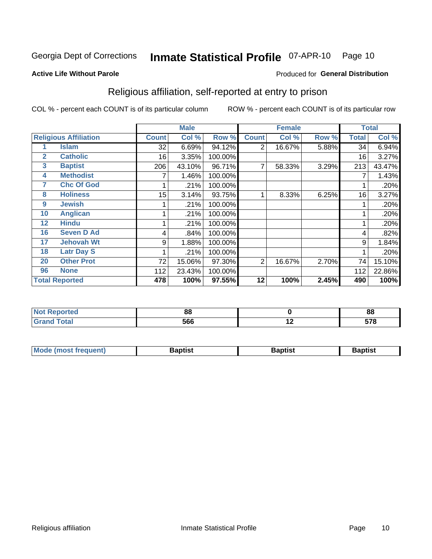#### Inmate Statistical Profile 07-APR-10 Page 10

#### **Active Life Without Parole**

#### Produced for General Distribution

### Religious affiliation, self-reported at entry to prison

COL % - percent each COUNT is of its particular column

|              |                              |              | <b>Male</b> |         |                | <b>Female</b> |       |              | <b>Total</b> |
|--------------|------------------------------|--------------|-------------|---------|----------------|---------------|-------|--------------|--------------|
|              | <b>Religious Affiliation</b> | <b>Count</b> | Col %       | Row %   | <b>Count</b>   | Col %         | Row % | <b>Total</b> | Col %        |
|              | Islam                        | 32           | 6.69%       | 94.12%  | $\overline{2}$ | 16.67%        | 5.88% | 34           | 6.94%        |
| $\mathbf{2}$ | <b>Catholic</b>              | 16           | 3.35%       | 100.00% |                |               |       | 16           | 3.27%        |
| 3            | <b>Baptist</b>               | 206          | 43.10%      | 96.71%  | 7              | 58.33%        | 3.29% | 213          | 43.47%       |
| 4            | <b>Methodist</b>             |              | 1.46%       | 100.00% |                |               |       |              | 1.43%        |
| 7            | <b>Chc Of God</b>            |              | .21%        | 100.00% |                |               |       |              | .20%         |
| 8            | <b>Holiness</b>              | 15           | 3.14%       | 93.75%  |                | 8.33%         | 6.25% | 16           | 3.27%        |
| 9            | <b>Jewish</b>                |              | .21%        | 100.00% |                |               |       |              | .20%         |
| 10           | <b>Anglican</b>              |              | .21%        | 100.00% |                |               |       |              | .20%         |
| 12           | <b>Hindu</b>                 |              | .21%        | 100.00% |                |               |       |              | .20%         |
| 16           | <b>Seven D Ad</b>            | 4            | .84%        | 100.00% |                |               |       | 4            | .82%         |
| 17           | <b>Jehovah Wt</b>            | 9            | 1.88%       | 100.00% |                |               |       | 9            | 1.84%        |
| 18           | <b>Latr Day S</b>            |              | .21%        | 100.00% |                |               |       |              | .20%         |
| 20           | <b>Other Prot</b>            | 72           | 15.06%      | 97.30%  | 2              | 16.67%        | 2.70% | 74           | 15.10%       |
| 96           | <b>None</b>                  | 112          | 23.43%      | 100.00% |                |               |       | 112          | 22.86%       |
|              | <b>Total Reported</b>        | 478          | 100%        | 97.55%  | 12             | 100%          | 2.45% | 490          | 100%         |

| ı leu<br>. | n n |        | 0C<br>oo |
|------------|-----|--------|----------|
| _____      | 566 | $\sim$ | 570      |

| Mode (most frequent) | Baptist | <b>Baptist</b> | aptıst |
|----------------------|---------|----------------|--------|
|                      |         |                |        |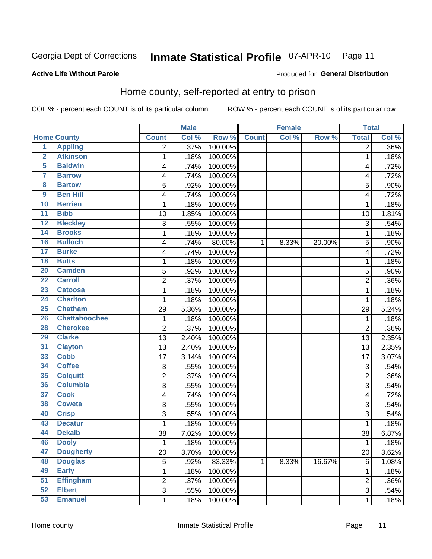#### Inmate Statistical Profile 07-APR-10 Page 11

**Active Life Without Parole** 

Produced for General Distribution

### Home county, self-reported at entry to prison

COL % - percent each COUNT is of its particular column

|                         |                      |                | <b>Male</b> |         |              | <b>Female</b> |        | <b>Total</b>   |       |
|-------------------------|----------------------|----------------|-------------|---------|--------------|---------------|--------|----------------|-------|
|                         | <b>Home County</b>   | <b>Count</b>   | Col %       | Row %   | <b>Count</b> | Col %         | Row %  | <b>Total</b>   | Col % |
| $\overline{1}$          | <b>Appling</b>       | $\overline{2}$ | .37%        | 100.00% |              |               |        | $\overline{2}$ | .36%  |
| $\overline{2}$          | <b>Atkinson</b>      | 1              | .18%        | 100.00% |              |               |        | 1              | .18%  |
| 5                       | <b>Baldwin</b>       | 4              | .74%        | 100.00% |              |               |        | 4              | .72%  |
| 7                       | <b>Barrow</b>        | 4              | .74%        | 100.00% |              |               |        | 4              | .72%  |
| $\overline{\mathbf{8}}$ | <b>Bartow</b>        | 5              | .92%        | 100.00% |              |               |        | 5              | .90%  |
| $\boldsymbol{9}$        | <b>Ben Hill</b>      | 4              | .74%        | 100.00% |              |               |        | 4              | .72%  |
| 10                      | <b>Berrien</b>       | 1              | .18%        | 100.00% |              |               |        | 1              | .18%  |
| 11                      | <b>Bibb</b>          | 10             | 1.85%       | 100.00% |              |               |        | 10             | 1.81% |
| $\overline{12}$         | <b>Bleckley</b>      | 3              | .55%        | 100.00% |              |               |        | 3              | .54%  |
| 14                      | <b>Brooks</b>        | 1              | .18%        | 100.00% |              |               |        | 1              | .18%  |
| 16                      | <b>Bulloch</b>       | 4              | .74%        | 80.00%  | 1            | 8.33%         | 20.00% | 5              | .90%  |
| $\overline{17}$         | <b>Burke</b>         | 4              | .74%        | 100.00% |              |               |        | 4              | .72%  |
| $\overline{18}$         | <b>Butts</b>         | 1              | .18%        | 100.00% |              |               |        | 1              | .18%  |
| 20                      | <b>Camden</b>        | 5              | .92%        | 100.00% |              |               |        | 5              | .90%  |
| $\overline{22}$         | <b>Carroll</b>       | $\overline{2}$ | .37%        | 100.00% |              |               |        | $\overline{2}$ | .36%  |
| 23                      | <b>Catoosa</b>       | 1              | .18%        | 100.00% |              |               |        | 1              | .18%  |
| 24                      | <b>Charlton</b>      | 1              | .18%        | 100.00% |              |               |        | 1              | .18%  |
| 25                      | <b>Chatham</b>       | 29             | 5.36%       | 100.00% |              |               |        | 29             | 5.24% |
| 26                      | <b>Chattahoochee</b> | 1              | .18%        | 100.00% |              |               |        | 1              | .18%  |
| 28                      | <b>Cherokee</b>      | 2              | .37%        | 100.00% |              |               |        | $\overline{2}$ | .36%  |
| 29                      | <b>Clarke</b>        | 13             | 2.40%       | 100.00% |              |               |        | 13             | 2.35% |
| 31                      | <b>Clayton</b>       | 13             | 2.40%       | 100.00% |              |               |        | 13             | 2.35% |
| 33                      | <b>Cobb</b>          | 17             | 3.14%       | 100.00% |              |               |        | 17             | 3.07% |
| 34                      | <b>Coffee</b>        | 3              | .55%        | 100.00% |              |               |        | 3              | .54%  |
| 35                      | <b>Colquitt</b>      | $\overline{2}$ | .37%        | 100.00% |              |               |        | $\overline{2}$ | .36%  |
| 36                      | <b>Columbia</b>      | 3              | .55%        | 100.00% |              |               |        | 3              | .54%  |
| $\overline{37}$         | <b>Cook</b>          | 4              | .74%        | 100.00% |              |               |        | $\overline{4}$ | .72%  |
| 38                      | <b>Coweta</b>        | 3              | .55%        | 100.00% |              |               |        | 3              | .54%  |
| 40                      | <b>Crisp</b>         | 3              | .55%        | 100.00% |              |               |        | 3              | .54%  |
| 43                      | <b>Decatur</b>       | 1              | .18%        | 100.00% |              |               |        | 1              | .18%  |
| 44                      | <b>Dekalb</b>        | 38             | 7.02%       | 100.00% |              |               |        | 38             | 6.87% |
| 46                      | <b>Dooly</b>         | 1              | .18%        | 100.00% |              |               |        | 1              | .18%  |
| 47                      | <b>Dougherty</b>     | 20             | 3.70%       | 100.00% |              |               |        | 20             | 3.62% |
| 48                      | <b>Douglas</b>       | 5              | .92%        | 83.33%  | $\mathbf 1$  | 8.33%         | 16.67% | $\,6$          | 1.08% |
| 49                      | <b>Early</b>         | 1              | .18%        | 100.00% |              |               |        | 1              | .18%  |
| 51                      | <b>Effingham</b>     | $\overline{2}$ | .37%        | 100.00% |              |               |        | $\overline{2}$ | .36%  |
| 52                      | <b>Elbert</b>        | 3              | .55%        | 100.00% |              |               |        | 3              | .54%  |
| 53                      | <b>Emanuel</b>       | $\mathbf 1$    | .18%        | 100.00% |              |               |        | 1              | .18%  |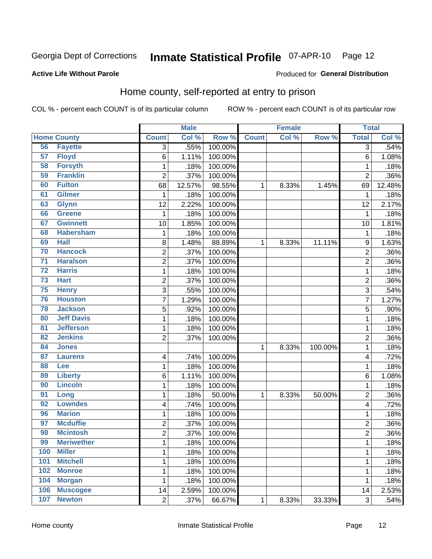#### Inmate Statistical Profile 07-APR-10 Page 12

#### **Active Life Without Parole**

#### Produced for General Distribution

### Home county, self-reported at entry to prison

COL % - percent each COUNT is of its particular column

|                 |                    |                         | <b>Male</b> |         |              | <b>Female</b> |         | <b>Total</b>   |        |
|-----------------|--------------------|-------------------------|-------------|---------|--------------|---------------|---------|----------------|--------|
|                 | <b>Home County</b> | <b>Count</b>            | Col %       | Row %   | <b>Count</b> | Col %         | Row %   | <b>Total</b>   | Col %  |
| 56              | <b>Fayette</b>     | $\overline{3}$          | .55%        | 100.00% |              |               |         | 3              | .54%   |
| 57              | <b>Floyd</b>       | 6                       | 1.11%       | 100.00% |              |               |         | 6              | 1.08%  |
| 58              | <b>Forsyth</b>     | $\mathbf 1$             | .18%        | 100.00% |              |               |         | 1              | .18%   |
| 59              | <b>Franklin</b>    | $\overline{2}$          | .37%        | 100.00% |              |               |         | $\overline{2}$ | .36%   |
| 60              | <b>Fulton</b>      | 68                      | 12.57%      | 98.55%  | 1            | 8.33%         | 1.45%   | 69             | 12.48% |
| 61              | <b>Gilmer</b>      | $\mathbf{1}$            | .18%        | 100.00% |              |               |         | 1              | .18%   |
| 63              | <b>Glynn</b>       | 12                      | 2.22%       | 100.00% |              |               |         | 12             | 2.17%  |
| 66              | <b>Greene</b>      | 1                       | .18%        | 100.00% |              |               |         | 1              | .18%   |
| 67              | <b>Gwinnett</b>    | 10                      | 1.85%       | 100.00% |              |               |         | 10             | 1.81%  |
| 68              | <b>Habersham</b>   | $\mathbf 1$             | .18%        | 100.00% |              |               |         | 1              | .18%   |
| 69              | <b>Hall</b>        | 8                       | 1.48%       | 88.89%  | 1            | 8.33%         | 11.11%  | 9              | 1.63%  |
| 70              | <b>Hancock</b>     | $\overline{\mathbf{c}}$ | .37%        | 100.00% |              |               |         | $\overline{c}$ | .36%   |
| $\overline{71}$ | <b>Haralson</b>    | $\overline{c}$          | .37%        | 100.00% |              |               |         | $\overline{2}$ | .36%   |
| $\overline{72}$ | <b>Harris</b>      | $\mathbf{1}$            | .18%        | 100.00% |              |               |         | 1              | .18%   |
| $\overline{73}$ | <b>Hart</b>        | $\overline{c}$          | .37%        | 100.00% |              |               |         | $\overline{2}$ | .36%   |
| 75              | <b>Henry</b>       | 3                       | .55%        | 100.00% |              |               |         | 3              | .54%   |
| 76              | <b>Houston</b>     | 7                       | 1.29%       | 100.00% |              |               |         | 7              | 1.27%  |
| 78              | <b>Jackson</b>     | 5                       | .92%        | 100.00% |              |               |         | 5              | .90%   |
| 80              | <b>Jeff Davis</b>  | $\mathbf 1$             | .18%        | 100.00% |              |               |         | 1              | .18%   |
| 81              | <b>Jefferson</b>   | $\mathbf 1$             | .18%        | 100.00% |              |               |         | 1              | .18%   |
| 82              | <b>Jenkins</b>     | $\overline{2}$          | .37%        | 100.00% |              |               |         | 2              | .36%   |
| 84              | <b>Jones</b>       |                         |             |         | $\mathbf{1}$ | 8.33%         | 100.00% | 1              | .18%   |
| 87              | <b>Laurens</b>     | 4                       | .74%        | 100.00% |              |               |         | 4              | .72%   |
| 88              | <b>Lee</b>         | $\mathbf{1}$            | .18%        | 100.00% |              |               |         | 1              | .18%   |
| 89              | <b>Liberty</b>     | 6                       | 1.11%       | 100.00% |              |               |         | 6              | 1.08%  |
| 90              | <b>Lincoln</b>     | 1                       | .18%        | 100.00% |              |               |         | 1              | .18%   |
| 91              | Long               | $\mathbf 1$             | .18%        | 50.00%  | 1            | 8.33%         | 50.00%  | $\overline{c}$ | .36%   |
| 92              | <b>Lowndes</b>     | 4                       | .74%        | 100.00% |              |               |         | 4              | .72%   |
| 96              | <b>Marion</b>      | $\mathbf 1$             | .18%        | 100.00% |              |               |         | 1              | .18%   |
| 97              | <b>Mcduffie</b>    | $\overline{\mathbf{c}}$ | .37%        | 100.00% |              |               |         | $\overline{c}$ | .36%   |
| 98              | <b>Mcintosh</b>    | $\overline{c}$          | .37%        | 100.00% |              |               |         | $\overline{2}$ | .36%   |
| 99              | <b>Meriwether</b>  | 1                       | .18%        | 100.00% |              |               |         | 1              | .18%   |
| 100             | <b>Miller</b>      | $\mathbf{1}$            | .18%        | 100.00% |              |               |         | 1              | .18%   |
| 101             | <b>Mitchell</b>    | $\mathbf{1}$            | .18%        | 100.00% |              |               |         | 1              | .18%   |
| 102             | <b>Monroe</b>      | $\mathbf 1$             | .18%        | 100.00% |              |               |         | 1              | .18%   |
| 104             | <b>Morgan</b>      | 1                       | .18%        | 100.00% |              |               |         | 1              | .18%   |
| 106             | <b>Muscogee</b>    | 14                      | 2.59%       | 100.00% |              |               |         | 14             | 2.53%  |
| 107             | <b>Newton</b>      | $\overline{2}$          | .37%        | 66.67%  | $\mathbf 1$  | 8.33%         | 33.33%  | 3              | .54%   |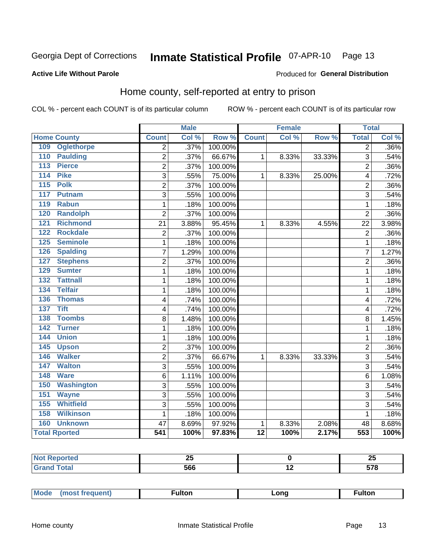#### Inmate Statistical Profile 07-APR-10 Page 13

#### **Active Life Without Parole**

#### Produced for General Distribution

### Home county, self-reported at entry to prison

COL % - percent each COUNT is of its particular column

|     |                      |                         | <b>Male</b> |         |                 | <b>Female</b> |        | <b>Total</b>   |       |
|-----|----------------------|-------------------------|-------------|---------|-----------------|---------------|--------|----------------|-------|
|     | <b>Home County</b>   | <b>Count</b>            | Col %       | Row %   | <b>Count</b>    | Col %         | Row %  | <b>Total</b>   | Col % |
| 109 | <b>Oglethorpe</b>    | $\overline{2}$          | .37%        | 100.00% |                 |               |        | $\overline{2}$ | .36%  |
| 110 | <b>Paulding</b>      | 2                       | .37%        | 66.67%  | 1               | 8.33%         | 33.33% | 3              | .54%  |
| 113 | <b>Pierce</b>        | $\overline{2}$          | .37%        | 100.00% |                 |               |        | $\overline{2}$ | .36%  |
| 114 | <b>Pike</b>          | 3                       | .55%        | 75.00%  | 1               | 8.33%         | 25.00% | 4              | .72%  |
| 115 | <b>Polk</b>          | $\overline{c}$          | .37%        | 100.00% |                 |               |        | $\overline{2}$ | .36%  |
| 117 | <b>Putnam</b>        | 3                       | .55%        | 100.00% |                 |               |        | 3              | .54%  |
| 119 | <b>Rabun</b>         | $\mathbf{1}$            | .18%        | 100.00% |                 |               |        | 1              | .18%  |
| 120 | <b>Randolph</b>      | $\overline{2}$          | .37%        | 100.00% |                 |               |        | $\overline{2}$ | .36%  |
| 121 | <b>Richmond</b>      | 21                      | 3.88%       | 95.45%  | 1               | 8.33%         | 4.55%  | 22             | 3.98% |
| 122 | <b>Rockdale</b>      | $\overline{\mathbf{c}}$ | .37%        | 100.00% |                 |               |        | $\overline{2}$ | .36%  |
| 125 | <b>Seminole</b>      | 1                       | .18%        | 100.00% |                 |               |        | 1              | .18%  |
| 126 | <b>Spalding</b>      | 7                       | 1.29%       | 100.00% |                 |               |        | 7              | 1.27% |
| 127 | <b>Stephens</b>      | $\overline{2}$          | .37%        | 100.00% |                 |               |        | $\overline{2}$ | .36%  |
| 129 | <b>Sumter</b>        | 1                       | .18%        | 100.00% |                 |               |        | 1              | .18%  |
| 132 | <b>Tattnall</b>      | 1                       | .18%        | 100.00% |                 |               |        | 1              | .18%  |
| 134 | <b>Telfair</b>       | $\mathbf{1}$            | .18%        | 100.00% |                 |               |        | 1              | .18%  |
| 136 | <b>Thomas</b>        | 4                       | .74%        | 100.00% |                 |               |        | $\overline{4}$ | .72%  |
| 137 | <b>Tift</b>          | 4                       | .74%        | 100.00% |                 |               |        | 4              | .72%  |
| 138 | <b>Toombs</b>        | 8                       | 1.48%       | 100.00% |                 |               |        | 8              | 1.45% |
| 142 | <b>Turner</b>        | $\mathbf{1}$            | .18%        | 100.00% |                 |               |        | 1              | .18%  |
| 144 | <b>Union</b>         | $\mathbf{1}$            | .18%        | 100.00% |                 |               |        | 1              | .18%  |
| 145 | <b>Upson</b>         | $\overline{2}$          | .37%        | 100.00% |                 |               |        | $\overline{2}$ | .36%  |
| 146 | <b>Walker</b>        | $\overline{2}$          | .37%        | 66.67%  | 1               | 8.33%         | 33.33% | 3              | .54%  |
| 147 | <b>Walton</b>        | 3                       | .55%        | 100.00% |                 |               |        | 3              | .54%  |
| 148 | <b>Ware</b>          | 6                       | 1.11%       | 100.00% |                 |               |        | 6              | 1.08% |
| 150 | <b>Washington</b>    | 3                       | .55%        | 100.00% |                 |               |        | 3              | .54%  |
| 151 | <b>Wayne</b>         | $\overline{3}$          | .55%        | 100.00% |                 |               |        | 3              | .54%  |
| 155 | <b>Whitfield</b>     | 3                       | .55%        | 100.00% |                 |               |        | 3              | .54%  |
| 158 | <b>Wilkinson</b>     | $\mathbf{1}$            | .18%        | 100.00% |                 |               |        | 1              | .18%  |
| 160 | <b>Unknown</b>       | 47                      | 8.69%       | 97.92%  | 1               | 8.33%         | 2.08%  | 48             | 8.68% |
|     | <b>Total Rported</b> | 541                     | 100%        | 97.83%  | $\overline{12}$ | 100%          | 2.17%  | 553            | 100%  |

| <b>keported</b><br>NO<br> | --<br>-- |                          | - -<br>∼ |
|---------------------------|----------|--------------------------|----------|
|                           | 566      | $\overline{\phantom{0}}$ | ---      |

| Mode      | ulton | ∟ona | ultor |
|-----------|-------|------|-------|
| frequent) |       |      |       |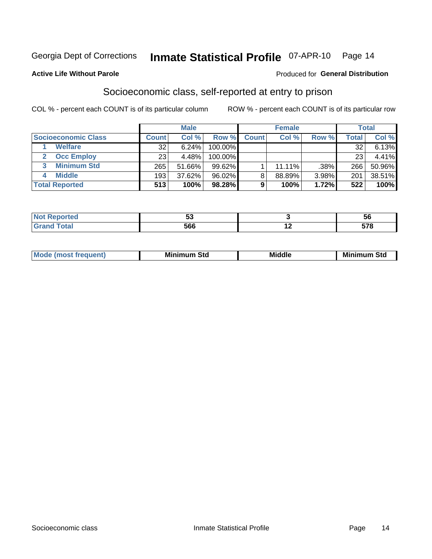## Inmate Statistical Profile 07-APR-10 Page 14

#### **Active Life Without Parole**

#### Produced for General Distribution

### Socioeconomic class, self-reported at entry to prison

COL % - percent each COUNT is of its particular column

|                       |              | <b>Male</b> |            |              | <b>Female</b> |       |       | <b>Total</b> |
|-----------------------|--------------|-------------|------------|--------------|---------------|-------|-------|--------------|
| Socioeconomic Class   | <b>Count</b> | Col %       | Row %      | <b>Count</b> | Col %         | Row % | Total | Col %        |
| <b>Welfare</b>        | 32           | 6.24%       | 100.00%    |              |               |       | 32    | 6.13%        |
| <b>Occ Employ</b>     | 23           | 4.48%       | $100.00\%$ |              |               |       | 23    | 4.41%        |
| <b>Minimum Std</b>    | 265          | 51.66%      | $99.62\%$  |              | $11.11\%$     | .38%  | 266   | 50.96%       |
| <b>Middle</b>         | 193          | 37.62%      | 96.02%     | 8            | 88.89%        | 3.98% | 201   | 38.51%       |
| <b>Total Reported</b> | 513          | 100%        | 98.28%     |              | 100%          | 1.72% | 522   | 100%         |

|       | - -<br>u |                          | ວບ  |
|-------|----------|--------------------------|-----|
| _____ | 566      | $\overline{\phantom{a}}$ | E70 |

|  |  | M<br>.ienti | Minim<br>Std<br>---- | <b>Middle</b> | <b>Minimum</b><br>Std |
|--|--|-------------|----------------------|---------------|-----------------------|
|--|--|-------------|----------------------|---------------|-----------------------|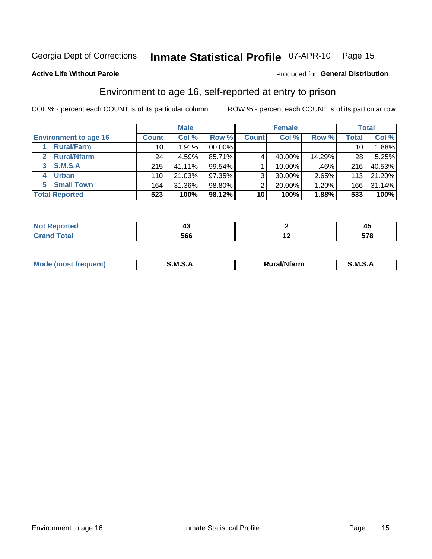## Inmate Statistical Profile 07-APR-10 Page 15

#### **Active Life Without Parole**

#### **Produced for General Distribution**

### Environment to age 16, self-reported at entry to prison

COL % - percent each COUNT is of its particular column

|                                    |                  | <b>Male</b> |           |              | <b>Female</b> |        |                 | <b>Total</b> |
|------------------------------------|------------------|-------------|-----------|--------------|---------------|--------|-----------------|--------------|
| <b>Environment to age 16</b>       | <b>Count</b>     | Col %       | Row %     | <b>Count</b> | Col %         | Row %  | <b>Total</b>    | Col %        |
| <b>Rural/Farm</b>                  | 10               | 1.91%       | 100.00%   |              |               |        | 10 <sub>1</sub> | 1.88%        |
| <b>Rural/Nfarm</b><br>$\mathbf{2}$ | 24               | 4.59%       | 85.71%    |              | 40.00%        | 14.29% | 28              | 5.25%        |
| 3 S.M.S.A                          | 215              | 41.11%      | $99.54\%$ |              | 10.00%        | .46%   | 216             | 40.53%       |
| <b>Urban</b><br>4                  | 110              | 21.03%      | $97.35\%$ | 3            | 30.00%        | 2.65%  | 113             | 21.20%       |
| 5 Small Town                       | 164 <sub>1</sub> | 31.36%      | 98.80%    | っ            | 20.00%        | 1.20%  | 166             | 31.14%       |
| <b>Total Reported</b>              | 523              | 100%        | 98.12%    | 10           | 100%          | 1.88%  | 533             | 100%         |

| Reported<br><b>NOT</b><br>$\sim$ |     |     | л<br>- 7 |
|----------------------------------|-----|-----|----------|
| $T \cap f \cap$<br>uar           | 566 | . . | E70      |

| Mo | M<br>______ | <b>17516</b><br><b>Ifarm</b><br>. | -<br>M<br>_____ |
|----|-------------|-----------------------------------|-----------------|
|    |             |                                   |                 |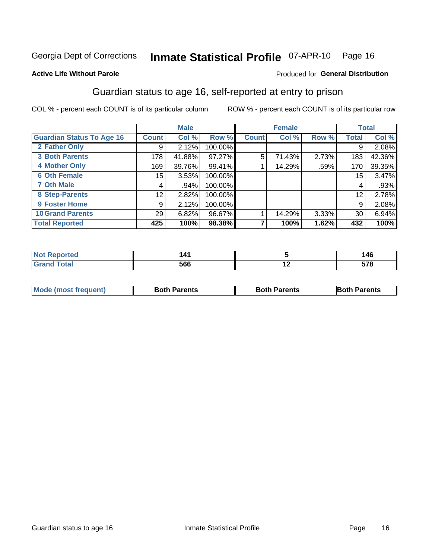## Inmate Statistical Profile 07-APR-10 Page 16

#### **Active Life Without Parole**

#### **Produced for General Distribution**

### Guardian status to age 16, self-reported at entry to prison

COL % - percent each COUNT is of its particular column

|                                  |                 | <b>Male</b> |         |              | <b>Female</b> |       |       | <b>Total</b> |
|----------------------------------|-----------------|-------------|---------|--------------|---------------|-------|-------|--------------|
| <b>Guardian Status To Age 16</b> | <b>Count</b>    | Col %       | Row %   | <b>Count</b> | Col %         | Row % | Total | Col %        |
| 2 Father Only                    | 9               | 2.12%       | 100.00% |              |               |       | 9     | 2.08%        |
| <b>3 Both Parents</b>            | 178             | 41.88%      | 97.27%  | 5            | 71.43%        | 2.73% | 183   | 42.36%       |
| <b>4 Mother Only</b>             | 169             | 39.76%      | 99.41%  |              | 14.29%        | .59%  | 170   | 39.35%       |
| <b>6 Oth Female</b>              | 15 <sub>1</sub> | 3.53%       | 100.00% |              |               |       | 15    | 3.47%        |
| <b>7 Oth Male</b>                | 4               | .94%        | 100.00% |              |               |       | 4     | .93%         |
| 8 Step-Parents                   | 12              | 2.82%       | 100.00% |              |               |       | 12    | 2.78%        |
| 9 Foster Home                    | 9               | 2.12%       | 100.00% |              |               |       | 9     | 2.08%        |
| <b>10 Grand Parents</b>          | 29              | 6.82%       | 96.67%  |              | 14.29%        | 3.33% | 30    | 6.94%        |
| <b>Total Reported</b>            | 425             | 100%        | 98.38%  |              | 100%          | 1.62% | 432   | 100%         |

| ted   | . л. |     | 146        |
|-------|------|-----|------------|
| Total | ccc  | . . | <b>E70</b> |
|       | סטכ  |     | J1 U       |

| <b>Mode (most frequent)</b> | <b>Both Parents</b> | <b>Both Parents</b> | <b>Both Parents</b> |
|-----------------------------|---------------------|---------------------|---------------------|
|                             |                     |                     |                     |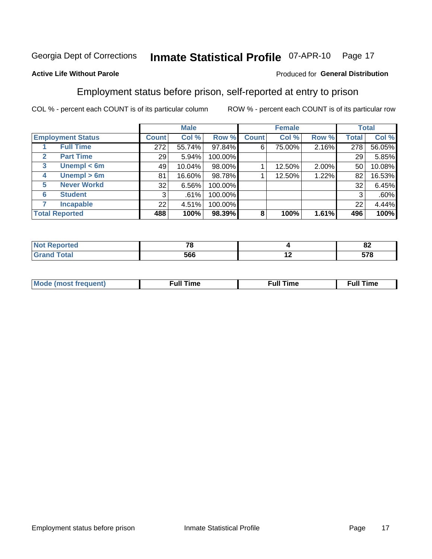#### Inmate Statistical Profile 07-APR-10 Page 17

#### **Active Life Without Parole**

#### Produced for General Distribution

### Employment status before prison, self-reported at entry to prison

COL % - percent each COUNT is of its particular column

|                                  |              | <b>Male</b> |         |              | <b>Female</b> |       |       | <b>Total</b> |
|----------------------------------|--------------|-------------|---------|--------------|---------------|-------|-------|--------------|
| <b>Employment Status</b>         | <b>Count</b> | Col %       | Row %   | <b>Count</b> | Col %         | Row % | Total | Col %        |
| <b>Full Time</b>                 | 272          | 55.74%      | 97.84%  | 6            | 75.00%        | 2.16% | 278   | 56.05%       |
| <b>Part Time</b><br>$\mathbf{2}$ | 29           | 5.94%       | 100.00% |              |               |       | 29    | 5.85%        |
| Unempl $<$ 6m<br>3               | 49           | 10.04%      | 98.00%  |              | 12.50%        | 2.00% | 50    | 10.08%       |
| Unempl > 6m<br>4                 | 81           | 16.60%      | 98.78%  |              | 12.50%        | 1.22% | 82    | 16.53%       |
| <b>Never Workd</b><br>5          | 32           | 6.56%       | 100.00% |              |               |       | 32    | 6.45%        |
| <b>Student</b><br>6              | 3            | .61%        | 100.00% |              |               |       | 3     | .60%         |
| <b>Incapable</b>                 | 22           | 4.51%       | 100.00% |              |               |       | 22    | 4.44%        |
| <b>Total Reported</b>            | 488          | 100%        | 98.39%  | 8            | 100%          | 1.61% | 496   | 100%         |

| тео | 70<br>r o<br>$\sim$ |     | $\mathbf{C}$<br>OZ. |
|-----|---------------------|-----|---------------------|
|     | 566                 | . . | E70                 |

| Mc | ∴ull | ----<br>ıme<br>w |
|----|------|------------------|
|    |      |                  |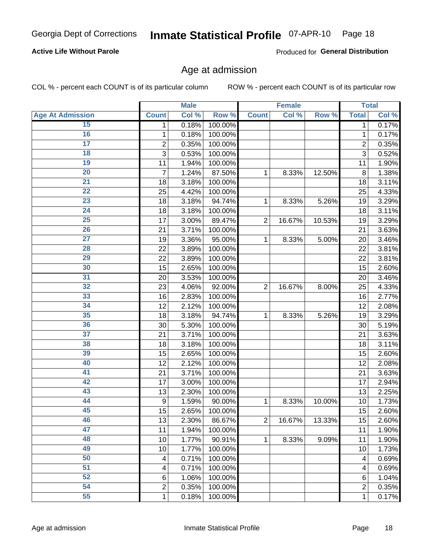#### Inmate Statistical Profile 07-APR-10 Page 18

#### **Active Life Without Parole**

Produced for General Distribution

#### Age at admission

COL % - percent each COUNT is of its particular column

|                         |                | <b>Male</b> |         |                | <b>Female</b> |        |                | <b>Total</b> |
|-------------------------|----------------|-------------|---------|----------------|---------------|--------|----------------|--------------|
| <b>Age At Admission</b> | <b>Count</b>   | Col %       | Row %   | <b>Count</b>   | Col %         | Row %  | <b>Total</b>   | Col %        |
| 15                      | 1              | 0.18%       | 100.00% |                |               |        | 1              | 0.17%        |
| 16                      | 1              | 0.18%       | 100.00% |                |               |        | 1              | 0.17%        |
| $\overline{17}$         | $\overline{c}$ | 0.35%       | 100.00% |                |               |        | $\overline{2}$ | 0.35%        |
| 18                      | 3              | 0.53%       | 100.00% |                |               |        | 3              | 0.52%        |
| 19                      | 11             | 1.94%       | 100.00% |                |               |        | 11             | 1.90%        |
| $\overline{20}$         | $\overline{7}$ | 1.24%       | 87.50%  | 1              | 8.33%         | 12.50% | 8              | 1.38%        |
| $\overline{21}$         | 18             | 3.18%       | 100.00% |                |               |        | 18             | 3.11%        |
| 22                      | 25             | 4.42%       | 100.00% |                |               |        | 25             | 4.33%        |
| 23                      | 18             | 3.18%       | 94.74%  | 1              | 8.33%         | 5.26%  | 19             | 3.29%        |
| 24                      | 18             | 3.18%       | 100.00% |                |               |        | 18             | 3.11%        |
| $\overline{25}$         | 17             | 3.00%       | 89.47%  | $\overline{2}$ | 16.67%        | 10.53% | 19             | 3.29%        |
| 26                      | 21             | 3.71%       | 100.00% |                |               |        | 21             | 3.63%        |
| $\overline{27}$         | 19             | 3.36%       | 95.00%  | 1              | 8.33%         | 5.00%  | 20             | 3.46%        |
| 28                      | 22             | 3.89%       | 100.00% |                |               |        | 22             | 3.81%        |
| 29                      | 22             | 3.89%       | 100.00% |                |               |        | 22             | 3.81%        |
| 30                      | 15             | 2.65%       | 100.00% |                |               |        | 15             | 2.60%        |
| 31                      | 20             | 3.53%       | 100.00% |                |               |        | 20             | 3.46%        |
| 32                      | 23             | 4.06%       | 92.00%  | $\overline{2}$ | 16.67%        | 8.00%  | 25             | 4.33%        |
| 33                      | 16             | 2.83%       | 100.00% |                |               |        | 16             | 2.77%        |
| 34                      | 12             | 2.12%       | 100.00% |                |               |        | 12             | 2.08%        |
| 35                      | 18             | 3.18%       | 94.74%  | 1              | 8.33%         | 5.26%  | 19             | 3.29%        |
| 36                      | 30             | 5.30%       | 100.00% |                |               |        | 30             | 5.19%        |
| $\overline{37}$         | 21             | 3.71%       | 100.00% |                |               |        | 21             | 3.63%        |
| 38                      | 18             | 3.18%       | 100.00% |                |               |        | 18             | 3.11%        |
| 39                      | 15             | 2.65%       | 100.00% |                |               |        | 15             | 2.60%        |
| 40                      | 12             | 2.12%       | 100.00% |                |               |        | 12             | 2.08%        |
| 41                      | 21             | 3.71%       | 100.00% |                |               |        | 21             | 3.63%        |
| 42                      | 17             | 3.00%       | 100.00% |                |               |        | 17             | 2.94%        |
| 43                      | 13             | 2.30%       | 100.00% |                |               |        | 13             | 2.25%        |
| 44                      | 9              | 1.59%       | 90.00%  | 1              | 8.33%         | 10.00% | 10             | 1.73%        |
| 45                      | 15             | 2.65%       | 100.00% |                |               |        | 15             | 2.60%        |
| 46                      | 13             | 2.30%       | 86.67%  | $\overline{2}$ | 16.67%        | 13.33% | 15             | 2.60%        |
| 47                      | 11             | 1.94%       | 100.00% |                |               |        | 11             | 1.90%        |
| 48                      | 10             | 1.77%       | 90.91%  | 1              | 8.33%         | 9.09%  | 11             | 1.90%        |
| 49                      | 10             | 1.77%       | 100.00% |                |               |        | 10             | 1.73%        |
| 50                      | 4              | 0.71%       | 100.00% |                |               |        | 4              | 0.69%        |
| $\overline{51}$         | 4              | 0.71%       | 100.00% |                |               |        | 4              | 0.69%        |
| 52                      | 6              | 1.06%       | 100.00% |                |               |        | 6              | 1.04%        |
| 54                      | $\overline{c}$ | 0.35%       | 100.00% |                |               |        | 2              | 0.35%        |
| 55                      | 1              | 0.18%       | 100.00% |                |               |        | 1              | 0.17%        |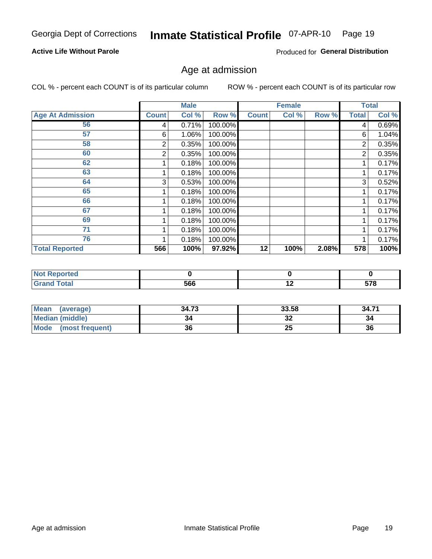#### Inmate Statistical Profile 07-APR-10 Page 19

#### **Active Life Without Parole**

Produced for General Distribution

#### Age at admission

COL % - percent each COUNT is of its particular column

|                         |              | <b>Male</b> |         |              | <b>Female</b> |       |              | <b>Total</b> |
|-------------------------|--------------|-------------|---------|--------------|---------------|-------|--------------|--------------|
| <b>Age At Admission</b> | <b>Count</b> | Col %       | Row %   | <b>Count</b> | Col %         | Row % | <b>Total</b> | Col %        |
| 56                      | 4            | 0.71%       | 100.00% |              |               |       | 4            | 0.69%        |
| 57                      | 6            | 1.06%       | 100.00% |              |               |       | 6            | 1.04%        |
| 58                      | 2            | 0.35%       | 100.00% |              |               |       | 2            | 0.35%        |
| 60                      | 2            | 0.35%       | 100.00% |              |               |       | 2            | 0.35%        |
| 62                      |              | 0.18%       | 100.00% |              |               |       |              | 0.17%        |
| 63                      |              | 0.18%       | 100.00% |              |               |       |              | 0.17%        |
| 64                      | 3            | 0.53%       | 100.00% |              |               |       | 3            | 0.52%        |
| 65                      |              | 0.18%       | 100.00% |              |               |       |              | 0.17%        |
| 66                      |              | 0.18%       | 100.00% |              |               |       |              | 0.17%        |
| 67                      |              | 0.18%       | 100.00% |              |               |       |              | 0.17%        |
| 69                      |              | 0.18%       | 100.00% |              |               |       |              | 0.17%        |
| 71                      |              | 0.18%       | 100.00% |              |               |       |              | 0.17%        |
| 76                      |              | 0.18%       | 100.00% |              |               |       |              | 0.17%        |
| <b>Total Reported</b>   | 566          | 100%        | 97.92%  | 12           | 100%          | 2.08% | 578          | 100%         |

| orted                      |     |     |            |
|----------------------------|-----|-----|------------|
| <b>otal</b><br>$\sim$ nunu | 566 | . . | 578<br>J10 |

| <b>Mean</b><br>(average) | 34.73 | 33.58    | 34.71 |
|--------------------------|-------|----------|-------|
| <b>Median (middle)</b>   |       | ^^<br>⊾ت | 34    |
| Mode<br>(most frequent)  | 36    | 25       | 36    |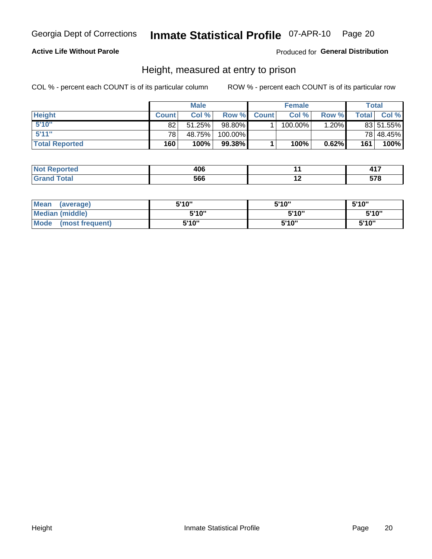#### Inmate Statistical Profile 07-APR-10 Page 20

#### **Active Life Without Parole**

Produced for General Distribution

#### Height, measured at entry to prison

COL % - percent each COUNT is of its particular column

|                       |                 | <b>Male</b> |         |             | <b>Female</b> |          |              | Total     |
|-----------------------|-----------------|-------------|---------|-------------|---------------|----------|--------------|-----------|
| <b>Height</b>         | <b>Count</b>    | Col %       |         | Row % Count | Col %         | Row %    | <b>Total</b> | Col %     |
| 5'10''                | 82              | $51.25\%$   | 98.80%  |             | 100.00%       | $1.20\%$ |              | 83 51.55% |
| 5'11''                | 78 <sub>1</sub> | 48.75%      | 100.00% |             |               |          |              | 78 48.45% |
| <b>Total Reported</b> | 160             | 100%        | 99.38%  |             | 100%          | 0.62%    | 161          | 100%      |

| ported | 4በ6<br>.vv<br>$ -$ |     | $\lambda$ 17<br>$  -$ |
|--------|--------------------|-----|-----------------------|
| `otal  | 566                | . . | ---                   |

| <b>Mean</b><br>(average)       | 5'10"  | 5'10" | 5'10" |
|--------------------------------|--------|-------|-------|
| <b>Median (middle)</b>         | 5'10'' | 5'10" | 5'10" |
| <b>Mode</b><br>(most frequent) | 5'10"  | 5'10" | 5'10" |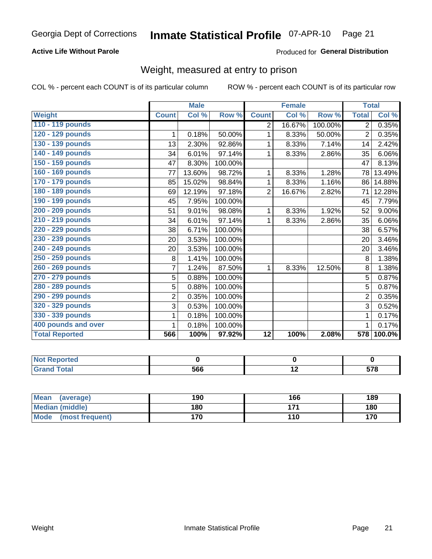#### Inmate Statistical Profile 07-APR-10 Page 21

#### **Active Life Without Parole**

#### Produced for General Distribution

### Weight, measured at entry to prison

COL % - percent each COUNT is of its particular column

|                       |                | <b>Male</b> |         |                | <b>Female</b>             |         | <b>Total</b>   |        |
|-----------------------|----------------|-------------|---------|----------------|---------------------------|---------|----------------|--------|
| Weight                | <b>Count</b>   | Col %       | Row %   | <b>Count</b>   | $\overline{\text{Col}}$ % | Row %   | <b>Total</b>   | Col %  |
| 110 - 119 pounds      |                |             |         | 2              | 16.67%                    | 100.00% | $\overline{2}$ | 0.35%  |
| 120 - 129 pounds      | 1              | 0.18%       | 50.00%  | 1              | 8.33%                     | 50.00%  | $\overline{2}$ | 0.35%  |
| 130 - 139 pounds      | 13             | 2.30%       | 92.86%  | 1              | 8.33%                     | 7.14%   | 14             | 2.42%  |
| 140 - 149 pounds      | 34             | 6.01%       | 97.14%  | 1              | 8.33%                     | 2.86%   | 35             | 6.06%  |
| 150 - 159 pounds      | 47             | 8.30%       | 100.00% |                |                           |         | 47             | 8.13%  |
| 160 - 169 pounds      | 77             | 13.60%      | 98.72%  | 1              | 8.33%                     | 1.28%   | 78             | 13.49% |
| 170 - 179 pounds      | 85             | 15.02%      | 98.84%  | 1              | 8.33%                     | 1.16%   | 86             | 14.88% |
| 180 - 189 pounds      | 69             | 12.19%      | 97.18%  | $\overline{2}$ | 16.67%                    | 2.82%   | 71             | 12.28% |
| 190 - 199 pounds      | 45             | 7.95%       | 100.00% |                |                           |         | 45             | 7.79%  |
| 200 - 209 pounds      | 51             | 9.01%       | 98.08%  | 1              | 8.33%                     | 1.92%   | 52             | 9.00%  |
| 210 - 219 pounds      | 34             | 6.01%       | 97.14%  | 1              | 8.33%                     | 2.86%   | 35             | 6.06%  |
| 220 - 229 pounds      | 38             | 6.71%       | 100.00% |                |                           |         | 38             | 6.57%  |
| 230 - 239 pounds      | 20             | 3.53%       | 100.00% |                |                           |         | 20             | 3.46%  |
| 240 - 249 pounds      | 20             | 3.53%       | 100.00% |                |                           |         | 20             | 3.46%  |
| 250 - 259 pounds      | 8              | 1.41%       | 100.00% |                |                           |         | 8              | 1.38%  |
| 260 - 269 pounds      | $\overline{7}$ | 1.24%       | 87.50%  | 1              | 8.33%                     | 12.50%  | 8              | 1.38%  |
| 270 - 279 pounds      | 5              | 0.88%       | 100.00% |                |                           |         | 5              | 0.87%  |
| 280 - 289 pounds      | 5              | 0.88%       | 100.00% |                |                           |         | 5              | 0.87%  |
| 290 - 299 pounds      | $\overline{2}$ | 0.35%       | 100.00% |                |                           |         | $\overline{2}$ | 0.35%  |
| 320 - 329 pounds      | 3              | 0.53%       | 100.00% |                |                           |         | 3              | 0.52%  |
| 330 - 339 pounds      | 1              | 0.18%       | 100.00% |                |                           |         | 1              | 0.17%  |
| 400 pounds and over   | 1              | 0.18%       | 100.00% |                |                           |         |                | 0.17%  |
| <b>Total Reported</b> | 566            | 100%        | 97.92%  | 12             | 100%                      | 2.08%   | 578            | 100.0% |

| <b>eported</b><br>N   |     |     |     |
|-----------------------|-----|-----|-----|
| <b>otal</b><br>$\sim$ | 566 | . . | --- |

| Mean<br>(average)              | 190 | 166   | 189 |
|--------------------------------|-----|-------|-----|
| <b>Median (middle)</b>         | 180 | 4 7 4 | 180 |
| <b>Mode</b><br>(most frequent) | 170 | 110   | 170 |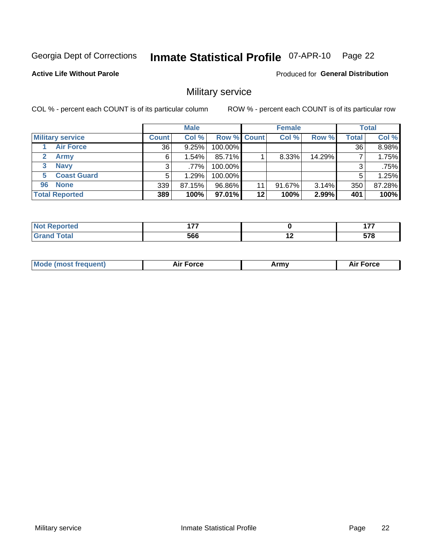#### Inmate Statistical Profile 07-APR-10 Page 22

**Active Life Without Parole** 

**Produced for General Distribution** 

### Military service

COL % - percent each COUNT is of its particular column

|                               |              | <b>Male</b> |                    |         | <b>Female</b> |          |              | <b>Total</b> |
|-------------------------------|--------------|-------------|--------------------|---------|---------------|----------|--------------|--------------|
| <b>Military service</b>       | <b>Count</b> | Col %       | <b>Row % Count</b> |         | Col %         | Row %    | <b>Total</b> | Col %        |
| <b>Air Force</b>              | 36           | 9.25%       | 100.00%            |         |               |          | 36           | 8.98%        |
| $\mathbf{2}^-$<br><b>Army</b> | 6            | $1.54\%$    | 85.71%             |         | 8.33%         | 14.29%   |              | 1.75%        |
| <b>Navy</b><br>3              |              | $.77\%$     | 100.00%            |         |               |          | 3            | .75%         |
| <b>Coast Guard</b><br>5.      |              | 1.29%       | 100.00%            |         |               |          | 5            | 1.25%        |
| 96 None                       | 339          | 87.15%      | 96.86%             | 11      | 91.67%        | $3.14\%$ | 350          | 87.28%       |
| <b>Total Reported</b>         | 389          | 100%        | 97.01%             | $12 \,$ | 100%          | 2.99%    | 401          | 100%         |

| --     | $\overline{1}$<br>. |                          | $\overline{\phantom{a}}$<br>. .      |
|--------|---------------------|--------------------------|--------------------------------------|
| ______ | 566<br>- - -        | $\overline{\phantom{a}}$ | <b>E70</b><br>- 9<br><u>JI</u><br>__ |

| `Mc<br>Army |
|-------------|
|-------------|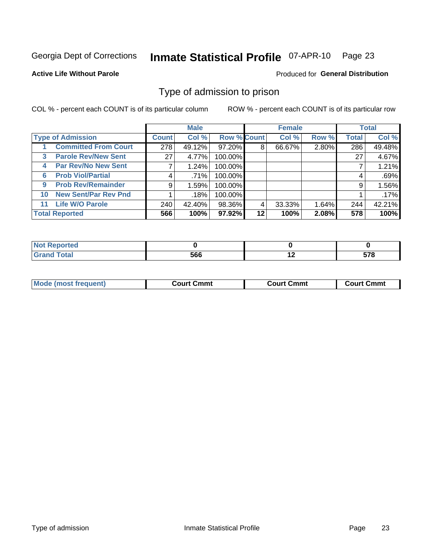#### Inmate Statistical Profile 07-APR-10 Page 23

**Active Life Without Parole** 

**Produced for General Distribution** 

#### Type of admission to prison

COL % - percent each COUNT is of its particular column

|                                   |              | <b>Male</b> |                    |    | <b>Female</b> |       |              | <b>Total</b> |
|-----------------------------------|--------------|-------------|--------------------|----|---------------|-------|--------------|--------------|
| <b>Type of Admission</b>          | <b>Count</b> | Col %       | <b>Row % Count</b> |    | Col %         | Row % | <b>Total</b> | Col %        |
| <b>Committed From Court</b>       | 278          | 49.12%      | 97.20%             | 8  | 66.67%        | 2.80% | 286          | 49.48%       |
| <b>Parole Rev/New Sent</b><br>3   | 27           | 4.77%       | 100.00%            |    |               |       | 27           | 4.67%        |
| <b>Par Rev/No New Sent</b><br>4   |              | 1.24%       | 100.00%            |    |               |       |              | 1.21%        |
| <b>Prob Viol/Partial</b><br>6     | 4            | .71%        | 100.00%            |    |               |       | 4            | .69%         |
| <b>Prob Rev/Remainder</b><br>9    | 9            | 1.59%       | 100.00%            |    |               |       | 9            | 1.56%        |
| <b>New Sent/Par Rev Pnd</b><br>10 |              | .18%        | 100.00%            |    |               |       |              | .17%         |
| <b>Life W/O Parole</b><br>11.     | 240          | 42.40%      | 98.36%             | 4  | 33.33%        | 1.64% | 244          | 42.21%       |
| <b>Total Reported</b>             | 566          | 100%        | 97.92%             | 12 | 100%          | 2.08% | 578          | 100%         |

| للمناسبة المتناور<br>prtea<br><b>NOT REDO</b> |     |     |            |
|-----------------------------------------------|-----|-----|------------|
| <b>Total</b>                                  | ECC | . . | <b>E70</b> |
| <b>C</b> roy                                  | ססכ |     | J1 U       |

| <b>Mode (most frequent)</b><br><b>Court Cmmt</b> | <b>Court Cmmt</b> | <b>Court Cmmt</b> |
|--------------------------------------------------|-------------------|-------------------|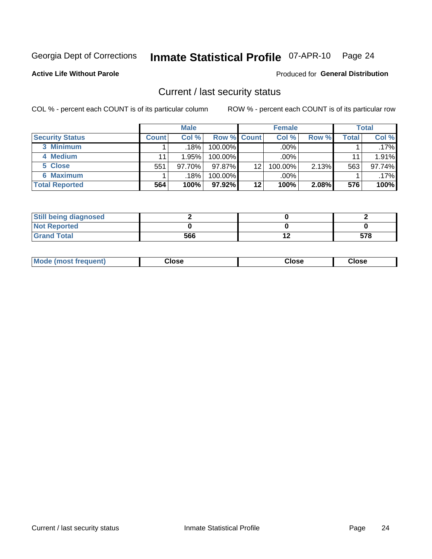## Inmate Statistical Profile 07-APR-10 Page 24

**Active Life Without Parole** 

Produced for General Distribution

#### Current / last security status

COL % - percent each COUNT is of its particular column

|                        |              | <b>Male</b> |                    |         | <b>Female</b> |       |       | <b>Total</b> |
|------------------------|--------------|-------------|--------------------|---------|---------------|-------|-------|--------------|
| <b>Security Status</b> | <b>Count</b> | Col%        | <b>Row % Count</b> |         | Col %         | Row % | Total | Col %        |
| 3 Minimum              |              | .18%        | 100.00%            |         | .00%          |       |       | $.17\%$      |
| 4 Medium               |              | 1.95%       | 100.00%            |         | .00%          |       | 11    | 1.91%        |
| 5 Close                | 551          | 97.70%      | $97.87\%$          | 12      | 100.00%       | 2.13% | 563   | 97.74%       |
| 6 Maximum              |              | .18%        | 100.00%            |         | .00%          |       |       | $.17\%$      |
| <b>Total Reported</b>  | 564          | 100%        | $97.92\%$          | $12 \,$ | 100%          | 2.08% | 576   | 100%         |

| <b>Still being diagnosed</b> |     |    |     |
|------------------------------|-----|----|-----|
| <b>Not Reported</b>          |     |    |     |
| <b>Grand Total</b>           | 566 | '' | 578 |

|  | Mode<br>: (most frequent) | Close<br>- - - - | Close | Close |
|--|---------------------------|------------------|-------|-------|
|--|---------------------------|------------------|-------|-------|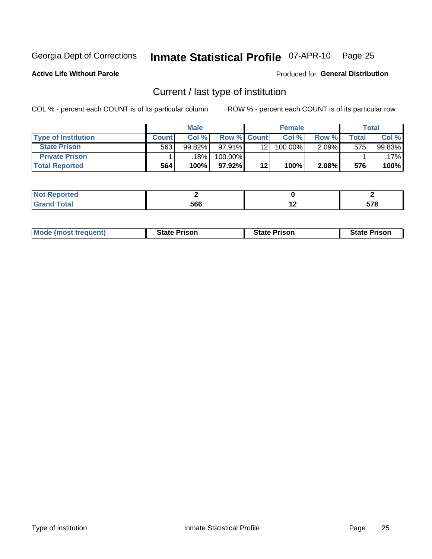#### Inmate Statistical Profile 07-APR-10 Page 25

**Active Life Without Parole** 

Produced for General Distribution

### Current / last type of institution

COL % - percent each COUNT is of its particular column

|                            |              | <b>Male</b> |                    |         | <b>Female</b> |          |              | <b>Total</b> |
|----------------------------|--------------|-------------|--------------------|---------|---------------|----------|--------------|--------------|
| <b>Type of Institution</b> | <b>Count</b> | Col %       | <b>Row % Count</b> |         | Col %         | Row %    | <b>Total</b> | Col %        |
| <b>State Prison</b>        | 563          | 99.82%      | $97.91\%$          | 12.     | 100.00%       | $2.09\%$ | 575          | 99.83%       |
| <b>Private Prison</b>      |              | 18%         | 100.00%            |         |               |          |              | .17%l        |
| <b>Total Reported</b>      | 564          | 100%        | $97.92\%$          | $12 \,$ | 100%          | 2.08%    | 576          | 100%         |

| rtea |     |     |              |
|------|-----|-----|--------------|
| otal | 566 | . . | ---<br>J 1 0 |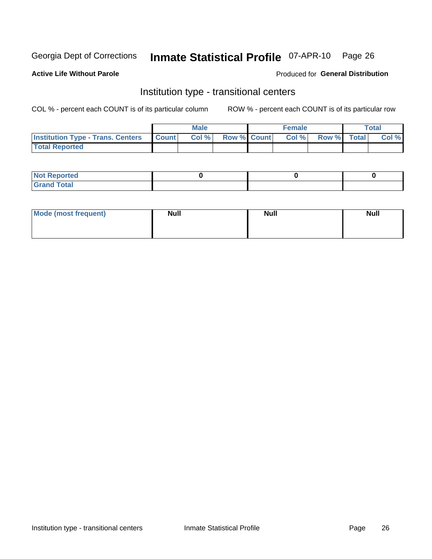## Inmate Statistical Profile 07-APR-10 Page 26

#### **Active Life Without Parole**

#### Produced for General Distribution

### Institution type - transitional centers

COL % - percent each COUNT is of its particular column

|                                                | Male  |                    | <b>Female</b> |                   | Total |
|------------------------------------------------|-------|--------------------|---------------|-------------------|-------|
| <b>Institution Type - Trans. Centers Count</b> | Col % | <b>Row % Count</b> |               | Col % Row % Total | Col % |
| <b>Total Reported</b>                          |       |                    |               |                   |       |

| <b>Reported</b><br><b>NOT</b><br>$\sim$            |  |  |
|----------------------------------------------------|--|--|
| $f$ $f \circ f \circ f$<br>$C = 1$<br><b>TULAI</b> |  |  |

| Mode (most frequent) | <b>Null</b> | <b>Null</b> | <b>Null</b> |
|----------------------|-------------|-------------|-------------|
|                      |             |             |             |
|                      |             |             |             |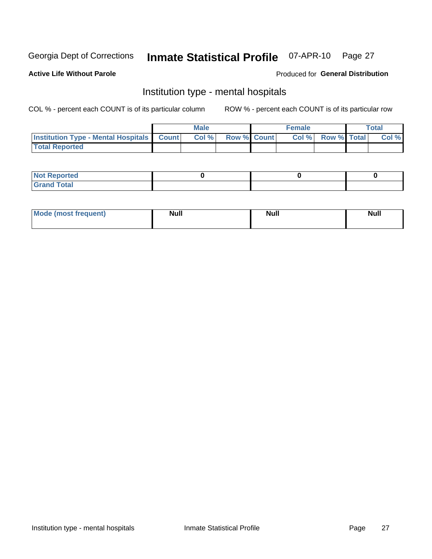#### **Inmate Statistical Profile 07-APR-10** Page 27

#### **Active Life Without Parole**

#### Produced for General Distribution

### Institution type - mental hospitals

COL % - percent each COUNT is of its particular column

|                                                  | Male |                    | <b>Female</b> |                   | <b>Total</b> |
|--------------------------------------------------|------|--------------------|---------------|-------------------|--------------|
| <b>Institution Type - Mental Hospitals Count</b> | Col% | <b>Row % Count</b> |               | Col % Row % Total | Col %        |
| <b>Total Reported</b>                            |      |                    |               |                   |              |

| <b>Not Reported</b>                     |  |  |
|-----------------------------------------|--|--|
| <b>otal</b><br>C <sub>r</sub><br>______ |  |  |

| Mode.<br>frequent) | <b>Nul</b><br>_____ | <b>Null</b> | <b>Null</b> |
|--------------------|---------------------|-------------|-------------|
|                    |                     |             |             |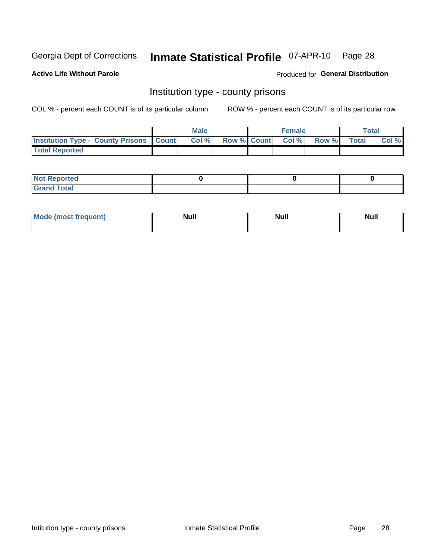## Inmate Statistical Profile 07-APR-10 Page 28

**Active Life Without Parole** 

Produced for General Distribution

#### Institution type - county prisons

COL % - percent each COUNT is of its particular column

|                                                    | <b>Male</b> |                          | <b>Female</b> |             | <b>Total</b> |
|----------------------------------------------------|-------------|--------------------------|---------------|-------------|--------------|
| <b>Institution Type - County Prisons   Count  </b> | Col %       | <b>Row % Count Col %</b> |               | Row % Total | Col %        |
| <b>Total Reported</b>                              |             |                          |               |             |              |

| <b>Not Reported</b>         |  |  |
|-----------------------------|--|--|
| <b>Total</b><br>-<br>______ |  |  |

| <b>Mode</b>      | <b>Null</b> | <b>Null</b> | <b>Null</b> |  |
|------------------|-------------|-------------|-------------|--|
| (most freauent). |             |             |             |  |
|                  |             |             |             |  |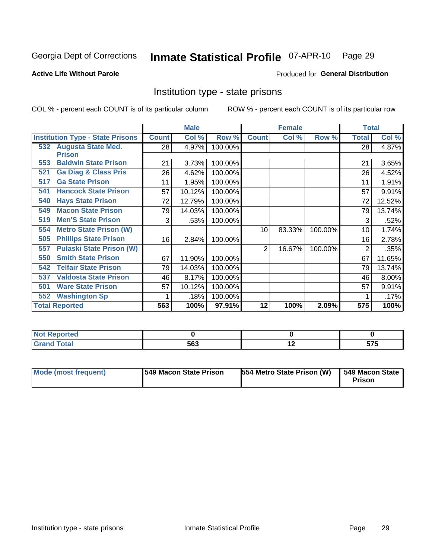## Inmate Statistical Profile 07-APR-10 Page 29

#### **Active Life Without Parole**

#### Produced for General Distribution

### Institution type - state prisons

COL % - percent each COUNT is of its particular column

|                                         |              | <b>Male</b> |         |              | <b>Female</b> |         | <b>Total</b> |        |
|-----------------------------------------|--------------|-------------|---------|--------------|---------------|---------|--------------|--------|
| <b>Institution Type - State Prisons</b> | <b>Count</b> | Col %       | Row %   | <b>Count</b> | Col %         | Row %   | <b>Total</b> | Col %  |
| 532 Augusta State Med.                  | 28           | 4.97%       | 100.00% |              |               |         | 28           | 4.87%  |
| <b>Prison</b>                           |              |             |         |              |               |         |              |        |
| <b>Baldwin State Prison</b><br>553      | 21           | 3.73%       | 100.00% |              |               |         | 21           | 3.65%  |
| <b>Ga Diag &amp; Class Pris</b><br>521  | 26           | 4.62%       | 100.00% |              |               |         | 26           | 4.52%  |
| <b>Ga State Prison</b><br>517           | 11           | 1.95%       | 100.00% |              |               |         | 11           | 1.91%  |
| <b>Hancock State Prison</b><br>541      | 57           | 10.12%      | 100.00% |              |               |         | 57           | 9.91%  |
| <b>Hays State Prison</b><br>540         | 72           | 12.79%      | 100.00% |              |               |         | 72           | 12.52% |
| <b>Macon State Prison</b><br>549        | 79           | 14.03%      | 100.00% |              |               |         | 79           | 13.74% |
| <b>Men'S State Prison</b><br>519        | 3            | .53%        | 100.00% |              |               |         | 3            | .52%   |
| <b>Metro State Prison (W)</b><br>554    |              |             |         | 10           | 83.33%        | 100.00% | 10           | 1.74%  |
| <b>Phillips State Prison</b><br>505     | 16           | 2.84%       | 100.00% |              |               |         | 16           | 2.78%  |
| <b>Pulaski State Prison (W)</b><br>557  |              |             |         | 2            | 16.67%        | 100.00% | 2            | .35%   |
| <b>Smith State Prison</b><br>550        | 67           | 11.90%      | 100.00% |              |               |         | 67           | 11.65% |
| <b>Telfair State Prison</b><br>542      | 79           | 14.03%      | 100.00% |              |               |         | 79           | 13.74% |
| <b>Valdosta State Prison</b><br>537     | 46           | 8.17%       | 100.00% |              |               |         | 46           | 8.00%  |
| <b>Ware State Prison</b><br>501         | 57           | 10.12%      | 100.00% |              |               |         | 57           | 9.91%  |
| 552<br><b>Washington Sp</b>             |              | .18%        | 100.00% |              |               |         |              | .17%   |
| <b>Total Reported</b>                   | 563          | 100%        | 97.91%  | 12           | 100%          | 2.09%   | 575          | 100%   |

| <b>Not Reported</b> |     |     |              |
|---------------------|-----|-----|--------------|
| <b>Total</b>        | 563 | . . | ヒラヒ<br>J I J |

| Mode (most frequent) | 1549 Macon State Prison | 554 Metro State Prison (W)   549 Macon State | Prison |
|----------------------|-------------------------|----------------------------------------------|--------|
|----------------------|-------------------------|----------------------------------------------|--------|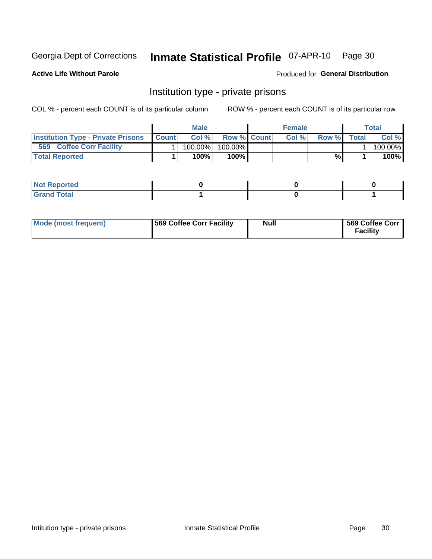## Inmate Statistical Profile 07-APR-10 Page 30

**Active Life Without Parole** 

Produced for General Distribution

### Institution type - private prisons

COL % - percent each COUNT is of its particular column

|                                                     | <b>Male</b> |                    | <b>Female</b> |       |              | Total   |
|-----------------------------------------------------|-------------|--------------------|---------------|-------|--------------|---------|
| <b>Institution Type - Private Prisons   Count  </b> | Col%        | <b>Row % Count</b> | Col %         | Row % | <b>Total</b> | Col %   |
| 569<br><b>Coffee Corr Facility</b>                  | 100.00%     | 100.00%            |               |       |              | 100.00% |
| <b>Total Reported</b>                               | $100\%$     | $100\%$            |               | %     |              | 100%    |

| Not Reported |  |  |
|--------------|--|--|
|              |  |  |

| Mode (most frequent) | 569 Coffee Corr Facility | <b>Null</b> | 569 Coffee Corr<br><b>Facility</b> |
|----------------------|--------------------------|-------------|------------------------------------|
|----------------------|--------------------------|-------------|------------------------------------|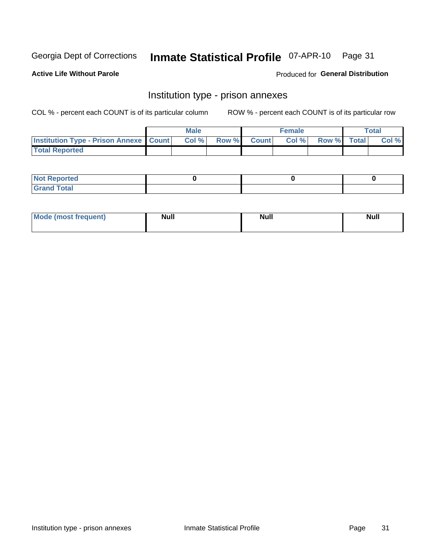## Inmate Statistical Profile 07-APR-10 Page 31

**Active Life Without Parole** 

Produced for General Distribution

## Institution type - prison annexes

COL % - percent each COUNT is of its particular column

|                                                   | <b>Male</b> |              |       | <b>Female</b> |                    | <b>Total</b> |
|---------------------------------------------------|-------------|--------------|-------|---------------|--------------------|--------------|
| <b>Institution Type - Prison Annexe   Count  </b> | Col %       | <b>Row %</b> | Count | Col %         | <b>Row %</b> Total | Col %        |
| <b>Total Reported</b>                             |             |              |       |               |                    |              |

| <b>Reported</b><br>I NOT                      |  |  |
|-----------------------------------------------|--|--|
| <b>Total</b><br>Carar<br>$\sim$ . When $\sim$ |  |  |

| Mor<br><b>ruent</b> )<br>rea<br>nos | <b>Null</b> | <b>Moll</b><br>_____ | . .<br><b>Null</b> |
|-------------------------------------|-------------|----------------------|--------------------|
|                                     |             |                      |                    |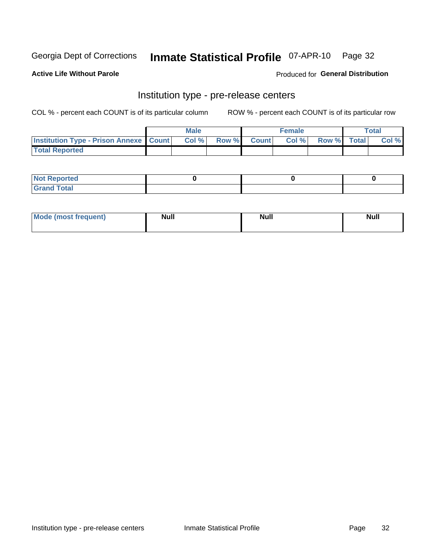## Inmate Statistical Profile 07-APR-10 Page 32

**Active Life Without Parole** 

Produced for General Distribution

## Institution type - pre-release centers

COL % - percent each COUNT is of its particular column

|                                                   | <b>Male</b> |              |       | <b>Female</b> |                    | <b>Total</b> |
|---------------------------------------------------|-------------|--------------|-------|---------------|--------------------|--------------|
| <b>Institution Type - Prison Annexe   Count  </b> | Col %       | <b>Row %</b> | Count | Col %         | <b>Row %</b> Total | Col %        |
| <b>Total Reported</b>                             |             |              |       |               |                    |              |

| <b>Reported</b><br>I NOT                      |  |  |
|-----------------------------------------------|--|--|
| <b>Total</b><br>Carar<br>$\sim$ . When $\sim$ |  |  |

| $^{\prime}$ Mo <sub>t</sub><br>frequent)<br>⊥(most | <b>Null</b> | Noll<br><b>vull</b> | <b>Null</b> |
|----------------------------------------------------|-------------|---------------------|-------------|
|                                                    |             |                     |             |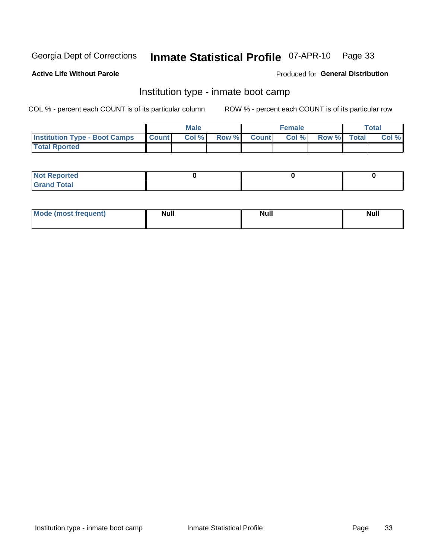#### Inmate Statistical Profile 07-APR-10 Page 33

#### **Active Life Without Parole**

#### Produced for General Distribution

### Institution type - inmate boot camp

COL % - percent each COUNT is of its particular column

|                                      |              | <b>Male</b> |               |              | <b>Female</b> |             | <b>Total</b> |
|--------------------------------------|--------------|-------------|---------------|--------------|---------------|-------------|--------------|
| <b>Institution Type - Boot Camps</b> | <b>Count</b> | Col %       | <b>Row %I</b> | <b>Count</b> | Col %         | Row % Total | Col %        |
| <b>Total Rported</b>                 |              |             |               |              |               |             |              |

| <b>Not Reported</b>            |  |  |
|--------------------------------|--|--|
| <b>Total</b><br>C <sub>r</sub> |  |  |

| <b>I Mode (most frequent)</b> | <b>Null</b> | <b>Null</b> | <b>Null</b> |
|-------------------------------|-------------|-------------|-------------|
|                               |             |             |             |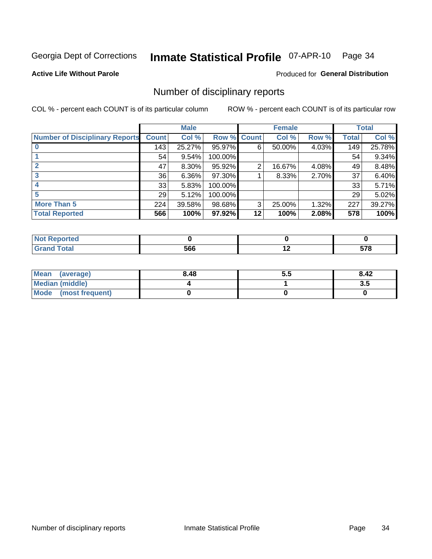#### Inmate Statistical Profile 07-APR-10 Page 34

**Active Life Without Parole** 

#### Produced for General Distribution

#### Number of disciplinary reports

COL % - percent each COUNT is of its particular column

|                                       |              | <b>Male</b> |             |    | <b>Female</b> |       |              | <b>Total</b> |
|---------------------------------------|--------------|-------------|-------------|----|---------------|-------|--------------|--------------|
| <b>Number of Disciplinary Reports</b> | <b>Count</b> | Col %       | Row % Count |    | Col %         | Row % | <b>Total</b> | Col %        |
|                                       | 143          | 25.27%      | 95.97%      | 6  | 50.00%        | 4.03% | 149          | 25.78%       |
|                                       | 54           | 9.54%       | 100.00%     |    |               |       | 54           | 9.34%        |
|                                       | 47           | 8.30%       | 95.92%      | 2  | 16.67%        | 4.08% | 49           | 8.48%        |
| 3                                     | 36           | $6.36\%$    | 97.30%      |    | 8.33%         | 2.70% | 37           | 6.40%        |
|                                       | 33           | 5.83%       | 100.00%     |    |               |       | 33           | 5.71%        |
| 5                                     | 29           | 5.12%       | 100.00%     |    |               |       | 29           | 5.02%        |
| <b>More Than 5</b>                    | 224          | 39.58%      | 98.68%      | 3  | 25.00%        | 1.32% | 227          | 39.27%       |
| <b>Total Reported</b>                 | 566          | 100%        | 97.92%      | 12 | 100%          | 2.08% | 578          | 100%         |

| <b>prted</b><br>NO |     |     |         |
|--------------------|-----|-----|---------|
| <sup>-</sup> otal  | 566 | . . | $- - -$ |

| Mean (average)       | 8.48 | ວ.ວ | 8.42 |
|----------------------|------|-----|------|
| Median (middle)      |      |     | 3.5  |
| Mode (most frequent) |      |     |      |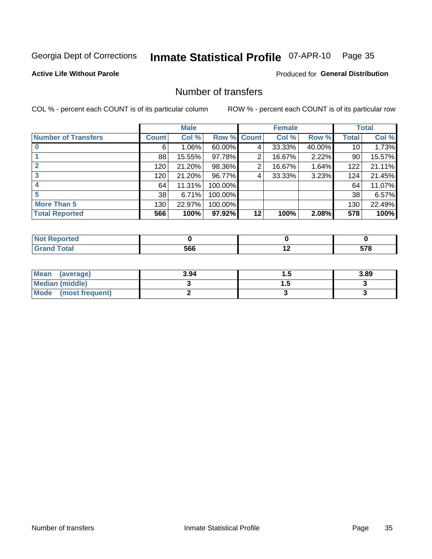## Inmate Statistical Profile 07-APR-10 Page 35

**Active Life Without Parole** 

Produced for General Distribution

### Number of transfers

COL % - percent each COUNT is of its particular column

|                            |              | <b>Male</b> |                    |    | <b>Female</b> |        |              | <b>Total</b> |
|----------------------------|--------------|-------------|--------------------|----|---------------|--------|--------------|--------------|
| <b>Number of Transfers</b> | <b>Count</b> | Col %       | <b>Row % Count</b> |    | Col %         | Row %  | <b>Total</b> | Col %        |
|                            | 6            | 1.06%       | 60.00%             | 4  | 33.33%        | 40.00% | 10           | 1.73%        |
|                            | 88           | 15.55%      | 97.78%             | 2  | 16.67%        | 2.22%  | 90           | 15.57%       |
|                            | 120          | 21.20%      | 98.36%             | 2  | 16.67%        | 1.64%  | 122          | 21.11%       |
| 3                          | 120          | 21.20%      | 96.77%             | 4  | 33.33%        | 3.23%  | 124          | 21.45%       |
|                            | 64           | 11.31%      | 100.00%            |    |               |        | 64           | 11.07%       |
|                            | 38           | 6.71%       | 100.00%            |    |               |        | 38           | 6.57%        |
| <b>More Than 5</b>         | 130          | 22.97%      | 100.00%            |    |               |        | 130          | 22.49%       |
| <b>Total Reported</b>      | 566          | 100%        | 97.92%             | 12 | 100%          | 2.08%  | 578          | 100%         |

| <b>rted</b><br>NOT |     |     |          |
|--------------------|-----|-----|----------|
| <b>otal</b>        | 566 | . . | --0<br>ັ |

| Mean (average)       | 3.94 | . | 3.89 |
|----------------------|------|---|------|
| Median (middle)      |      | . |      |
| Mode (most frequent) |      |   |      |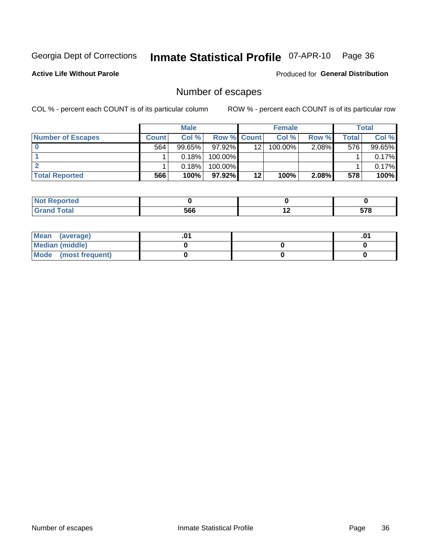## Inmate Statistical Profile 07-APR-10 Page 36

**Active Life Without Parole** 

**Produced for General Distribution** 

### Number of escapes

COL % - percent each COUNT is of its particular column

|                          |              | <b>Male</b> |                    |    | <b>Female</b> |          |       | <b>Total</b> |
|--------------------------|--------------|-------------|--------------------|----|---------------|----------|-------|--------------|
| <b>Number of Escapes</b> | <b>Count</b> | Col%        | <b>Row % Count</b> |    | Col %         | Row %    | Total | Col %        |
|                          | 564          | $99.65\%$   | $97.92\%$          | 12 | $100.00\%$    | $2.08\%$ | 576   | 99.65%       |
|                          |              | 0.18%       | 100.00%            |    |               |          |       | 0.17%        |
|                          |              | 0.18%       | 100.00%            |    |               |          |       | 0.17%        |
| <b>Total Reported</b>    | 566          | 100%        | $97.92\%$          | 12 | 100%          | $2.08\%$ | 578   | 100%         |

| <b>Not Reported</b> |     |     |                    |
|---------------------|-----|-----|--------------------|
| <b>Grand Total</b>  | 566 | . . | <b>E70</b><br>31 O |

| Mean (average)       |  | .01 |
|----------------------|--|-----|
| Median (middle)      |  |     |
| Mode (most frequent) |  |     |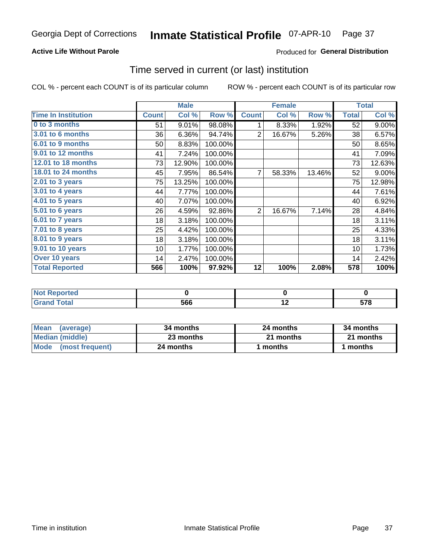## **Active Life Without Parole**

## Produced for General Distribution

## Time served in current (or last) institution

COL % - percent each COUNT is of its particular column

|                            |              | <b>Male</b> |         | <b>Female</b> |        |        | <b>Total</b> |        |
|----------------------------|--------------|-------------|---------|---------------|--------|--------|--------------|--------|
| <b>Time In Institution</b> | <b>Count</b> | Col %       | Row %   | <b>Count</b>  | Col %  | Row %  | <b>Total</b> | Col %  |
| 0 to 3 months              | 51           | 9.01%       | 98.08%  | 1             | 8.33%  | 1.92%  | 52           | 9.00%  |
| <b>3.01 to 6 months</b>    | 36           | 6.36%       | 94.74%  | 2             | 16.67% | 5.26%  | 38           | 6.57%  |
| 6.01 to 9 months           | 50           | 8.83%       | 100.00% |               |        |        | 50           | 8.65%  |
| 9.01 to 12 months          | 41           | 7.24%       | 100.00% |               |        |        | 41           | 7.09%  |
| 12.01 to 18 months         | 73           | 12.90%      | 100.00% |               |        |        | 73           | 12.63% |
| 18.01 to 24 months         | 45           | 7.95%       | 86.54%  | 7             | 58.33% | 13.46% | 52           | 9.00%  |
| $2.01$ to 3 years          | 75           | 13.25%      | 100.00% |               |        |        | 75           | 12.98% |
| 3.01 to 4 years            | 44           | 7.77%       | 100.00% |               |        |        | 44           | 7.61%  |
| 4.01 to 5 years            | 40           | 7.07%       | 100.00% |               |        |        | 40           | 6.92%  |
| 5.01 to 6 years            | 26           | 4.59%       | 92.86%  | 2             | 16.67% | 7.14%  | 28           | 4.84%  |
| 6.01 to 7 years            | 18           | 3.18%       | 100.00% |               |        |        | 18           | 3.11%  |
| 7.01 to 8 years            | 25           | 4.42%       | 100.00% |               |        |        | 25           | 4.33%  |
| 8.01 to 9 years            | 18           | 3.18%       | 100.00% |               |        |        | 18           | 3.11%  |
| 9.01 to 10 years           | 10           | 1.77%       | 100.00% |               |        |        | 10           | 1.73%  |
| Over 10 years              | 14           | 2.47%       | 100.00% |               |        |        | 14           | 2.42%  |
| <b>Total Reported</b>      | 566          | 100%        | 97.92%  | 12            | 100%   | 2.08%  | 578          | 100%   |

| Reported<br>I NOT F |     |                          |     |
|---------------------|-----|--------------------------|-----|
| <b>Total</b>        | 566 | $\overline{\phantom{0}}$ | E70 |

| <b>Mean</b><br>(average) | 34 months | 24 months | 34 months |
|--------------------------|-----------|-----------|-----------|
| Median (middle)          | 23 months | 21 months | 21 months |
| Mode (most frequent)     | 24 months | 1 months  | 1 months  |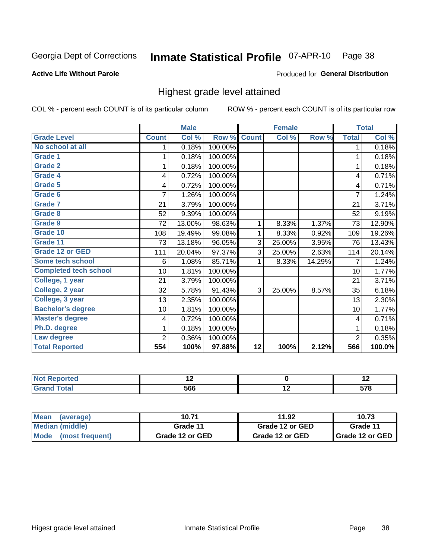#### Inmate Statistical Profile 07-APR-10 Page 38

## **Active Life Without Parole**

### **Produced for General Distribution**

## Highest grade level attained

COL % - percent each COUNT is of its particular column

|                              |                | <b>Male</b> |         |              | <b>Female</b> |        |                         | <b>Total</b> |
|------------------------------|----------------|-------------|---------|--------------|---------------|--------|-------------------------|--------------|
| <b>Grade Level</b>           | <b>Count</b>   | Col %       | Row %   | <b>Count</b> | Col %         | Row %  | <b>Total</b>            | Col %        |
| No school at all             | 1.             | 0.18%       | 100.00% |              |               |        | 1                       | 0.18%        |
| <b>Grade 1</b>               |                | 0.18%       | 100.00% |              |               |        | 1                       | 0.18%        |
| Grade 2                      |                | 0.18%       | 100.00% |              |               |        | 1                       | 0.18%        |
| <b>Grade 4</b>               | 4              | 0.72%       | 100.00% |              |               |        | 4                       | 0.71%        |
| Grade 5                      | 4              | 0.72%       | 100.00% |              |               |        | 4                       | 0.71%        |
| Grade 6                      | 7              | 1.26%       | 100.00% |              |               |        | $\overline{7}$          | 1.24%        |
| <b>Grade 7</b>               | 21             | 3.79%       | 100.00% |              |               |        | 21                      | 3.71%        |
| <b>Grade 8</b>               | 52             | 9.39%       | 100.00% |              |               |        | 52                      | 9.19%        |
| <b>Grade 9</b>               | 72             | 13.00%      | 98.63%  | 1            | 8.33%         | 1.37%  | 73                      | 12.90%       |
| Grade 10                     | 108            | 19.49%      | 99.08%  | 1            | 8.33%         | 0.92%  | 109                     | 19.26%       |
| Grade 11                     | 73             | 13.18%      | 96.05%  | 3            | 25.00%        | 3.95%  | 76                      | 13.43%       |
| <b>Grade 12 or GED</b>       | 111            | 20.04%      | 97.37%  | 3            | 25.00%        | 2.63%  | 114                     | 20.14%       |
| <b>Some tech school</b>      | 6              | 1.08%       | 85.71%  | 1            | 8.33%         | 14.29% | 7                       | 1.24%        |
| <b>Completed tech school</b> | 10             | 1.81%       | 100.00% |              |               |        | 10                      | 1.77%        |
| College, 1 year              | 21             | 3.79%       | 100.00% |              |               |        | 21                      | 3.71%        |
| College, 2 year              | 32             | 5.78%       | 91.43%  | 3            | 25.00%        | 8.57%  | 35                      | 6.18%        |
| College, 3 year              | 13             | 2.35%       | 100.00% |              |               |        | 13                      | 2.30%        |
| <b>Bachelor's degree</b>     | 10             | 1.81%       | 100.00% |              |               |        | 10                      | 1.77%        |
| <b>Master's degree</b>       | 4              | 0.72%       | 100.00% |              |               |        | $\overline{\mathbf{4}}$ | 0.71%        |
| Ph.D. degree                 | 1              | 0.18%       | 100.00% |              |               |        | 1                       | 0.18%        |
| Law degree                   | $\overline{2}$ | 0.36%       | 100.00% |              |               |        | $\overline{2}$          | 0.35%        |
| <b>Total Reported</b>        | 554            | 100%        | 97.88%  | 12           | 100%          | 2.12%  | 566                     | 100.0%       |

| onteol | $\sim$ | $\sim$ |
|--------|--------|--------|
|        | 566    | --^    |

| <b>Mean</b><br>(average) | 10.71           | 11.92           | 10.73             |
|--------------------------|-----------------|-----------------|-------------------|
| Median (middle)          | Grade 11        | Grade 12 or GED | Grade 11          |
| Mode (most frequent)     | Grade 12 or GED | Grade 12 or GED | I Grade 12 or GED |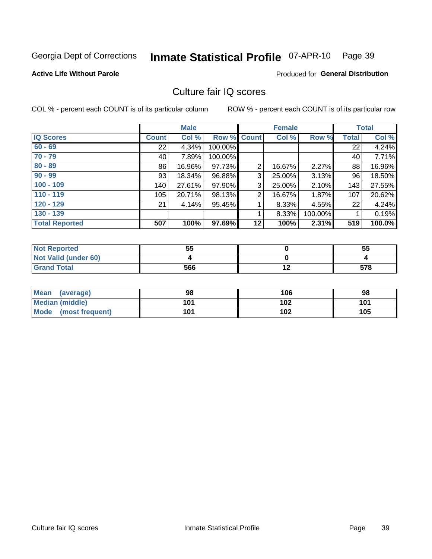#### Inmate Statistical Profile 07-APR-10 Page 39

### **Active Life Without Parole**

## **Produced for General Distribution**

## Culture fair IQ scores

COL % - percent each COUNT is of its particular column

|                       |              | <b>Male</b> |                    |                | <b>Female</b> |         |              | <b>Total</b> |
|-----------------------|--------------|-------------|--------------------|----------------|---------------|---------|--------------|--------------|
| <b>IQ Scores</b>      | <b>Count</b> | Col %       | <b>Row % Count</b> |                | Col %         | Row %   | <b>Total</b> | Col %        |
| $60 - 69$             | 22           | 4.34%       | 100.00%            |                |               |         | 22           | 4.24%        |
| $70 - 79$             | 40           | 7.89%       | 100.00%            |                |               |         | 40           | 7.71%        |
| $80 - 89$             | 86           | 16.96%      | 97.73%             | $\overline{2}$ | 16.67%        | 2.27%   | 88           | 16.96%       |
| $90 - 99$             | 93           | 18.34%      | 96.88%             | 3              | 25.00%        | 3.13%   | 96           | 18.50%       |
| $100 - 109$           | 140          | 27.61%      | 97.90%             | 3              | 25.00%        | 2.10%   | 143          | 27.55%       |
| $110 - 119$           | 105          | 20.71%      | 98.13%             | $\overline{2}$ | 16.67%        | 1.87%   | 107          | 20.62%       |
| $120 - 129$           | 21           | 4.14%       | 95.45%             |                | 8.33%         | 4.55%   | 22           | 4.24%        |
| $130 - 139$           |              |             |                    | 1              | 8.33%         | 100.00% |              | 0.19%        |
| <b>Total Reported</b> | 507          | 100%        | 97.69%             | 12             | 100%          | 2.31%   | 519          | 100.0%       |

| <b>Not Reported</b>  | 55  | 55  |
|----------------------|-----|-----|
| Not Valid (under 60) |     |     |
| <b>Grand Total</b>   | 566 | 578 |

| <b>Mean</b><br>(average) | 98  | 106 | 98  |
|--------------------------|-----|-----|-----|
| <b>Median (middle)</b>   | 101 | 102 | 101 |
| Mode<br>(most frequent)  | 101 | 102 | 105 |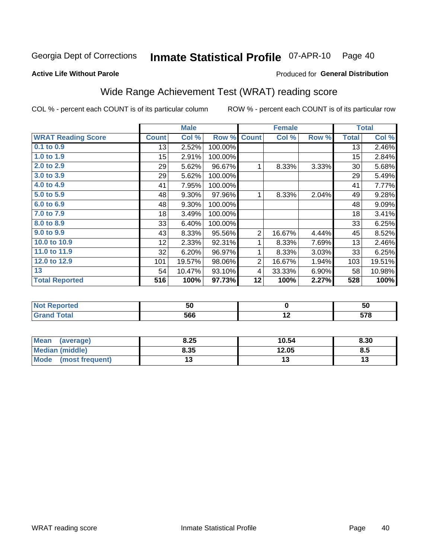#### Inmate Statistical Profile 07-APR-10 Page 40

### **Active Life Without Parole**

## Produced for General Distribution

# Wide Range Achievement Test (WRAT) reading score

COL % - percent each COUNT is of its particular column

|                           |                 | <b>Male</b> |         |                | <b>Female</b> |       |              | <b>Total</b> |
|---------------------------|-----------------|-------------|---------|----------------|---------------|-------|--------------|--------------|
| <b>WRAT Reading Score</b> | <b>Count</b>    | Col %       | Row %   | <b>Count</b>   | Col %         | Row % | <b>Total</b> | Col %        |
| $0.1$ to $0.9$            | 13              | 2.52%       | 100.00% |                |               |       | 13           | 2.46%        |
| 1.0 to 1.9                | 15              | 2.91%       | 100.00% |                |               |       | 15           | 2.84%        |
| 2.0 to 2.9                | 29              | 5.62%       | 96.67%  | 1              | 8.33%         | 3.33% | 30           | 5.68%        |
| 3.0 to 3.9                | 29              | 5.62%       | 100.00% |                |               |       | 29           | 5.49%        |
| 4.0 to 4.9                | 41              | 7.95%       | 100.00% |                |               |       | 41           | 7.77%        |
| 5.0 to 5.9                | 48              | 9.30%       | 97.96%  | 1              | 8.33%         | 2.04% | 49           | 9.28%        |
| 6.0 to 6.9                | 48              | 9.30%       | 100.00% |                |               |       | 48           | 9.09%        |
| 7.0 to 7.9                | 18              | 3.49%       | 100.00% |                |               |       | 18           | 3.41%        |
| 8.0 to 8.9                | 33              | 6.40%       | 100.00% |                |               |       | 33           | 6.25%        |
| 9.0 to 9.9                | 43              | 8.33%       | 95.56%  | $\overline{2}$ | 16.67%        | 4.44% | 45           | 8.52%        |
| 10.0 to 10.9              | 12 <sub>2</sub> | 2.33%       | 92.31%  | 1              | 8.33%         | 7.69% | 13           | 2.46%        |
| 11.0 to 11.9              | 32              | 6.20%       | 96.97%  | 1              | 8.33%         | 3.03% | 33           | 6.25%        |
| 12.0 to 12.9              | 101             | 19.57%      | 98.06%  | $\overline{2}$ | 16.67%        | 1.94% | 103          | 19.51%       |
| 13                        | 54              | 10.47%      | 93.10%  | 4              | 33.33%        | 6.90% | 58           | 10.98%       |
| <b>Total Reported</b>     | 516             | 100%        | 97.73%  | 12             | 100%          | 2.27% | 528          | 100%         |
|                           |                 |             |         |                |               |       |              |              |

| <b>Not Reported</b> | 50  |     | 50           |
|---------------------|-----|-----|--------------|
| <b>Grand Total</b>  | 566 | . . | E70<br>v i u |

| <b>Mean</b><br>(average) | 8.25 | 10.54 | 8.30 |
|--------------------------|------|-------|------|
| Median (middle)          | 8.35 | 12.05 | 8.5  |
| Mode<br>(most frequent)  | . .  | 17    | ויי  |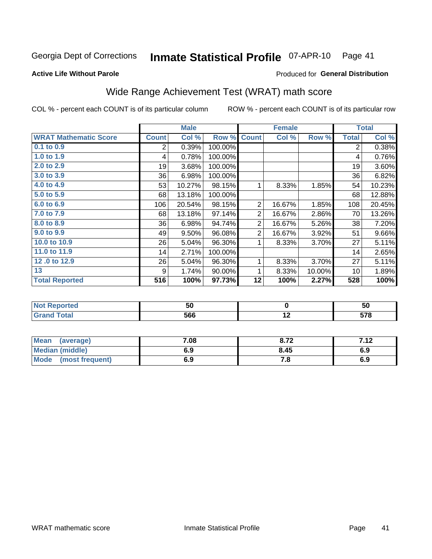#### Inmate Statistical Profile 07-APR-10 Page 41

Produced for General Distribution

## **Active Life Without Parole**

# Wide Range Achievement Test (WRAT) math score

COL % - percent each COUNT is of its particular column

|                                  |                | <b>Male</b> |         |                | <b>Female</b> |        |                | <b>Total</b> |
|----------------------------------|----------------|-------------|---------|----------------|---------------|--------|----------------|--------------|
| <b>WRAT Mathematic Score</b>     | <b>Count</b>   | Col %       | Row %   | <b>Count</b>   | Col %         | Row %  | <b>Total</b>   | Col %        |
| 0.1 to 0.9                       | $\overline{2}$ | 0.39%       | 100.00% |                |               |        | $\overline{2}$ | 0.38%        |
| 1.0 to 1.9                       | 4              | 0.78%       | 100.00% |                |               |        | 4              | 0.76%        |
| 2.0 to 2.9                       | 19             | 3.68%       | 100.00% |                |               |        | 19             | 3.60%        |
| 3.0 to 3.9                       | 36             | 6.98%       | 100.00% |                |               |        | 36             | 6.82%        |
| 4.0 to 4.9                       | 53             | 10.27%      | 98.15%  | 1              | 8.33%         | 1.85%  | 54             | 10.23%       |
| 5.0 to 5.9                       | 68             | 13.18%      | 100.00% |                |               |        | 68             | 12.88%       |
| 6.0 to 6.9                       | 106            | 20.54%      | 98.15%  | $\overline{2}$ | 16.67%        | 1.85%  | 108            | 20.45%       |
| 7.0 to 7.9                       | 68             | 13.18%      | 97.14%  | $\overline{2}$ | 16.67%        | 2.86%  | 70             | 13.26%       |
| 8.0 to 8.9                       | 36             | 6.98%       | 94.74%  | $\overline{2}$ | 16.67%        | 5.26%  | 38             | 7.20%        |
| 9.0 to 9.9                       | 49             | 9.50%       | 96.08%  | $\overline{2}$ | 16.67%        | 3.92%  | 51             | 9.66%        |
| 10.0 to 10.9                     | 26             | 5.04%       | 96.30%  | 1              | 8.33%         | 3.70%  | 27             | 5.11%        |
| 11.0 to 11.9                     | 14             | 2.71%       | 100.00% |                |               |        | 14             | 2.65%        |
| 12.0 to 12.9                     | 26             | 5.04%       | 96.30%  | 1              | 8.33%         | 3.70%  | 27             | 5.11%        |
| 13                               | 9              | 1.74%       | 90.00%  | 1              | 8.33%         | 10.00% | 10             | 1.89%        |
| <b>Total Reported</b>            | 516            | 100%        | 97.73%  | 12             | 100%          | 2.27%  | 528            | 100%         |
|                                  |                |             |         |                |               |        |                |              |
| <b>All and Photos and Call 1</b> |                | <b>FA</b>   |         |                | $\sim$        |        |                | <b>FA</b>    |

| 566<br>---<br><b>otal</b> | Reported | 70<br>วบ | วเ |
|---------------------------|----------|----------|----|
|                           |          |          |    |

| Mean (average)         | 7.08 | 8.72  | 712<br>7. IZ |
|------------------------|------|-------|--------------|
| <b>Median (middle)</b> | 6.9  | 8.45  | 6.9          |
| Mode (most frequent)   | 6.9  | . . 0 | 6.9          |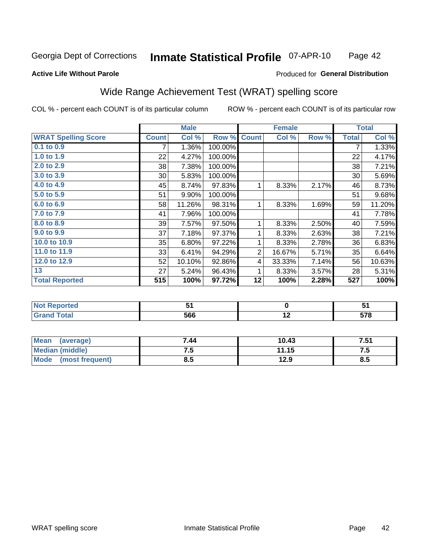#### Inmate Statistical Profile 07-APR-10 Page 42

### **Active Life Without Parole**

## Produced for General Distribution

# Wide Range Achievement Test (WRAT) spelling score

COL % - percent each COUNT is of its particular column

| <b>WRAT Spelling Score</b><br>$0.1$ to $0.9$ | <b>Count</b> | Col %  | Row %   |                |                 |       |              |                  |
|----------------------------------------------|--------------|--------|---------|----------------|-----------------|-------|--------------|------------------|
|                                              |              |        |         | <b>Count</b>   | Col %           | Row % | <b>Total</b> | Col %            |
|                                              | 7            | 1.36%  | 100.00% |                |                 |       | 7            | 1.33%            |
| 1.0 to 1.9                                   | 22           | 4.27%  | 100.00% |                |                 |       | 22           | 4.17%            |
| 2.0 to 2.9                                   | 38           | 7.38%  | 100.00% |                |                 |       | 38           | 7.21%            |
| 3.0 to 3.9                                   | 30           | 5.83%  | 100.00% |                |                 |       | 30           | 5.69%            |
| 4.0 to 4.9                                   | 45           | 8.74%  | 97.83%  | 1              | 8.33%           | 2.17% | 46           | 8.73%            |
| 5.0 t <sub>0</sub> 5.9                       | 51           | 9.90%  | 100.00% |                |                 |       | 51           | 9.68%            |
| 6.0 to 6.9                                   | 58           | 11.26% | 98.31%  | 1              | 8.33%           | 1.69% | 59           | 11.20%           |
| 7.0 to 7.9                                   | 41           | 7.96%  | 100.00% |                |                 |       | 41           | 7.78%            |
| 8.0 to 8.9                                   | 39           | 7.57%  | 97.50%  | 1              | 8.33%           | 2.50% | 40           | 7.59%            |
| 9.0 to 9.9                                   | 37           | 7.18%  | 97.37%  | 1              | 8.33%           | 2.63% | 38           | 7.21%            |
| 10.0 to 10.9                                 | 35           | 6.80%  | 97.22%  | 1              | 8.33%           | 2.78% | 36           | 6.83%            |
| 11.0 to 11.9                                 | 33           | 6.41%  | 94.29%  | $\overline{2}$ | 16.67%          | 5.71% | 35           | 6.64%            |
| 12.0 to 12.9                                 | 52           | 10.10% | 92.86%  | 4              | 33.33%          | 7.14% | 56           | 10.63%           |
| 13                                           | 27           | 5.24%  | 96.43%  | 1              | 8.33%           | 3.57% | 28           | 5.31%            |
| <b>Total Reported</b>                        | 515          | 100%   | 97.72%  | 12             | 100%            | 2.28% | 527          | 100%             |
|                                              |              |        |         |                |                 |       |              |                  |
| <b>Not Reported</b>                          |              | 51     |         |                | $\mathbf 0$     |       |              | 51               |
| <b>Grand Total</b>                           |              | 566    |         |                | $\overline{12}$ |       |              | $\overline{578}$ |

| <b>Mean</b><br>(average) | 7.44 | 10.43 | 7.51 |
|--------------------------|------|-------|------|
| <b>Median (middle)</b>   | ن. ا | 11.15 | ن. ا |
| Mode<br>(most frequent)  | ช.ว  | 12.9  | ၓ.Ე  |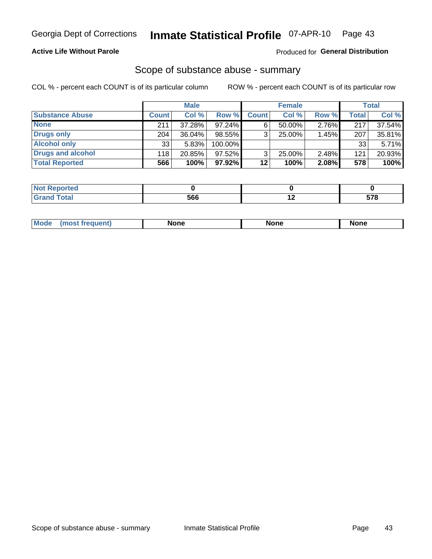## **Active Life Without Parole**

## Produced for General Distribution

## Scope of substance abuse - summary

COL % - percent each COUNT is of its particular column

|                        |              | <b>Male</b> |         |              | <b>Female</b> |       |       | <b>Total</b> |
|------------------------|--------------|-------------|---------|--------------|---------------|-------|-------|--------------|
| <b>Substance Abuse</b> | <b>Count</b> | Col %       | Row %   | <b>Count</b> | Col %         | Row % | Total | Col %        |
| <b>None</b>            | 211          | 37.28%      | 97.24%  |              | $50.00\%$     | 2.76% | 217   | 37.54%       |
| <b>Drugs only</b>      | 204          | $36.04\%$   | 98.55%  |              | 25.00%        | 1.45% | 207   | 35.81%       |
| <b>Alcohol only</b>    | 33           | 5.83%       | 100.00% |              |               |       | 33    | 5.71%        |
| Drugs and alcohol      | 118          | 20.85%      | 97.52%  |              | $25.00\%$     | 2.48% | 121   | 20.93%       |
| <b>Total Reported</b>  | 566          | 100%        | 97.92%  | 12           | 100%          | 2.08% | 578   | 100%         |

| <b>Not</b><br><b>Reported</b> |     |     |
|-------------------------------|-----|-----|
| <b>Grand Total</b>            | 566 | --0 |

| nuem | <b>Mo</b> | None | <b>None</b> | None |
|------|-----------|------|-------------|------|
|------|-----------|------|-------------|------|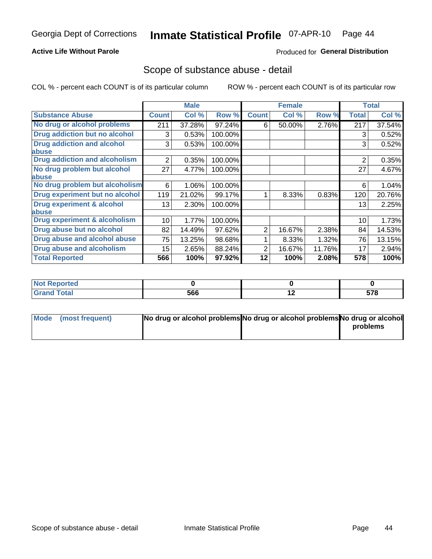## **Active Life Without Parole**

## Produced for General Distribution

## Scope of substance abuse - detail

COL % - percent each COUNT is of its particular column

|                                         |                | <b>Male</b> |         |              | <b>Female</b> |        |                | <b>Total</b> |
|-----------------------------------------|----------------|-------------|---------|--------------|---------------|--------|----------------|--------------|
| <b>Substance Abuse</b>                  | <b>Count</b>   | Col %       | Row %   | <b>Count</b> | Col %         | Row %  | <b>Total</b>   | Col %        |
| No drug or alcohol problems             | 211            | 37.28%      | 97.24%  | 6            | 50.00%        | 2.76%  | 217            | 37.54%       |
| Drug addiction but no alcohol           | 3              | 0.53%       | 100.00% |              |               |        | 3              | 0.52%        |
| <b>Drug addiction and alcohol</b>       | 3              | 0.53%       | 100.00% |              |               |        | 3              | 0.52%        |
| abuse                                   |                |             |         |              |               |        |                |              |
| <b>Drug addiction and alcoholism</b>    | $\overline{2}$ | 0.35%       | 100.00% |              |               |        | $\overline{2}$ | 0.35%        |
| No drug problem but alcohol             | 27             | 4.77%       | 100.00% |              |               |        | 27             | 4.67%        |
| abuse                                   |                |             |         |              |               |        |                |              |
| No drug problem but alcoholism          | 6              | 1.06%       | 100.00% |              |               |        | 6              | 1.04%        |
| Drug experiment but no alcohol          | 119            | 21.02%      | 99.17%  |              | 8.33%         | 0.83%  | 120            | 20.76%       |
| <b>Drug experiment &amp; alcohol</b>    | 13             | 2.30%       | 100.00% |              |               |        | 13             | 2.25%        |
| abuse                                   |                |             |         |              |               |        |                |              |
| <b>Drug experiment &amp; alcoholism</b> | 10             | 1.77%       | 100.00% |              |               |        | 10             | 1.73%        |
| Drug abuse but no alcohol               | 82             | 14.49%      | 97.62%  | 2            | 16.67%        | 2.38%  | 84             | 14.53%       |
| Drug abuse and alcohol abuse            | 75             | 13.25%      | 98.68%  |              | 8.33%         | 1.32%  | 76             | 13.15%       |
| <b>Drug abuse and alcoholism</b>        | 15             | 2.65%       | 88.24%  | 2            | 16.67%        | 11.76% | 17             | 2.94%        |
| <b>Total Reported</b>                   | 566            | 100%        | 97.92%  | 12           | 100%          | 2.08%  | 578            | 100%         |

| ported      |     |     |                  |
|-------------|-----|-----|------------------|
| <b>otal</b> | 566 | . . | <b>E70</b><br>J1 |

| Mode (most frequent) | No drug or alcohol problems No drug or alcohol problems No drug or alcohol |          |
|----------------------|----------------------------------------------------------------------------|----------|
|                      |                                                                            | problems |
|                      |                                                                            |          |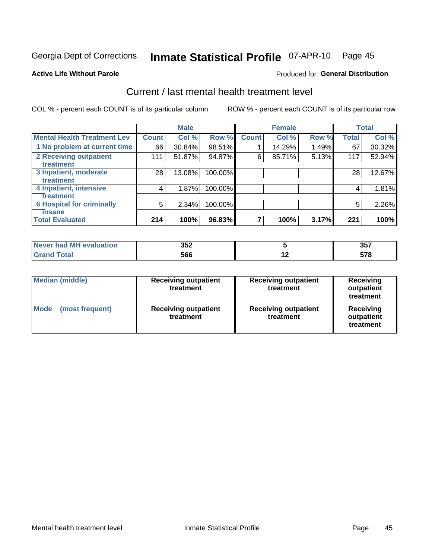#### Inmate Statistical Profile 07-APR-10 Page 45

### **Active Life Without Parole**

## **Produced for General Distribution**

# Current / last mental health treatment level

COL % - percent each COUNT is of its particular column

|                                    |              | <b>Male</b> |         |              | <b>Female</b> |       |              | <b>Total</b> |
|------------------------------------|--------------|-------------|---------|--------------|---------------|-------|--------------|--------------|
| <b>Mental Health Treatment Lev</b> | <b>Count</b> | Col %       | Row %   | <b>Count</b> | Col %         | Row % | <b>Total</b> | Col %        |
| 1 No problem at current time       | 66           | 30.84%      | 98.51%  |              | 14.29%        | 1.49% | 67           | 30.32%       |
| 2 Receiving outpatient             | 111          | 51.87%      | 94.87%  | 6            | 85.71%        | 5.13% | 117          | 52.94%       |
| <b>Treatment</b>                   |              |             |         |              |               |       |              |              |
| 3 Inpatient, moderate<br>Treatment | 28           | 13.08%      | 100.00% |              |               |       | 28           | 12.67%       |
| 4 Inpatient, intensive             | 4            | 1.87%       | 100.00% |              |               |       | 4            | 1.81%        |
| <b>Treatment</b>                   |              |             |         |              |               |       |              |              |
| <b>6 Hospital for criminally</b>   | 5            | 2.34%       | 100.00% |              |               |       | 5            | 2.26%        |
| Tinsane                            |              |             |         |              |               |       |              |              |
| <b>Total Evaluated</b>             | 214          | 100%        | 96.83%  |              | 100%          | 3.17% | 221          | 100%         |

| evaluation<br>-M'<br><b>NAVAR</b><br>nan | 352 |     | クロフ<br><b>UU</b> |
|------------------------------------------|-----|-----|------------------|
|                                          | 566 | . . | 670<br>          |

| <b>Median (middle)</b>  | <b>Receiving outpatient</b><br>treatment | <b>Receiving outpatient</b><br>treatment | <b>Receiving</b><br>outpatient<br>treatment |  |
|-------------------------|------------------------------------------|------------------------------------------|---------------------------------------------|--|
| Mode<br>(most frequent) | <b>Receiving outpatient</b><br>treatment | <b>Receiving outpatient</b><br>treatment | Receiving<br>outpatient<br>treatment        |  |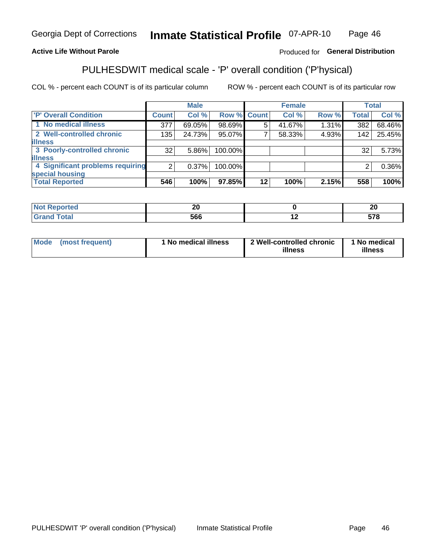#### **Inmate Statistical Profile 07-APR-10** Page 46

## **Active Life Without Parole**

## Produced for General Distribution

# PULHESDWIT medical scale - 'P' overall condition ('P'hysical)

COL % - percent each COUNT is of its particular column

|                                  |         | <b>Male</b> |                    |         | <b>Female</b> |       |              | <b>Total</b> |
|----------------------------------|---------|-------------|--------------------|---------|---------------|-------|--------------|--------------|
| 'P' Overall Condition            | Count l | Col %       | <b>Row % Count</b> |         | Col %         | Row % | <b>Total</b> | Col %        |
| 1 No medical illness             | 377     | 69.05%      | 98.69%             | 5       | 41.67%        | 1.31% | 382          | 68.46%       |
| 2 Well-controlled chronic        | 135     | 24.73%      | 95.07%             |         | 58.33%        | 4.93% | 142          | 25.45%       |
| <b>illness</b>                   |         |             |                    |         |               |       |              |              |
| 3 Poorly-controlled chronic      | 32      | $5.86\%$    | 100.00%            |         |               |       | 32           | 5.73%        |
| <b>illness</b>                   |         |             |                    |         |               |       |              |              |
| 4 Significant problems requiring | ົ       | $0.37\%$    | 100.00%            |         |               |       | 2            | 0.36%        |
| special housing                  |         |             |                    |         |               |       |              |              |
| <b>Total Reported</b>            | 546     | 100%        | 97.85%             | $12 \,$ | 100%          | 2.15% | 558          | 100%         |

| nr.<br>Δu |     | л.<br>ΔU |
|-----------|-----|----------|
| 566       | . . | ---      |

| Mode | (most frequent) | No medical illness | 2 Well-controlled chronic<br>illness | 1 No medical<br>illness |
|------|-----------------|--------------------|--------------------------------------|-------------------------|
|------|-----------------|--------------------|--------------------------------------|-------------------------|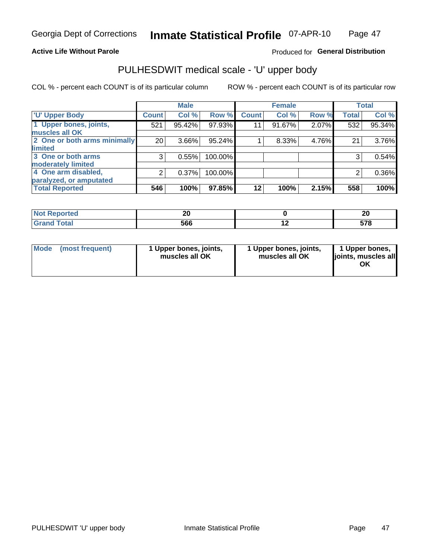## **Active Life Without Parole**

## Produced for General Distribution

# PULHESDWIT medical scale - 'U' upper body

COL % - percent each COUNT is of its particular column

|                              |                    | <b>Male</b> |         |              | <b>Female</b> |       |              | <b>Total</b> |
|------------------------------|--------------------|-------------|---------|--------------|---------------|-------|--------------|--------------|
| <b>U' Upper Body</b>         | Count <sup>1</sup> | Col %       | Row %   | <b>Count</b> | Col %         | Row % | <b>Total</b> | Col %        |
| 1 Upper bones, joints,       | 521                | 95.42%      | 97.93%  | 11           | 91.67%        | 2.07% | 532          | 95.34%       |
| muscles all OK               |                    |             |         |              |               |       |              |              |
| 2 One or both arms minimally | 20 <sup>1</sup>    | 3.66%       | 95.24%  |              | 8.33%         | 4.76% | 21           | 3.76%        |
| limited                      |                    |             |         |              |               |       |              |              |
| 3 One or both arms           | 3                  | 0.55%       | 100.00% |              |               |       | 3            | 0.54%        |
| moderately limited           |                    |             |         |              |               |       |              |              |
| 4 One arm disabled,          | 2                  | 0.37%       | 100.00% |              |               |       | 2            | 0.36%        |
| paralyzed, or amputated      |                    |             |         |              |               |       |              |              |
| <b>Total Reported</b>        | 546                | 100%        | 97.85%  | $12 \,$      | 100%          | 2.15% | 558          | 100%         |

| <b>Not Reported</b>      | ົ   | ິ<br>44     |
|--------------------------|-----|-------------|
| <b>Total</b><br>ا الله ا | 566 | E70<br>JI V |

|  | Mode (most frequent) | 1 Upper bones, joints,<br>muscles all OK | 1 Upper bones, joints,<br>muscles all OK | 1 Upper bones,<br>ljoints, muscles all<br>ΟK |
|--|----------------------|------------------------------------------|------------------------------------------|----------------------------------------------|
|--|----------------------|------------------------------------------|------------------------------------------|----------------------------------------------|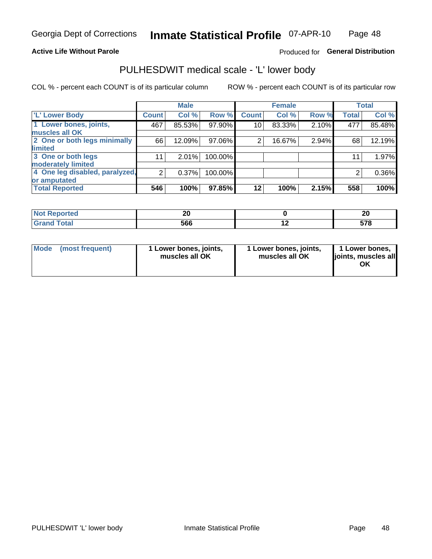## **Active Life Without Parole**

## Produced for General Distribution

## PULHESDWIT medical scale - 'L' lower body

COL % - percent each COUNT is of its particular column

|                                |                | <b>Male</b> |         |              | <b>Female</b> |       |              | <b>Total</b> |
|--------------------------------|----------------|-------------|---------|--------------|---------------|-------|--------------|--------------|
| 'L' Lower Body                 | <b>Count</b>   | Col %       | Row %   | <b>Count</b> | Col %         | Row % | <b>Total</b> | Col %        |
| 1 Lower bones, joints,         | 467            | 85.53%      | 97.90%  | 10           | 83.33%        | 2.10% | 477          | 85.48%       |
| muscles all OK                 |                |             |         |              |               |       |              |              |
| 2 One or both legs minimally   | 66             | 12.09%      | 97.06%  | 2            | 16.67%        | 2.94% | 68           | 12.19%       |
| limited                        |                |             |         |              |               |       |              |              |
| 3 One or both legs             | 11             | 2.01%       | 100.00% |              |               |       | 11           | 1.97%        |
| moderately limited             |                |             |         |              |               |       |              |              |
| 4 One leg disabled, paralyzed, | $\overline{2}$ | 0.37%       | 100.00% |              |               |       | 2            | 0.36%        |
| or amputated                   |                |             |         |              |               |       |              |              |
| <b>Total Reported</b>          | 546            | 100%        | 97.85%  | $12 \,$      | 100%          | 2.15% | 558          | 100%         |

| <b>Not Reported</b>      | ົ   | ິ<br>44     |
|--------------------------|-----|-------------|
| <b>Total</b><br>ا الله ا | 566 | E70<br>JI V |

| Mode | (most frequent) | 1 Lower bones, joints,<br>muscles all OK | 1 Lower bones, joints,<br>muscles all OK | 1 Lower bones,<br>ljoints, muscles all<br>OK |
|------|-----------------|------------------------------------------|------------------------------------------|----------------------------------------------|
|------|-----------------|------------------------------------------|------------------------------------------|----------------------------------------------|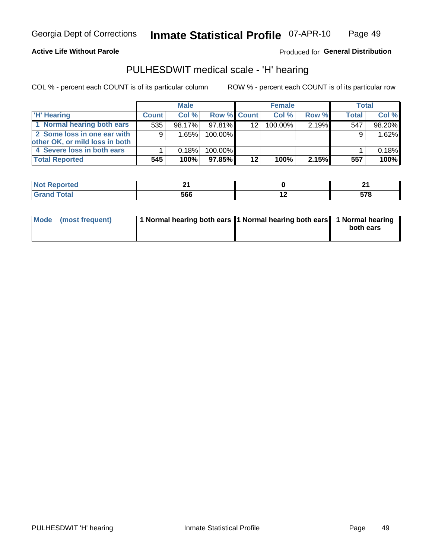## **Active Life Without Parole**

## Produced for General Distribution

## PULHESDWIT medical scale - 'H' hearing

COL % - percent each COUNT is of its particular column

|                                |              | <b>Male</b> |                    |                 | <b>Female</b> |       | <b>Total</b> |        |
|--------------------------------|--------------|-------------|--------------------|-----------------|---------------|-------|--------------|--------|
| <b>H' Hearing</b>              | <b>Count</b> | Col %       | <b>Row % Count</b> |                 | Col%          | Row % | <b>Total</b> | Col %  |
| 1 Normal hearing both ears     | 535          | 98.17%      | 97.81%             | 12 <sub>1</sub> | 100.00%       | 2.19% | 547          | 98.20% |
| 2 Some loss in one ear with    | 9            | 1.65%       | 100.00%            |                 |               |       | 9            | 1.62%  |
| other OK, or mild loss in both |              |             |                    |                 |               |       |              |        |
| 4 Severe loss in both ears     |              | 0.18%       | 100.00%            |                 |               |       |              | 0.18%  |
| <b>Total Reported</b>          | 545          | 100%        | 97.85%             | 12              | 100%          | 2.15% | 557          | 100%   |

| тео    |            | $ -$       |
|--------|------------|------------|
| $\sim$ | ECC<br>ססכ | <b>E70</b> |

| Mode (most frequent) | 1 Normal hearing both ears 1 Normal hearing both ears 1 Normal hearing |           |
|----------------------|------------------------------------------------------------------------|-----------|
|                      |                                                                        | both ears |
|                      |                                                                        |           |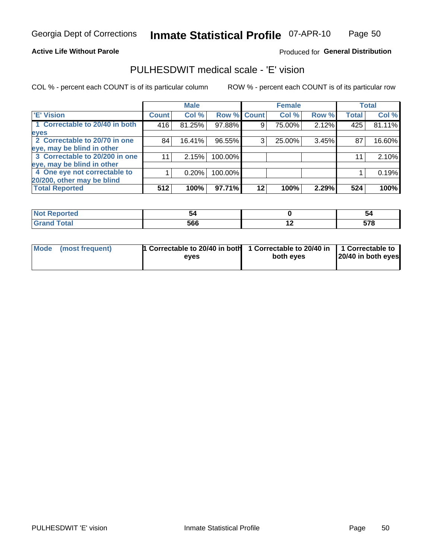### **Active Life Without Parole**

## Produced for General Distribution

## PULHESDWIT medical scale - 'E' vision

COL % - percent each COUNT is of its particular column

|                                |              | <b>Male</b> |           |             | <b>Female</b> |       |              | <b>Total</b> |
|--------------------------------|--------------|-------------|-----------|-------------|---------------|-------|--------------|--------------|
| <b>E' Vision</b>               | <b>Count</b> | Col %       |           | Row % Count | Col %         | Row % | <b>Total</b> | Col %        |
| 1 Correctable to 20/40 in both | 416          | 81.25%      | 97.88%    | 9           | 75.00%        | 2.12% | 425          | 81.11%       |
| eyes                           |              |             |           |             |               |       |              |              |
| 2 Correctable to 20/70 in one  | 84           | 16.41%      | 96.55%    | 3           | 25.00%        | 3.45% | 87           | 16.60%       |
| eye, may be blind in other     |              |             |           |             |               |       |              |              |
| 3 Correctable to 20/200 in one | 11           | 2.15%       | 100.00%   |             |               |       | 11           | 2.10%        |
| eye, may be blind in other     |              |             |           |             |               |       |              |              |
| 4 One eye not correctable to   |              | 0.20%       | 100.00%   |             |               |       |              | 0.19%        |
| 20/200, other may be blind     |              |             |           |             |               |       |              |              |
| <b>Total Reported</b>          | 512          | 100%        | $97.71\%$ | $12 \,$     | 100%          | 2.29% | 524          | 100%         |

| المناسبة المسابر<br>prted<br><b>NOT RELESS</b><br>. <b>.</b> | э.  |     | -34               |
|--------------------------------------------------------------|-----|-----|-------------------|
| <b>Total</b>                                                 | 566 | . . | <b>E70</b><br>J10 |

| Mode (most frequent) | <sup>1</sup> Correctable to 20/40 in both 1 Correctable to 20/40 in 1 Correctable to<br>eves | both eyes | 20/40 in both eyes |  |
|----------------------|----------------------------------------------------------------------------------------------|-----------|--------------------|--|
|                      |                                                                                              |           |                    |  |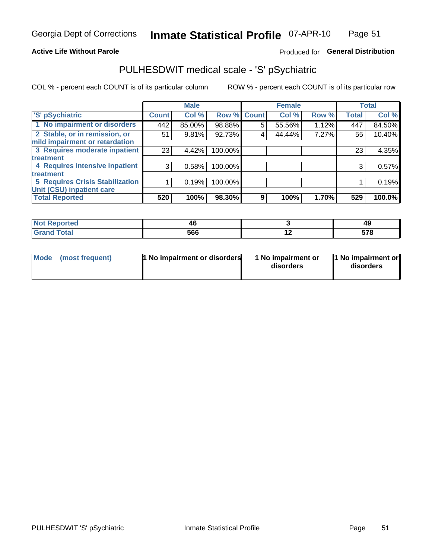## **Active Life Without Parole**

## Produced for General Distribution

# PULHESDWIT medical scale - 'S' pSychiatric

COL % - percent each COUNT is of its particular column

|                                                                 |              | <b>Male</b> |         |                    | <b>Female</b> |       |              | <b>Total</b> |
|-----------------------------------------------------------------|--------------|-------------|---------|--------------------|---------------|-------|--------------|--------------|
| 'S' pSychiatric                                                 | <b>Count</b> | Col %       |         | <b>Row % Count</b> | Col %         | Row % | <b>Total</b> | Col %        |
| 1 No impairment or disorders                                    | 442          | 85.00%      | 98.88%  | 5                  | 55.56%        | 1.12% | 447          | 84.50%       |
| 2 Stable, or in remission, or<br>mild impairment or retardation | 51           | 9.81%       | 92.73%  | 4                  | 44.44%        | 7.27% | 55           | 10.40%       |
| 3 Requires moderate inpatient                                   | 23           | 4.42%       | 100.00% |                    |               |       | 23           | 4.35%        |
| treatment                                                       |              |             |         |                    |               |       |              |              |
| 4 Requires intensive inpatient                                  | 3            | 0.58%       | 100.00% |                    |               |       | 3            | 0.57%        |
| treatment                                                       |              |             |         |                    |               |       |              |              |
| <b>5 Requires Crisis Stabilization</b>                          |              | 0.19%       | 100.00% |                    |               |       |              | 0.19%        |
| Unit (CSU) inpatient care                                       |              |             |         |                    |               |       |              |              |
| <b>Total Reported</b>                                           | 520          | 100%        | 98.30%  | 9                  | 100%          | 1.70% | 529          | 100.0%       |

| <b>orted</b> | 46  |     | 49          |
|--------------|-----|-----|-------------|
| <b>Total</b> | 566 | . . | EZO<br>JI U |

| <b>Mode</b> | (most frequent) | 1 No impairment or disorders | 1 No impairment or<br>disorders | 1 No impairment or<br>disorders |
|-------------|-----------------|------------------------------|---------------------------------|---------------------------------|
|-------------|-----------------|------------------------------|---------------------------------|---------------------------------|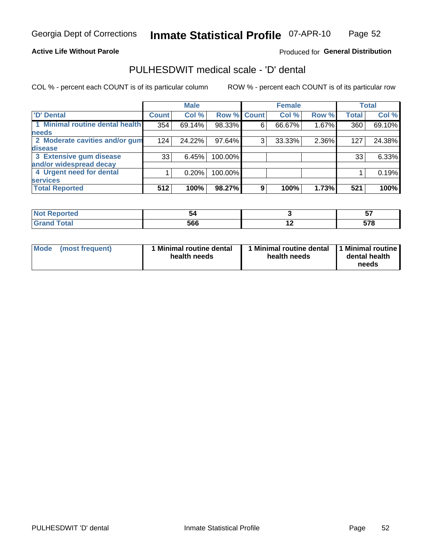## **Active Life Without Parole**

## Produced for General Distribution

## PULHESDWIT medical scale - 'D' dental

COL % - percent each COUNT is of its particular column

|                                 |              | <b>Male</b> |             |   | <b>Female</b> |       |              | <b>Total</b> |
|---------------------------------|--------------|-------------|-------------|---|---------------|-------|--------------|--------------|
| <b>D'</b> Dental                | <b>Count</b> | Col %       | Row % Count |   | Col %         | Row % | <b>Total</b> | Col %        |
| 1 Minimal routine dental health | 354          | 69.14%      | 98.33%      | 6 | 66.67%        | 1.67% | 360          | 69.10%       |
| <b>needs</b>                    |              |             |             |   |               |       |              |              |
| 2 Moderate cavities and/or gum  | 124          | 24.22%      | 97.64%      | 3 | 33.33%        | 2.36% | 127          | 24.38%       |
| disease                         |              |             |             |   |               |       |              |              |
| 3 Extensive gum disease         | 33           | 6.45%       | 100.00%     |   |               |       | 33           | 6.33%        |
| and/or widespread decay         |              |             |             |   |               |       |              |              |
| 4 Urgent need for dental        |              | 0.20%       | 100.00%     |   |               |       |              | 0.19%        |
| <b>services</b>                 |              |             |             |   |               |       |              |              |
| <b>Total Reported</b>           | 512          | 100%        | 98.27%      | 9 | 100%          | 1.73% | 521          | 100%         |

| rtea                        |     |                          | --<br>$\bullet$ . |
|-----------------------------|-----|--------------------------|-------------------|
| $f \sim f \sim f$<br>$\sim$ | 566 | $\overline{\phantom{0}}$ | -70<br>JI U       |

| <b>Mode</b> | (most frequent) | Minimal routine dental<br>health needs | 1 Minimal routine dental 11 Minimal routine<br>health needs | dental health<br>needs |
|-------------|-----------------|----------------------------------------|-------------------------------------------------------------|------------------------|
|-------------|-----------------|----------------------------------------|-------------------------------------------------------------|------------------------|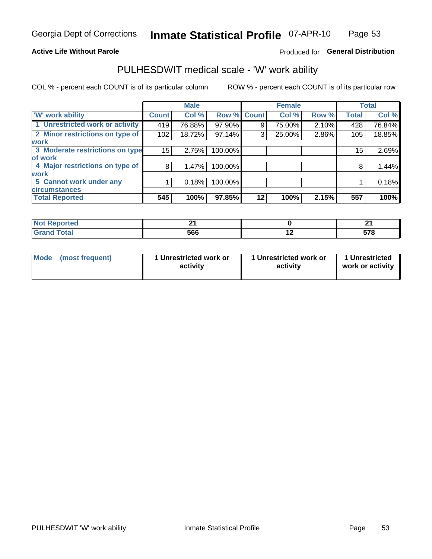## **Active Life Without Parole**

## Produced for General Distribution

## PULHESDWIT medical scale - 'W' work ability

COL % - percent each COUNT is of its particular column

|                                 |              | <b>Male</b> |         |             | <b>Female</b> |       |              | <b>Total</b> |
|---------------------------------|--------------|-------------|---------|-------------|---------------|-------|--------------|--------------|
| <b>W' work ability</b>          | <b>Count</b> | Col %       |         | Row % Count | Col %         | Row % | <b>Total</b> | Col %        |
| 1 Unrestricted work or activity | 419          | 76.88%      | 97.90%  | 9           | 75.00%        | 2.10% | 428          | 76.84%       |
| 2 Minor restrictions on type of | 102          | 18.72%      | 97.14%  | 3           | 25.00%        | 2.86% | 105          | 18.85%       |
| <b>work</b>                     |              |             |         |             |               |       |              |              |
| 3 Moderate restrictions on type | 15           | 2.75%       | 100.00% |             |               |       | 15           | 2.69%        |
| lof work                        |              |             |         |             |               |       |              |              |
| 4 Major restrictions on type of | 8            | 1.47%       | 100.00% |             |               |       | 8            | 1.44%        |
| <b>work</b>                     |              |             |         |             |               |       |              |              |
| 5 Cannot work under any         |              | 0.18%       | 100.00% |             |               |       |              | 0.18%        |
| <b>circumstances</b>            |              |             |         |             |               |       |              |              |
| <b>Total Reported</b>           | 545          | 100%        | 97.85%  | 12          | 100%          | 2.15% | 557          | 100%         |

| <b>Not Reported</b> |     |     | л.<br>- -           |
|---------------------|-----|-----|---------------------|
| <b>Grand Total</b>  | 566 | . . | <b>E70</b><br>ວ ເ ໐ |

| <b>Mode</b>     | 1 Unrestricted work or | 1 Unrestricted work or | 1 Unrestricted   |
|-----------------|------------------------|------------------------|------------------|
| (most frequent) | activity               | activity               | work or activity |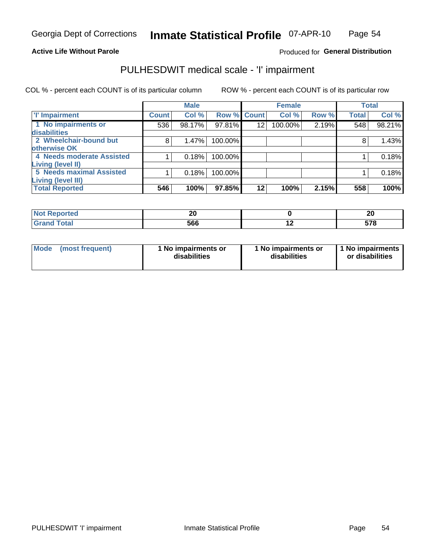### **Active Life Without Parole**

## Produced for General Distribution

# PULHESDWIT medical scale - 'I' impairment

COL % - percent each COUNT is of its particular column ROW % - percent each COUNT is of its particular row

|                           |                    | <b>Male</b> |             |    | <b>Female</b> |       | <b>Total</b> |        |
|---------------------------|--------------------|-------------|-------------|----|---------------|-------|--------------|--------|
| <b>T' Impairment</b>      | Count <sup>1</sup> | Col %       | Row % Count |    | Col %         | Row % | <b>Total</b> | Col %  |
| 1 No impairments or       | 536                | 98.17%      | 97.81%      | 12 | 100.00%       | 2.19% | 548          | 98.21% |
| disabilities              |                    |             |             |    |               |       |              |        |
| 2 Wheelchair-bound but    | 8                  | 1.47%       | 100.00%     |    |               |       | 8            | 1.43%  |
| <b>otherwise OK</b>       |                    |             |             |    |               |       |              |        |
| 4 Needs moderate Assisted |                    | 0.18%       | 100.00%     |    |               |       |              | 0.18%  |
| Living (level II)         |                    |             |             |    |               |       |              |        |
| 5 Needs maximal Assisted  |                    | 0.18%       | 100.00%     |    |               |       |              | 0.18%  |
| Living (level III)        |                    |             |             |    |               |       |              |        |
| <b>Total Reported</b>     | 546                | 100%        | 97.85%      | 12 | 100%          | 2.15% | 558          | 100%   |

| <b>Reported</b> | n,<br>Δu |     | 20         |
|-----------------|----------|-----|------------|
| <b>Total</b>    | 566      | . . | E70<br>oro |

| Mode | (most frequent) | 1 No impairments or<br>disabilities | 1 No impairments or<br>disabilities | 1 No impairments  <br>or disabilities |
|------|-----------------|-------------------------------------|-------------------------------------|---------------------------------------|
|------|-----------------|-------------------------------------|-------------------------------------|---------------------------------------|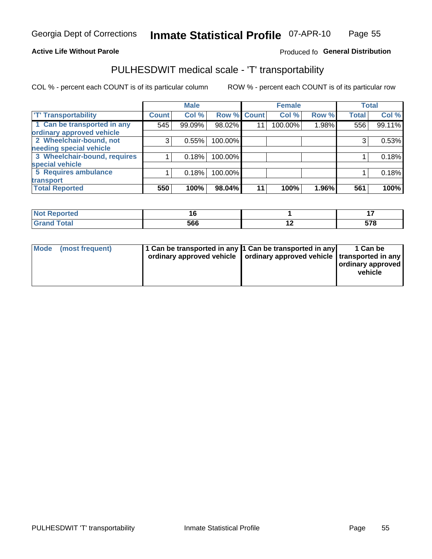## **Active Life Without Parole**

## Produced fo General Distribution

## PULHESDWIT medical scale - 'T' transportability

COL % - percent each COUNT is of its particular column

|                                                      |              | <b>Male</b> |         |             | <b>Female</b> |       |              | <b>Total</b> |
|------------------------------------------------------|--------------|-------------|---------|-------------|---------------|-------|--------------|--------------|
| <b>T' Transportability</b>                           | <b>Count</b> | Col %       |         | Row % Count | Col %         | Row % | <b>Total</b> | Col %        |
| 1 Can be transported in any                          | 545          | 99.09%      | 98.02%  | 11          | 100.00%       | 1.98% | 556          | 99.11%       |
| ordinary approved vehicle<br>2 Wheelchair-bound, not |              |             |         |             |               |       |              |              |
| needing special vehicle                              | 3            | 0.55%       | 100.00% |             |               |       |              | 0.53%        |
| 3 Wheelchair-bound, requires                         |              | 0.18%       | 100.00% |             |               |       |              | 0.18%        |
| special vehicle                                      |              |             |         |             |               |       |              |              |
| 5 Requires ambulance                                 |              | 0.18%       | 100.00% |             |               |       |              | 0.18%        |
| transport                                            |              |             |         |             |               |       |              |              |
| <b>Total Reported</b>                                | 550          | 100%        | 98.04%  | 11          | 100%          | 1.96% | 561          | 100%         |

| NI (<br>oortea |     |                          |            |
|----------------|-----|--------------------------|------------|
| υιαι<br>---    | 566 | $\overline{\phantom{0}}$ | ---<br>JIU |

| <b>Mode</b> | (most frequent) | 1 Can be transported in any 1 Can be transported in any<br>ordinary approved vehicle   ordinary approved vehicle   transported in any |  | 1 Can be<br>ordinary approved<br>vehicle |
|-------------|-----------------|---------------------------------------------------------------------------------------------------------------------------------------|--|------------------------------------------|
|-------------|-----------------|---------------------------------------------------------------------------------------------------------------------------------------|--|------------------------------------------|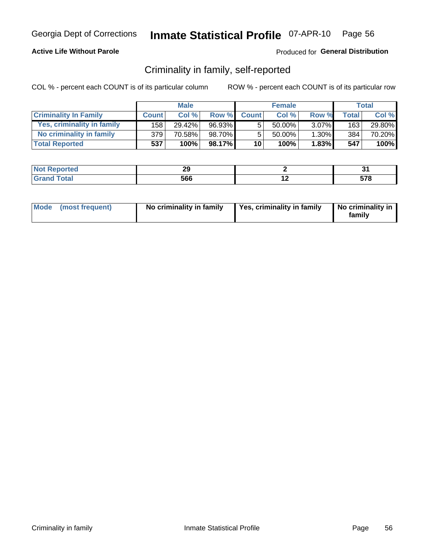## **Active Life Without Parole**

## Produced for General Distribution

## Criminality in family, self-reported

COL % - percent each COUNT is of its particular column

|                              | <b>Male</b>      |        | <b>Female</b> |                 |           | Total    |       |        |
|------------------------------|------------------|--------|---------------|-----------------|-----------|----------|-------|--------|
| <b>Criminality In Family</b> | <b>Count</b>     | Col%   | Row %         | <b>Count</b>    | Col %     | Row %    | Total | Col %  |
| Yes, criminality in family   | 158 <sub>1</sub> | 29.42% | 96.93%        | 5               | 50.00%    | $3.07\%$ | 163   | 29.80% |
| No criminality in family     | 379              | 70.58% | 98.70%        | 5               | $50.00\%$ | $1.30\%$ | 384   | 70.20% |
| <b>Total Reported</b>        | 537              | 100%   | 98.17%        | 10 <sub>1</sub> | 100%      | $1.83\%$ | 547   | 100%   |

| <b>Not</b>               | ^^  |                          | . .         |
|--------------------------|-----|--------------------------|-------------|
| <b>Reported</b>          | --  |                          | . .         |
| $\sim$<br>Grar<br>______ | 566 | $\overline{\phantom{0}}$ | E 70<br>. . |

|  | Mode (most frequent) | No criminality in family | Yes, criminality in family | No criminality in<br>family |
|--|----------------------|--------------------------|----------------------------|-----------------------------|
|--|----------------------|--------------------------|----------------------------|-----------------------------|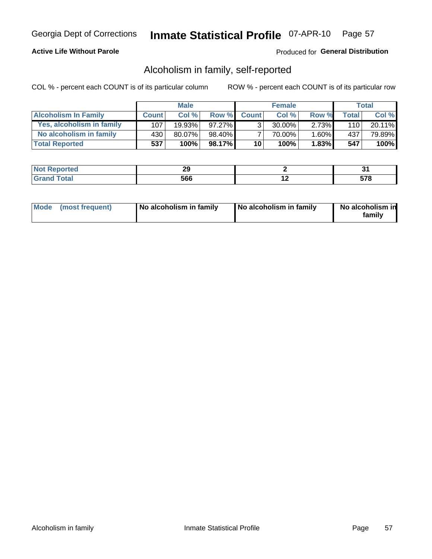## **Active Life Without Parole**

## Produced for General Distribution

## Alcoholism in family, self-reported

COL % - percent each COUNT is of its particular column

|                             | <b>Male</b>  |        | <b>Female</b> |                 |           | Total    |       |         |
|-----------------------------|--------------|--------|---------------|-----------------|-----------|----------|-------|---------|
| <b>Alcoholism In Family</b> | <b>Count</b> | Col%   | Row %         | <b>Count</b>    | Col%      | Row %    | Total | Col %   |
| Yes, alcoholism in family   | 107          | 19.93% | $97.27\%$     | 3 <sub>1</sub>  | $30.00\%$ | $2.73\%$ | 110   | 20.11%  |
| No alcoholism in family     | 430          | 80.07% | 98.40%        |                 | 70.00%    | 1.60%    | 437   | 79.89%  |
| <b>Total Reported</b>       | 537          | 100%   | 98.17%        | 10 <sub>1</sub> | 100%      | $1.83\%$ | 547   | $100\%$ |

| nneo | n.<br>~~ |                          | .<br>U.            |
|------|----------|--------------------------|--------------------|
|      | 566      | $\overline{\phantom{a}}$ | $- - -$<br>. پ<br> |

|  | Mode (most frequent) | No alcoholism in family | No alcoholism in family | No alcoholism in<br>family |
|--|----------------------|-------------------------|-------------------------|----------------------------|
|--|----------------------|-------------------------|-------------------------|----------------------------|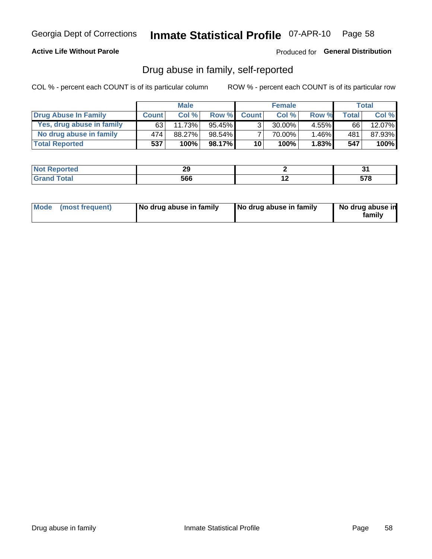## **Active Life Without Parole**

## Produced for General Distribution

## Drug abuse in family, self-reported

COL % - percent each COUNT is of its particular column

|                           | <b>Male</b>  |        | <b>Female</b> |                 |        | Total    |              |        |
|---------------------------|--------------|--------|---------------|-----------------|--------|----------|--------------|--------|
| Drug Abuse In Family      | <b>Count</b> | Col%   | Row %         | <b>Count</b>    | Col%   | Row %    | <b>Total</b> | Col%   |
| Yes, drug abuse in family | 63 I         | 11.73% | $95.45\%$     | ર               | 30.00% | $4.55\%$ | 66           | 12.07% |
| No drug abuse in family   | 474          | 88.27% | $98.54\%$     |                 | 70.00% | $1.46\%$ | 481          | 87.93% |
| <b>Total Reported</b>     | 537          | 100%   | 98.17%        | 10 <sup>1</sup> | 100%   | $1.83\%$ | 547          | 100%   |

| nneo | n.<br>~~ |                          | .<br>U.            |
|------|----------|--------------------------|--------------------|
|      | 566      | $\overline{\phantom{a}}$ | $- - -$<br>. پ<br> |

|  | Mode (most frequent) | No drug abuse in family | No drug abuse in family | No drug abuse in<br>family |
|--|----------------------|-------------------------|-------------------------|----------------------------|
|--|----------------------|-------------------------|-------------------------|----------------------------|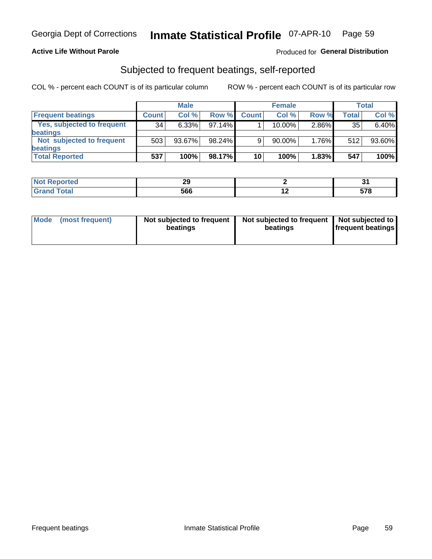## **Active Life Without Parole**

## Produced for General Distribution

## Subjected to frequent beatings, self-reported

COL % - percent each COUNT is of its particular column

|                            |              | <b>Male</b> |           |              | <b>Female</b> |       |       | Total  |
|----------------------------|--------------|-------------|-----------|--------------|---------------|-------|-------|--------|
| <b>Frequent beatings</b>   | <b>Count</b> | Col %       | Row %     | <b>Count</b> | Col %         | Row % | Total | Col %  |
| Yes, subjected to frequent | 34           | 6.33%       | 97.14%    |              | 10.00%        | 2.86% | 35    | 6.40%  |
| <b>beatings</b>            |              |             |           |              |               |       |       |        |
| Not subjected to frequent  | 503          | 93.67%      | 98.24%    | 9            | 90.00%        | 1.76% | 512   | 93.60% |
| <b>beatings</b>            |              |             |           |              |               |       |       |        |
| <b>Total Reported</b>      | 537          | 100%        | $98.17\%$ | 10           | 100%          | 1.83% | 547   | 100%   |

| <b>Not Reported</b> | $\overline{ }$<br>-- |     | . . |
|---------------------|----------------------|-----|-----|
| <b>Total</b>        | 566                  | . . | 578 |

| Mode | (most frequent) | Not subjected to frequent<br>beatings | Not subjected to frequent<br>beatings | Not subjected to<br><b>frequent beatings</b> |
|------|-----------------|---------------------------------------|---------------------------------------|----------------------------------------------|
|      |                 |                                       |                                       |                                              |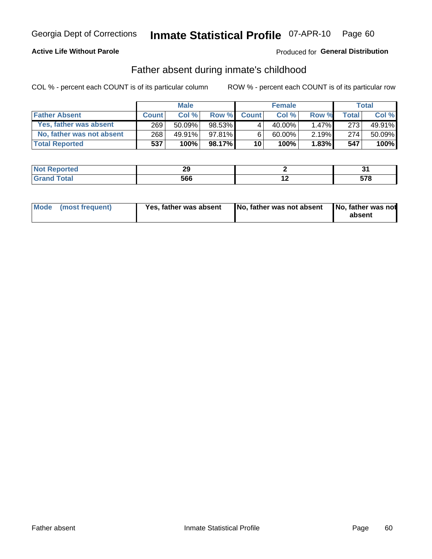## **Active Life Without Parole**

## Produced for General Distribution

## Father absent during inmate's childhood

COL % - percent each COUNT is of its particular column

|                           | <b>Male</b>  |           | <b>Female</b> |              |           | <b>Total</b> |         |        |
|---------------------------|--------------|-----------|---------------|--------------|-----------|--------------|---------|--------|
| <b>Father Absent</b>      | <b>Count</b> | Col%      | Row %         | <b>Count</b> | Col %     | Row %        | Total ⊧ | Col %  |
| Yes, father was absent    | 269          | 50.09%    | 98.53%        | 4            | 40.00%    | $1.47\%$     | 273     | 49.91% |
| No, father was not absent | 268          | $49.91\%$ | 97.81%        | 6            | $60.00\%$ | 2.19%        | 274     | 50.09% |
| <b>Total Reported</b>     | 537          | 100%      | $98.17\%$     | 10           | 100%      | 1.83%        | 547     | 100%   |

| <b>Not</b><br><b>Reported</b> | nr.<br>-- |                          | -<br>. .          |
|-------------------------------|-----------|--------------------------|-------------------|
| `otal<br>Grs<br>______        | 566       | $\overline{\phantom{0}}$ | <b>E70</b><br>JIU |

| Mode (most frequent) |  | Yes, father was absent | No, father was not absent   No, father was not | absent |
|----------------------|--|------------------------|------------------------------------------------|--------|
|----------------------|--|------------------------|------------------------------------------------|--------|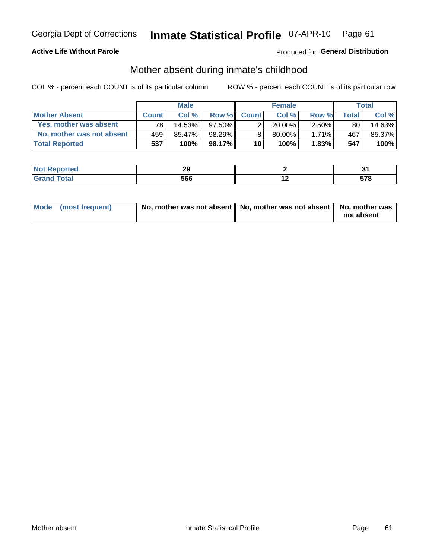## **Active Life Without Parole**

## Produced for General Distribution

## Mother absent during inmate's childhood

COL % - percent each COUNT is of its particular column

|                           | <b>Male</b>  |        | <b>Female</b> |              |           | <b>Total</b> |         |        |
|---------------------------|--------------|--------|---------------|--------------|-----------|--------------|---------|--------|
| <b>Mother Absent</b>      | <b>Count</b> | Col%   | Row %         | <b>Count</b> | Col %     | Row %        | Total ⊧ | Col %  |
| Yes, mother was absent    | 781          | 14.53% | $97.50\%$     | ◠            | $20.00\%$ | $2.50\%$     | 80      | 14.63% |
| No, mother was not absent | 459          | 85.47% | 98.29%        | 8            | 80.00%    | $1.71\%$     | 467     | 85.37% |
| <b>Total Reported</b>     | 537          | 100%   | $98.17\%$     | 10           | 100%      | $1.83\%$     | 547     | 100%   |

| ----<br><b>NO</b> t<br>Reported<br>. | n.<br>-- |     | .<br>ັບເ          |
|--------------------------------------|----------|-----|-------------------|
| <b>otal</b>                          | 566      | . . | E 70<br>J.<br>. . |

| Mode (most frequent) | No, mother was not absent   No, mother was not absent   No, mother was | not absent |
|----------------------|------------------------------------------------------------------------|------------|
|                      |                                                                        |            |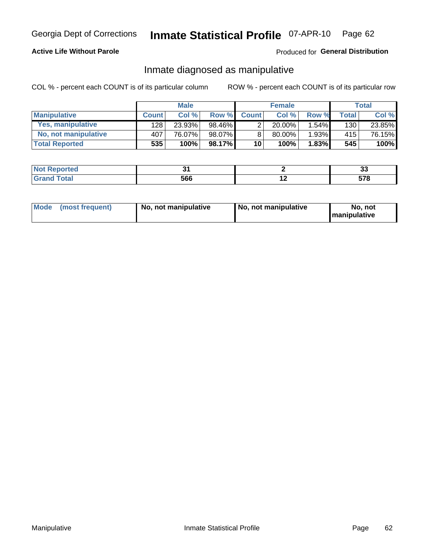## **Active Life Without Parole**

## Produced for General Distribution

## Inmate diagnosed as manipulative

COL % - percent each COUNT is of its particular column

|                          | <b>Male</b>  |        |        | <b>Female</b>   |           |       | Total        |        |
|--------------------------|--------------|--------|--------|-----------------|-----------|-------|--------------|--------|
| <b>Manipulative</b>      | <b>Count</b> | Col %  | Row %  | <b>Count</b>    | Col %     | Row % | <b>Total</b> | Col %  |
| <b>Yes, manipulative</b> | 128          | 23.93% | 98.46% | 2               | $20.00\%$ | 1.54% | 130          | 23.85% |
| No, not manipulative     | 407          | 76.07% | 98.07% | 8               | 80.00%    | 1.93% | 415          | 76.15% |
| <b>Total Reported</b>    | 535          | 100%   | 98.17% | 10 <sup>1</sup> | 100%      | 1.83% | 545          | 100%   |

| <b>Not Reported</b>       |     |     | <br>ഄഄ      |
|---------------------------|-----|-----|-------------|
| <b>Total</b><br>Gran<br>. | 566 | . . | --^<br>JI U |

| <b>Mode</b><br>(most frequent) | No, not manipulative | No, not manipulative | No. not<br><b>I</b> manipulative |
|--------------------------------|----------------------|----------------------|----------------------------------|
|--------------------------------|----------------------|----------------------|----------------------------------|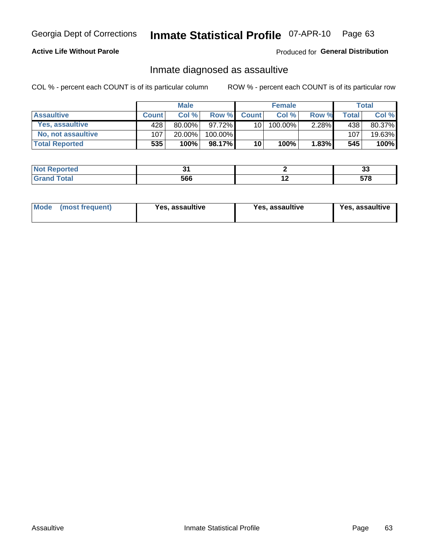#### Inmate Statistical Profile 07-APR-10 Page 63

## **Active Life Without Parole**

## Produced for General Distribution

## Inmate diagnosed as assaultive

COL % - percent each COUNT is of its particular column

|                       | <b>Male</b>  |           |         | <b>Female</b> |            |          | Total |        |
|-----------------------|--------------|-----------|---------|---------------|------------|----------|-------|--------|
| <b>Assaultive</b>     | <b>Count</b> | Col%      | Row %   | <b>Count</b>  | Col %      | Row %    | Total | Col %  |
| Yes, assaultive       | 428          | $80.00\%$ | 97.72%  | 10            | $100.00\%$ | $2.28\%$ | 438   | 80.37% |
| No, not assaultive    | 107          | 20.00%    | 100.00% |               |            |          | 107   | 19.63% |
| <b>Total Reported</b> | 535          | 100%      | 98.17%  | 10            | 100%       | 1.83%    | 545   | 100%   |

| Reported<br><b>NO</b> t<br>. |     |     | $\ddot{\phantom{0}}$<br>w |
|------------------------------|-----|-----|---------------------------|
| <b>otal</b>                  | 566 | . . | E 70<br>J.<br>. .         |

| <b>Mode</b><br>(most frequent) | <b>Yes, assaultive</b> | Yes, assaultive | <b>Yes, assaultive</b> |
|--------------------------------|------------------------|-----------------|------------------------|
|--------------------------------|------------------------|-----------------|------------------------|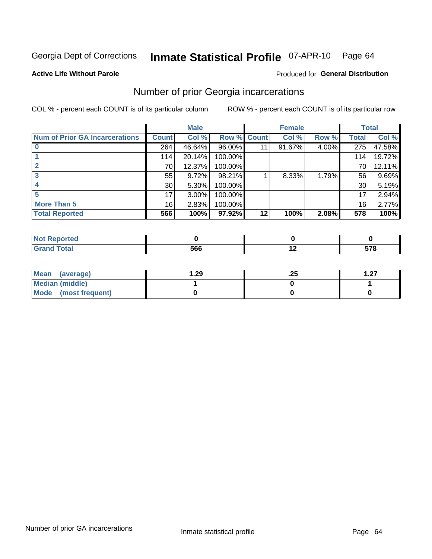#### Inmate Statistical Profile 07-APR-10 Page 64

**Active Life Without Parole** 

## **Produced for General Distribution**

## Number of prior Georgia incarcerations

COL % - percent each COUNT is of its particular column

|                                       | <b>Male</b>     |          |                    | <b>Female</b> |        |       | <b>Total</b> |        |
|---------------------------------------|-----------------|----------|--------------------|---------------|--------|-------|--------------|--------|
| <b>Num of Prior GA Incarcerations</b> | <b>Count</b>    | Col %    | <b>Row % Count</b> |               | Col %  | Row % | Total        | Col %  |
|                                       | 264             | 46.64%   | 96.00%             |               | 91.67% | 4.00% | 275          | 47.58% |
|                                       | 114             | 20.14%   | 100.00%            |               |        |       | 114          | 19.72% |
|                                       | 70              | 12.37%   | 100.00%            |               |        |       | 70           | 12.11% |
| 3                                     | 55              | 9.72%    | 98.21%             |               | 8.33%  | 1.79% | 56           | 9.69%  |
|                                       | 30 <sup>°</sup> | 5.30%    | 100.00%            |               |        |       | 30           | 5.19%  |
| 5                                     | 17              | $3.00\%$ | 100.00%            |               |        |       | 17           | 2.94%  |
| <b>More Than 5</b>                    | 16              | 2.83%    | 100.00%            |               |        |       | 16           | 2.77%  |
| <b>Total Reported</b>                 | 566             | 100%     | 97.92%             | 12            | 100%   | 2.08% | 578          | 100%   |

| Reported<br>N.                |     |             |
|-------------------------------|-----|-------------|
| <b>Total</b><br>$\bullet$ nan | -00 | E70<br>JI u |

| Mean (average)       | . . 29 | ن ے. | דפ |
|----------------------|--------|------|----|
| Median (middle)      |        |      |    |
| Mode (most frequent) |        |      |    |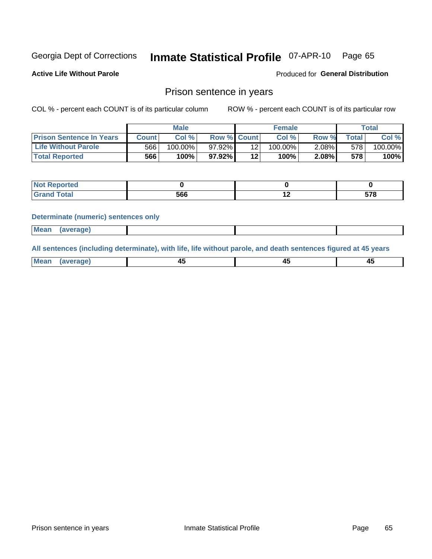#### **Inmate Statistical Profile 07-APR-10** Page 65

**Active Life Without Parole** 

**Produced for General Distribution** 

## Prison sentence in years

COL % - percent each COUNT is of its particular column

ROW % - percent each COUNT is of its particular row

|                                 | <b>Male</b> |            |                    | <b>Female</b> |            |       | $\tau$ otal |         |
|---------------------------------|-------------|------------|--------------------|---------------|------------|-------|-------------|---------|
| <b>Prison Sentence In Years</b> | Count       | Col%       | <b>Row % Count</b> |               | Col%       | Row % | Total       | Col %   |
| <b>Life Without Parole</b>      | 566         | $100.00\%$ | $97.92\%$          |               | $100.00\%$ | 2.08% | 578         | 100.00% |
| <b>Total Reported</b>           | 566         | 100%       | $97.92\%$          | $12 \,$       | 100%       | 2.08% | 578         | 100%    |

| <b>Not Reported</b> |     |     |     |
|---------------------|-----|-----|-----|
| <b>Total</b>        | 566 | . . | --^ |

### **Determinate (numeric) sentences only**

| <b>Mean</b> | <i>(average)</i> |  |  |
|-------------|------------------|--|--|
|             |                  |  |  |

All sentences (including determinate), with life, life without parole, and death sentences figured at 45 years

| l Mea<br>апе<br>. | -⊷ |  |
|-------------------|----|--|
|                   |    |  |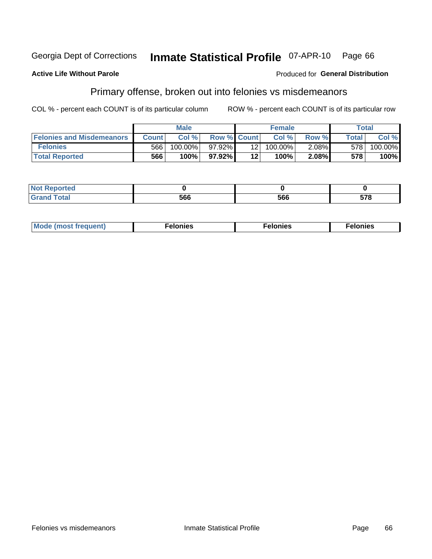#### Inmate Statistical Profile 07-APR-10 Georgia Dept of Corrections Page 66

### **Active Life Without Parole**

### **Produced for General Distribution**

## Primary offense, broken out into felonies vs misdemeanors

COL % - percent each COUNT is of its particular column

|                                  |              | <b>Male</b> |                    |                 | <b>Female</b> |       |              | Total   |
|----------------------------------|--------------|-------------|--------------------|-----------------|---------------|-------|--------------|---------|
| <b>Felonies and Misdemeanors</b> | <b>Count</b> | Col%        | <b>Row % Count</b> |                 | Col%          | Row % | <b>Total</b> | Col %   |
| <b>Felonies</b>                  | 566          | 100.00%     | 97.92%1            | 12 <sub>1</sub> | 100.00%       | 2.08% | 578          | 100.00% |
| <b>Total Reported</b>            | 566          | $100\%$     | 97.92%             | 12'             | 100%          | 2.08% | 578          | 100%    |

| <b>Not Reported</b>         |    |     |     |
|-----------------------------|----|-----|-----|
| <b>Total</b><br>Gran<br>uuu | ^^ | 566 | 578 |

| $Mc$<br>equent)<br>нез<br>$\sim$<br>. | onies<br>. | <b>onies</b><br>. |
|---------------------------------------|------------|-------------------|
|---------------------------------------|------------|-------------------|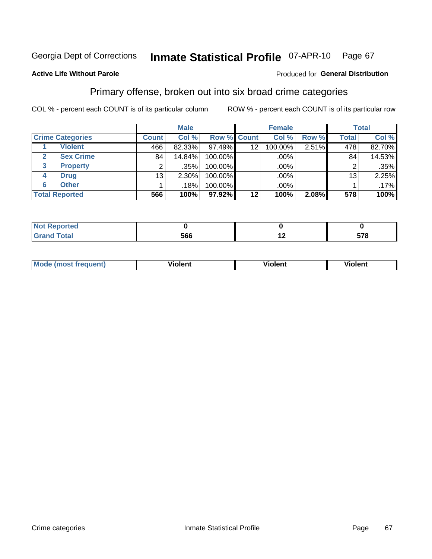#### Inmate Statistical Profile 07-APR-10 Page 67

## **Active Life Without Parole**

### Produced for General Distribution

## Primary offense, broken out into six broad crime categories

COL % - percent each COUNT is of its particular column

|                         |                 | <b>Male</b> |             |                 | <b>Female</b> |       |              | <b>Total</b> |
|-------------------------|-----------------|-------------|-------------|-----------------|---------------|-------|--------------|--------------|
| <b>Crime Categories</b> | <b>Count</b>    | Col %       | Row % Count |                 | Col %         | Row % | <b>Total</b> | Col %        |
| <b>Violent</b>          | 466             | 82.33%      | 97.49%      | 12 <sub>2</sub> | 100.00%       | 2.51% | 478          | 82.70%       |
| <b>Sex Crime</b>        | 84              | 14.84%      | 100.00%     |                 | .00%          |       | 84           | 14.53%       |
| 3<br><b>Property</b>    | 2               | .35%        | 100.00%     |                 | .00%          |       |              | .35%         |
| <b>Drug</b><br>4        | 13 <sub>1</sub> | 2.30%       | 100.00%     |                 | .00%          |       | 13           | 2.25%        |
| <b>Other</b><br>6       |                 | .18%        | 100.00%     |                 | .00%          |       |              | $.17\%$      |
| <b>Total Reported</b>   | 566             | 100%        | 97.92%      | 12              | 100%          | 2.08% | 578          | 100%         |

| <b>Not Reported</b> |     |     |          |
|---------------------|-----|-----|----------|
| Total               | 566 | . . | 578<br>u |

| М | ,,, | - -- -<br>וחו | m |
|---|-----|---------------|---|
|   |     |               |   |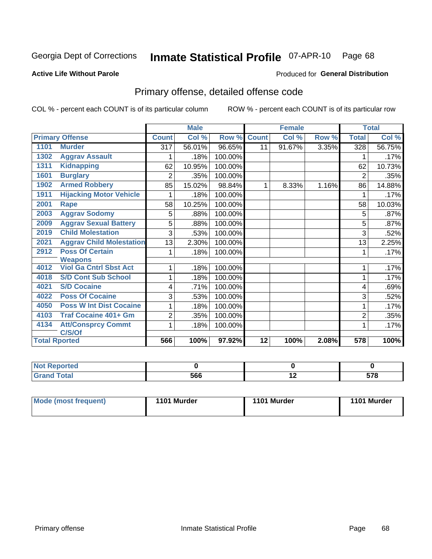#### Inmate Statistical Profile 07-APR-10 Page 68

## **Active Life Without Parole**

### **Produced for General Distribution**

# Primary offense, detailed offense code

COL % - percent each COUNT is of its particular column

|      |                                 |              | <b>Male</b> |         |              | <b>Female</b>             |       |                | <b>Total</b> |
|------|---------------------------------|--------------|-------------|---------|--------------|---------------------------|-------|----------------|--------------|
|      | <b>Primary Offense</b>          | <b>Count</b> | Col %       | Row %   | <b>Count</b> | $\overline{\text{Col}}$ % | Row % | <b>Total</b>   | Col %        |
| 1101 | <b>Murder</b>                   | 317          | 56.01%      | 96.65%  | 11           | 91.67%                    | 3.35% | 328            | 56.75%       |
| 1302 | <b>Aggrav Assault</b>           |              | .18%        | 100.00% |              |                           |       |                | .17%         |
| 1311 | <b>Kidnapping</b>               | 62           | 10.95%      | 100.00% |              |                           |       | 62             | 10.73%       |
| 1601 | <b>Burglary</b>                 | 2            | .35%        | 100.00% |              |                           |       | $\overline{2}$ | .35%         |
| 1902 | <b>Armed Robbery</b>            | 85           | 15.02%      | 98.84%  | 1            | 8.33%                     | 1.16% | 86             | 14.88%       |
| 1911 | <b>Hijacking Motor Vehicle</b>  |              | .18%        | 100.00% |              |                           |       |                | .17%         |
| 2001 | Rape                            | 58           | 10.25%      | 100.00% |              |                           |       | 58             | 10.03%       |
| 2003 | <b>Aggrav Sodomy</b>            | 5            | .88%        | 100.00% |              |                           |       | 5              | .87%         |
| 2009 | <b>Aggrav Sexual Battery</b>    | 5            | .88%        | 100.00% |              |                           |       | 5              | .87%         |
| 2019 | <b>Child Molestation</b>        | 3            | .53%        | 100.00% |              |                           |       | 3              | .52%         |
| 2021 | <b>Aggrav Child Molestation</b> | 13           | 2.30%       | 100.00% |              |                           |       | 13             | 2.25%        |
| 2912 | <b>Poss Of Certain</b>          |              | .18%        | 100.00% |              |                           |       |                | .17%         |
|      | <b>Weapons</b>                  |              |             |         |              |                           |       |                |              |
| 4012 | <b>Viol Ga Cntrl Sbst Act</b>   |              | .18%        | 100.00% |              |                           |       |                | .17%         |
| 4018 | <b>S/D Cont Sub School</b>      |              | .18%        | 100.00% |              |                           |       | 1              | .17%         |
| 4021 | <b>S/D Cocaine</b>              | 4            | .71%        | 100.00% |              |                           |       | 4              | .69%         |
| 4022 | <b>Poss Of Cocaine</b>          | 3            | .53%        | 100.00% |              |                           |       | 3              | .52%         |
| 4050 | <b>Poss W Int Dist Cocaine</b>  |              | .18%        | 100.00% |              |                           |       |                | .17%         |
| 4103 | <b>Traf Cocaine 401+ Gm</b>     | 2            | .35%        | 100.00% |              |                           |       | $\overline{2}$ | .35%         |
| 4134 | <b>Att/Consprcy Commt</b>       |              | .18%        | 100.00% |              |                           |       |                | .17%         |
|      | C/S/Of                          |              |             |         |              |                           |       |                |              |
|      | <b>Total Rported</b>            | 566          | 100%        | 97.92%  | 12           | 100%                      | 2.08% | 578            | 100%         |

| orted |     |     |     |
|-------|-----|-----|-----|
| Total | 566 | . . | --^ |

| Mode (most frequent) | 1101 Murder | 1101 Murder | 1101 Murder |
|----------------------|-------------|-------------|-------------|
|                      |             |             |             |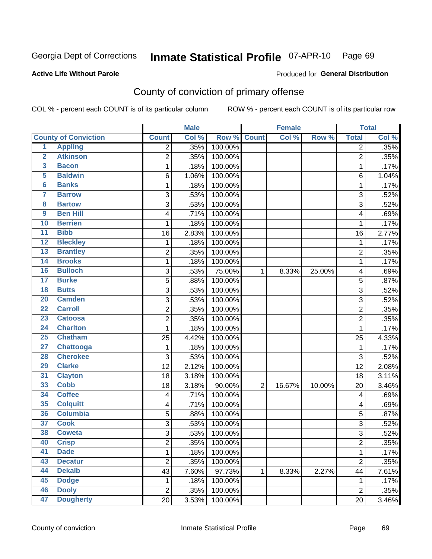# Inmate Statistical Profile 07-APR-10 Page 69

### **Active Life Without Parole**

### **Produced for General Distribution**

# County of conviction of primary offense

COL % - percent each COUNT is of its particular column

|                         |                             |                         | <b>Male</b> |         |                | <b>Female</b> |        |                | <b>Total</b> |
|-------------------------|-----------------------------|-------------------------|-------------|---------|----------------|---------------|--------|----------------|--------------|
|                         | <b>County of Conviction</b> | <b>Count</b>            | Col %       | Row %   | <b>Count</b>   | Col %         | Row %  | <b>Total</b>   | Col %        |
| 1                       | <b>Appling</b>              | 2                       | .35%        | 100.00% |                |               |        | $\overline{2}$ | .35%         |
| $\overline{2}$          | <b>Atkinson</b>             | $\overline{2}$          | .35%        | 100.00% |                |               |        | $\overline{2}$ | .35%         |
| $\overline{\mathbf{3}}$ | <b>Bacon</b>                | 1                       | .18%        | 100.00% |                |               |        | 1              | .17%         |
| 5                       | <b>Baldwin</b>              | 6                       | 1.06%       | 100.00% |                |               |        | 6              | 1.04%        |
| $\overline{\mathbf{6}}$ | <b>Banks</b>                | 1                       | .18%        | 100.00% |                |               |        | 1              | .17%         |
| $\overline{\mathbf{7}}$ | <b>Barrow</b>               | 3                       | .53%        | 100.00% |                |               |        | 3              | .52%         |
| $\overline{\mathbf{8}}$ | <b>Bartow</b>               | $\overline{3}$          | .53%        | 100.00% |                |               |        | $\overline{3}$ | .52%         |
| $\overline{9}$          | <b>Ben Hill</b>             | 4                       | .71%        | 100.00% |                |               |        | 4              | .69%         |
| 10                      | <b>Berrien</b>              | 1                       | .18%        | 100.00% |                |               |        | 1              | .17%         |
| $\overline{11}$         | <b>Bibb</b>                 | 16                      | 2.83%       | 100.00% |                |               |        | 16             | 2.77%        |
| $\overline{12}$         | <b>Bleckley</b>             | 1                       | .18%        | 100.00% |                |               |        | $\mathbf 1$    | .17%         |
| 13                      | <b>Brantley</b>             | $\overline{2}$          | .35%        | 100.00% |                |               |        | $\overline{2}$ | .35%         |
| $\overline{14}$         | <b>Brooks</b>               | 1                       | .18%        | 100.00% |                |               |        | 1              | .17%         |
| 16                      | <b>Bulloch</b>              | 3                       | .53%        | 75.00%  | $\mathbf{1}$   | 8.33%         | 25.00% | 4              | .69%         |
| $\overline{17}$         | <b>Burke</b>                | $\overline{5}$          | .88%        | 100.00% |                |               |        | 5              | .87%         |
| $\overline{18}$         | <b>Butts</b>                | $\overline{3}$          | .53%        | 100.00% |                |               |        | $\overline{3}$ | .52%         |
| 20                      | <b>Camden</b>               | 3                       | .53%        | 100.00% |                |               |        | 3              | .52%         |
| $\overline{22}$         | <b>Carroll</b>              | $\overline{\mathbf{c}}$ | .35%        | 100.00% |                |               |        | $\overline{c}$ | .35%         |
| 23                      | <b>Catoosa</b>              | 2                       | .35%        | 100.00% |                |               |        | $\overline{2}$ | .35%         |
| $\overline{24}$         | <b>Charlton</b>             | 1                       | .18%        | 100.00% |                |               |        | $\mathbf{1}$   | .17%         |
| 25                      | <b>Chatham</b>              | 25                      | 4.42%       | 100.00% |                |               |        | 25             | 4.33%        |
| $\overline{27}$         | <b>Chattooga</b>            | 1                       | .18%        | 100.00% |                |               |        | 1              | .17%         |
| 28                      | <b>Cherokee</b>             | 3                       | .53%        | 100.00% |                |               |        | 3              | .52%         |
| 29                      | <b>Clarke</b>               | 12                      | 2.12%       | 100.00% |                |               |        | 12             | 2.08%        |
| $\overline{31}$         | <b>Clayton</b>              | 18                      | 3.18%       | 100.00% |                |               |        | 18             | 3.11%        |
| 33                      | <b>Cobb</b>                 | 18                      | 3.18%       | 90.00%  | $\overline{2}$ | 16.67%        | 10.00% | 20             | 3.46%        |
| 34                      | <b>Coffee</b>               | 4                       | .71%        | 100.00% |                |               |        | 4              | .69%         |
| 35                      | <b>Colquitt</b>             | 4                       | .71%        | 100.00% |                |               |        | 4              | .69%         |
| 36                      | <b>Columbia</b>             | 5                       | .88%        | 100.00% |                |               |        | 5              | .87%         |
| $\overline{37}$         | <b>Cook</b>                 | $\sqrt{3}$              | .53%        | 100.00% |                |               |        | 3              | .52%         |
| 38                      | <b>Coweta</b>               | 3                       | .53%        | 100.00% |                |               |        | $\overline{3}$ | .52%         |
| 40                      | <b>Crisp</b>                | $\overline{\mathbf{c}}$ | .35%        | 100.00% |                |               |        | 2              | .35%         |
| 41                      | <b>Dade</b>                 | 1                       | .18%        | 100.00% |                |               |        | $\mathbf{1}$   | .17%         |
| 43                      | <b>Decatur</b>              | $\overline{2}$          | .35%        | 100.00% |                |               |        | $\overline{2}$ | .35%         |
| 44                      | <b>Dekalb</b>               | 43                      | 7.60%       | 97.73%  | 1              | 8.33%         | 2.27%  | 44             | 7.61%        |
| 45                      | <b>Dodge</b>                | 1                       | .18%        | 100.00% |                |               |        | 1              | .17%         |
| 46                      | <b>Dooly</b>                | $\boldsymbol{2}$        | .35%        | 100.00% |                |               |        | $\overline{2}$ | .35%         |
| 47                      | <b>Dougherty</b>            | 20                      | 3.53%       | 100.00% |                |               |        | 20             | 3.46%        |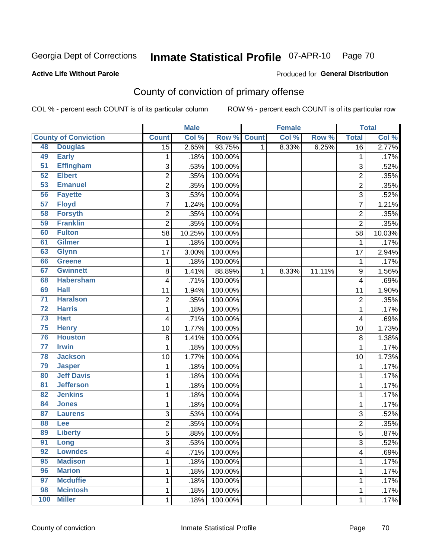# Inmate Statistical Profile 07-APR-10 Page 70

### **Active Life Without Parole**

### Produced for General Distribution

# County of conviction of primary offense

COL % - percent each COUNT is of its particular column

|                 |                             |                           | <b>Male</b> |         |              | <b>Female</b> |        |                         | <b>Total</b> |
|-----------------|-----------------------------|---------------------------|-------------|---------|--------------|---------------|--------|-------------------------|--------------|
|                 | <b>County of Conviction</b> | <b>Count</b>              | Col %       | Row %   | <b>Count</b> | Col %         | Row %  | <b>Total</b>            | Col %        |
| 48              | <b>Douglas</b>              | $\overline{15}$           | 2.65%       | 93.75%  | 1            | 8.33%         | 6.25%  | 16                      | 2.77%        |
| 49              | <b>Early</b>                | 1                         | .18%        | 100.00% |              |               |        | $\mathbf{1}$            | .17%         |
| $\overline{51}$ | <b>Effingham</b>            | 3                         | .53%        | 100.00% |              |               |        | 3                       | .52%         |
| 52              | <b>Elbert</b>               | $\overline{2}$            | .35%        | 100.00% |              |               |        | $\overline{2}$          | .35%         |
| 53              | <b>Emanuel</b>              | 2                         | .35%        | 100.00% |              |               |        | 2                       | .35%         |
| 56              | <b>Fayette</b>              | $\sqrt{3}$                | .53%        | 100.00% |              |               |        | 3                       | .52%         |
| 57              | <b>Floyd</b>                | $\overline{7}$            | 1.24%       | 100.00% |              |               |        | $\overline{7}$          | 1.21%        |
| 58              | <b>Forsyth</b>              | $\overline{2}$            | .35%        | 100.00% |              |               |        | $\overline{2}$          | .35%         |
| 59              | <b>Franklin</b>             | $\overline{2}$            | .35%        | 100.00% |              |               |        | $\overline{2}$          | .35%         |
| 60              | <b>Fulton</b>               | 58                        | 10.25%      | 100.00% |              |               |        | 58                      | 10.03%       |
| 61              | <b>Gilmer</b>               | $\mathbf 1$               | .18%        | 100.00% |              |               |        | $\mathbf 1$             | .17%         |
| 63              | <b>Glynn</b>                | 17                        | 3.00%       | 100.00% |              |               |        | 17                      | 2.94%        |
| 66              | <b>Greene</b>               | 1                         | .18%        | 100.00% |              |               |        | $\mathbf 1$             | .17%         |
| 67              | <b>Gwinnett</b>             | 8                         | 1.41%       | 88.89%  | 1            | 8.33%         | 11.11% | 9                       | 1.56%        |
| 68              | <b>Habersham</b>            | 4                         | .71%        | 100.00% |              |               |        | 4                       | .69%         |
| 69              | <b>Hall</b>                 | 11                        | 1.94%       | 100.00% |              |               |        | 11                      | 1.90%        |
| $\overline{71}$ | <b>Haralson</b>             | $\overline{2}$            | .35%        | 100.00% |              |               |        | $\overline{2}$          | .35%         |
| $\overline{72}$ | <b>Harris</b>               | 1                         | .18%        | 100.00% |              |               |        | $\mathbf{1}$            | .17%         |
| $\overline{73}$ | <b>Hart</b>                 | $\overline{\mathbf{4}}$   | .71%        | 100.00% |              |               |        | 4                       | .69%         |
| 75              | <b>Henry</b>                | 10                        | 1.77%       | 100.00% |              |               |        | 10                      | 1.73%        |
| 76              | <b>Houston</b>              | 8                         | 1.41%       | 100.00% |              |               |        | 8                       | 1.38%        |
| $\overline{77}$ | <b>Irwin</b>                | 1                         | .18%        | 100.00% |              |               |        | $\mathbf{1}$            | .17%         |
| 78              | <b>Jackson</b>              | 10                        | 1.77%       | 100.00% |              |               |        | 10                      | 1.73%        |
| 79              | <b>Jasper</b>               | 1                         | .18%        | 100.00% |              |               |        | 1                       | .17%         |
| 80              | <b>Jeff Davis</b>           | 1                         | .18%        | 100.00% |              |               |        | 1                       | .17%         |
| $\overline{81}$ | <b>Jefferson</b>            | 1                         | .18%        | 100.00% |              |               |        | 1                       | .17%         |
| 82              | <b>Jenkins</b>              | 1                         | .18%        | 100.00% |              |               |        | $\mathbf 1$             | .17%         |
| 84              | <b>Jones</b>                | 1                         | .18%        | 100.00% |              |               |        | $\mathbf 1$             | .17%         |
| 87              | <b>Laurens</b>              | $\ensuremath{\mathsf{3}}$ | .53%        | 100.00% |              |               |        | 3                       | .52%         |
| 88              | Lee                         | $\overline{2}$            | .35%        | 100.00% |              |               |        | $\overline{2}$          | .35%         |
| 89              | <b>Liberty</b>              | $\overline{5}$            | .88%        | 100.00% |              |               |        | 5                       | .87%         |
| 91              | Long                        | 3                         | .53%        | 100.00% |              |               |        | 3                       | .52%         |
| 92              | <b>Lowndes</b>              | 4                         | .71%        | 100.00% |              |               |        | $\overline{\mathbf{4}}$ | .69%         |
| 95              | <b>Madison</b>              | 1                         | .18%        | 100.00% |              |               |        | 1                       | .17%         |
| 96              | <b>Marion</b>               | 1                         | .18%        | 100.00% |              |               |        | $\mathbf{1}$            | .17%         |
| 97              | <b>Mcduffie</b>             | 1                         | .18%        | 100.00% |              |               |        | 1                       | .17%         |
| 98              | <b>Mcintosh</b>             | 1                         | .18%        | 100.00% |              |               |        | $\mathbf{1}$            | .17%         |
| 100             | <b>Miller</b>               | $\mathbf 1$               | .18%        | 100.00% |              |               |        | 1                       | .17%         |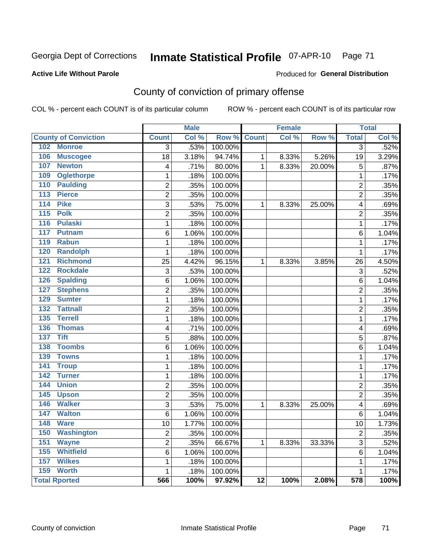# Inmate Statistical Profile 07-APR-10 Page 71

## **Active Life Without Parole**

## **Produced for General Distribution**

# County of conviction of primary offense

COL % - percent each COUNT is of its particular column

|                                     |                 | <b>Male</b> |         |                 | <b>Female</b> |        |                         | <b>Total</b> |
|-------------------------------------|-----------------|-------------|---------|-----------------|---------------|--------|-------------------------|--------------|
| <b>County of Conviction</b>         | <b>Count</b>    | Col %       | Row %   | <b>Count</b>    | Col %         | Row %  | <b>Total</b>            | Col %        |
| 102 Monroe                          | $\overline{3}$  | .53%        | 100.00% |                 |               |        | $\overline{3}$          | .52%         |
| 106<br><b>Muscogee</b>              | $\overline{18}$ | 3.18%       | 94.74%  | $\mathbf{1}$    | 8.33%         | 5.26%  | 19                      | 3.29%        |
| 107<br><b>Newton</b>                | 4               | .71%        | 80.00%  | $\mathbf{1}$    | 8.33%         | 20.00% | 5                       | .87%         |
| 109<br><b>Oglethorpe</b>            | 1               | .18%        | 100.00% |                 |               |        | $\mathbf{1}$            | .17%         |
| 110<br><b>Paulding</b>              | $\overline{2}$  | .35%        | 100.00% |                 |               |        | $\overline{2}$          | .35%         |
| 113<br><b>Pierce</b>                | $\overline{2}$  | .35%        | 100.00% |                 |               |        | $\overline{2}$          | .35%         |
| 114<br><b>Pike</b>                  | $\overline{3}$  | .53%        | 75.00%  | $\mathbf{1}$    | 8.33%         | 25.00% | $\overline{\mathbf{4}}$ | .69%         |
| $115$<br><b>Polk</b>                | $\overline{2}$  | .35%        | 100.00% |                 |               |        | $\overline{2}$          | .35%         |
| 116<br><b>Pulaski</b>               | $\mathbf{1}$    | .18%        | 100.00% |                 |               |        | $\mathbf 1$             | .17%         |
| 117<br><b>Putnam</b>                | $\overline{6}$  | 1.06%       | 100.00% |                 |               |        | 6                       | 1.04%        |
| <b>Rabun</b><br>119                 | $\mathbf 1$     | .18%        | 100.00% |                 |               |        | $\mathbf{1}$            | .17%         |
| 120<br><b>Randolph</b>              | 1               | .18%        | 100.00% |                 |               |        | $\mathbf{1}$            | .17%         |
| 121<br><b>Richmond</b>              | 25              | 4.42%       | 96.15%  | $\mathbf{1}$    | 8.33%         | 3.85%  | 26                      | 4.50%        |
| 122<br><b>Rockdale</b>              | $\overline{3}$  | .53%        | 100.00% |                 |               |        | $\overline{3}$          | .52%         |
| <b>Spalding</b><br>126              | 6               | 1.06%       | 100.00% |                 |               |        | 6                       | 1.04%        |
| <b>Stephens</b><br>127              | $\overline{2}$  | .35%        | 100.00% |                 |               |        | $\overline{2}$          | .35%         |
| <b>Sumter</b><br>129                | 1               | .18%        | 100.00% |                 |               |        | 1                       | .17%         |
| $\overline{132}$<br><b>Tattnall</b> | $\overline{2}$  | .35%        | 100.00% |                 |               |        | $\overline{2}$          | .35%         |
| 135<br><b>Terrell</b>               | $\mathbf{1}$    | .18%        | 100.00% |                 |               |        | $\mathbf{1}$            | .17%         |
| <b>Thomas</b><br>136                | 4               | .71%        | 100.00% |                 |               |        | 4                       | .69%         |
| 137<br><b>Tift</b>                  | 5               | .88%        | 100.00% |                 |               |        | 5                       | .87%         |
| <b>Toombs</b><br>138                | 6               | 1.06%       | 100.00% |                 |               |        | 6                       | 1.04%        |
| 139<br><b>Towns</b>                 | $\mathbf{1}$    | .18%        | 100.00% |                 |               |        | $\mathbf{1}$            | .17%         |
| 141<br><b>Troup</b>                 | 1               | .18%        | 100.00% |                 |               |        | $\mathbf 1$             | .17%         |
| 142<br><b>Turner</b>                | $\overline{1}$  | .18%        | 100.00% |                 |               |        | $\mathbf{1}$            | .17%         |
| <b>Union</b><br>144                 | $\overline{2}$  | .35%        | 100.00% |                 |               |        | $\overline{2}$          | .35%         |
| 145<br><b>Upson</b>                 | $\overline{2}$  | .35%        | 100.00% |                 |               |        | $\overline{2}$          | .35%         |
| <b>Walker</b><br>146                | 3               | .53%        | 75.00%  | 1               | 8.33%         | 25.00% | 4                       | .69%         |
| <b>Walton</b><br>147                | 6               | 1.06%       | 100.00% |                 |               |        | 6                       | 1.04%        |
| 148<br><b>Ware</b>                  | 10              | 1.77%       | 100.00% |                 |               |        | 10                      | 1.73%        |
| 150<br><b>Washington</b>            | $\overline{2}$  | .35%        | 100.00% |                 |               |        | $\overline{2}$          | .35%         |
| 151<br><b>Wayne</b>                 | $\overline{2}$  | .35%        | 66.67%  | $\mathbf{1}$    | 8.33%         | 33.33% | 3                       | .52%         |
| 155<br><b>Whitfield</b>             | $\overline{6}$  | 1.06%       | 100.00% |                 |               |        | 6                       | 1.04%        |
| <b>Wilkes</b><br>157                | 1               | .18%        | 100.00% |                 |               |        | $\mathbf 1$             | .17%         |
| 159<br><b>Worth</b>                 | $\mathbf{1}$    | .18%        | 100.00% |                 |               |        | $\mathbf{1}$            | .17%         |
| <b>Total Rported</b>                | 566             | 100%        | 97.92%  | $\overline{12}$ | 100%          | 2.08%  | $\overline{578}$        | 100%         |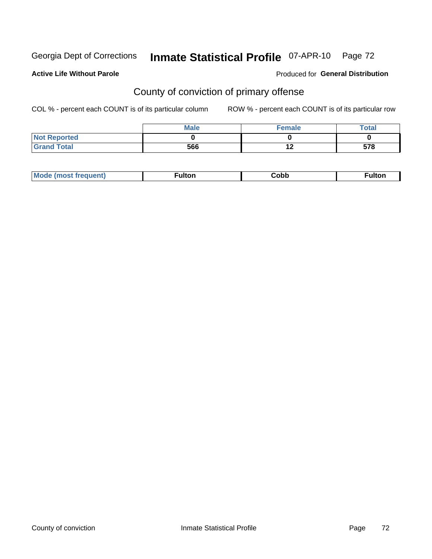# Inmate Statistical Profile 07-APR-10 Page 72

### **Active Life Without Parole**

### **Produced for General Distribution**

# County of conviction of primary offense

COL % - percent each COUNT is of its particular column

|                     | <b>Male</b> | <b>Female</b> | <b>Total</b> |
|---------------------|-------------|---------------|--------------|
| <b>Not Reported</b> |             |               |              |
| <b>Grand Total</b>  | 566         | 10<br>1 Z     | 578          |

| $-1110.25$<br>้นแบเ | <b>Mode</b><br>freauent) | . . <b>. .</b> | Copp | <b>ulton</b> |
|---------------------|--------------------------|----------------|------|--------------|
|---------------------|--------------------------|----------------|------|--------------|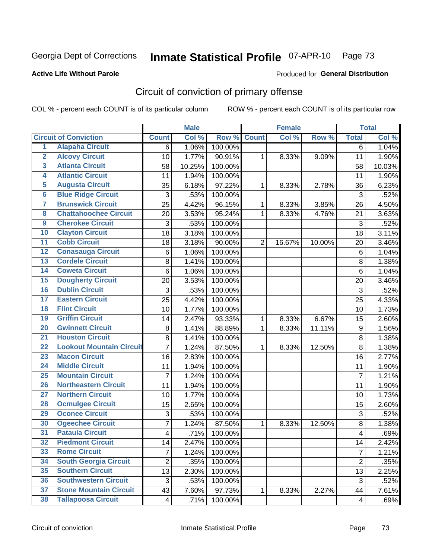Georgia Dept of Corrections

# Inmate Statistical Profile 07-APR-10 Page 73

### **Active Life Without Parole**

## **Produced for General Distribution**

## Circuit of conviction of primary offense

COL % - percent each COUNT is of its particular column

|                         |                                 |                           | <b>Male</b> |         |                | <b>Female</b> |        |                | <b>Total</b> |
|-------------------------|---------------------------------|---------------------------|-------------|---------|----------------|---------------|--------|----------------|--------------|
|                         | <b>Circuit of Conviction</b>    | <b>Count</b>              | Col %       | Row %   | <b>Count</b>   | Col %         | Row %  | <b>Total</b>   | Col %        |
| 1                       | <b>Alapaha Circuit</b>          | 6                         | 1.06%       | 100.00% |                |               |        | 6              | 1.04%        |
| $\overline{2}$          | <b>Alcovy Circuit</b>           | 10                        | 1.77%       | 90.91%  | 1              | 8.33%         | 9.09%  | 11             | 1.90%        |
| $\overline{\mathbf{3}}$ | <b>Atlanta Circuit</b>          | 58                        | 10.25%      | 100.00% |                |               |        | 58             | 10.03%       |
| 4                       | <b>Atlantic Circuit</b>         | 11                        | 1.94%       | 100.00% |                |               |        | 11             | 1.90%        |
| $\overline{5}$          | <b>Augusta Circuit</b>          | 35                        | 6.18%       | 97.22%  | 1              | 8.33%         | 2.78%  | 36             | 6.23%        |
| $6\overline{6}$         | <b>Blue Ridge Circuit</b>       | $\mathsf 3$               | .53%        | 100.00% |                |               |        | $\mathfrak{S}$ | .52%         |
| 7                       | <b>Brunswick Circuit</b>        | 25                        | 4.42%       | 96.15%  | 1              | 8.33%         | 3.85%  | 26             | 4.50%        |
| 8                       | <b>Chattahoochee Circuit</b>    | 20                        | 3.53%       | 95.24%  | 1              | 8.33%         | 4.76%  | 21             | 3.63%        |
| $\overline{9}$          | <b>Cherokee Circuit</b>         | 3                         | .53%        | 100.00% |                |               |        | $\mathfrak{S}$ | .52%         |
| 10                      | <b>Clayton Circuit</b>          | 18                        | 3.18%       | 100.00% |                |               |        | 18             | 3.11%        |
| $\overline{11}$         | <b>Cobb Circuit</b>             | 18                        | 3.18%       | 90.00%  | $\overline{2}$ | 16.67%        | 10.00% | 20             | 3.46%        |
| 12                      | <b>Conasauga Circuit</b>        | 6                         | 1.06%       | 100.00% |                |               |        | $\,6$          | 1.04%        |
| $\overline{13}$         | <b>Cordele Circuit</b>          | 8                         | 1.41%       | 100.00% |                |               |        | $\,8\,$        | 1.38%        |
| $\overline{14}$         | <b>Coweta Circuit</b>           | 6                         | 1.06%       | 100.00% |                |               |        | $\,6$          | 1.04%        |
| 15                      | <b>Dougherty Circuit</b>        | 20                        | 3.53%       | 100.00% |                |               |        | 20             | 3.46%        |
| 16                      | <b>Dublin Circuit</b>           | $\ensuremath{\mathsf{3}}$ | .53%        | 100.00% |                |               |        | 3              | .52%         |
| $\overline{17}$         | <b>Eastern Circuit</b>          | 25                        | 4.42%       | 100.00% |                |               |        | 25             | 4.33%        |
| 18                      | <b>Flint Circuit</b>            | 10                        | 1.77%       | 100.00% |                |               |        | 10             | 1.73%        |
| 19                      | <b>Griffin Circuit</b>          | 14                        | 2.47%       | 93.33%  | 1              | 8.33%         | 6.67%  | 15             | 2.60%        |
| 20                      | <b>Gwinnett Circuit</b>         | $\bf 8$                   | 1.41%       | 88.89%  | 1              | 8.33%         | 11.11% | 9              | 1.56%        |
| $\overline{21}$         | <b>Houston Circuit</b>          | 8                         | 1.41%       | 100.00% |                |               |        | $\,8\,$        | 1.38%        |
| $\overline{22}$         | <b>Lookout Mountain Circuit</b> | $\overline{7}$            | 1.24%       | 87.50%  | $\mathbf{1}$   | 8.33%         | 12.50% | 8              | 1.38%        |
| 23                      | <b>Macon Circuit</b>            | 16                        | 2.83%       | 100.00% |                |               |        | 16             | 2.77%        |
| $\overline{24}$         | <b>Middle Circuit</b>           | 11                        | 1.94%       | 100.00% |                |               |        | 11             | 1.90%        |
| $\overline{25}$         | <b>Mountain Circuit</b>         | 7                         | 1.24%       | 100.00% |                |               |        | $\overline{7}$ | 1.21%        |
| 26                      | <b>Northeastern Circuit</b>     | 11                        | 1.94%       | 100.00% |                |               |        | 11             | 1.90%        |
| $\overline{27}$         | <b>Northern Circuit</b>         | 10                        | 1.77%       | 100.00% |                |               |        | 10             | 1.73%        |
| 28                      | <b>Ocmulgee Circuit</b>         | 15                        | 2.65%       | 100.00% |                |               |        | 15             | 2.60%        |
| 29                      | <b>Oconee Circuit</b>           | 3                         | .53%        | 100.00% |                |               |        | $\mathbf{3}$   | .52%         |
| 30                      | <b>Ogeechee Circuit</b>         | 7                         | 1.24%       | 87.50%  | 1              | 8.33%         | 12.50% | $\bf 8$        | 1.38%        |
| $\overline{31}$         | <b>Pataula Circuit</b>          | 4                         | .71%        | 100.00% |                |               |        | 4              | .69%         |
| 32                      | <b>Piedmont Circuit</b>         | 14                        | 2.47%       | 100.00% |                |               |        | 14             | 2.42%        |
| 33                      | <b>Rome Circuit</b>             | $\overline{7}$            | 1.24%       | 100.00% |                |               |        | $\overline{7}$ | 1.21%        |
| 34                      | <b>South Georgia Circuit</b>    | $\overline{2}$            | .35%        | 100.00% |                |               |        | $\overline{2}$ | .35%         |
| 35                      | <b>Southern Circuit</b>         | 13                        | 2.30%       | 100.00% |                |               |        | 13             | 2.25%        |
| 36                      | <b>Southwestern Circuit</b>     | 3                         | .53%        | 100.00% |                |               |        | 3              | .52%         |
| 37                      | <b>Stone Mountain Circuit</b>   | 43                        | 7.60%       | 97.73%  | 1              | 8.33%         | 2.27%  | 44             | 7.61%        |
| 38                      | <b>Tallapoosa Circuit</b>       | $\overline{\mathbf{4}}$   | .71%        | 100.00% |                |               |        | $\overline{4}$ | .69%         |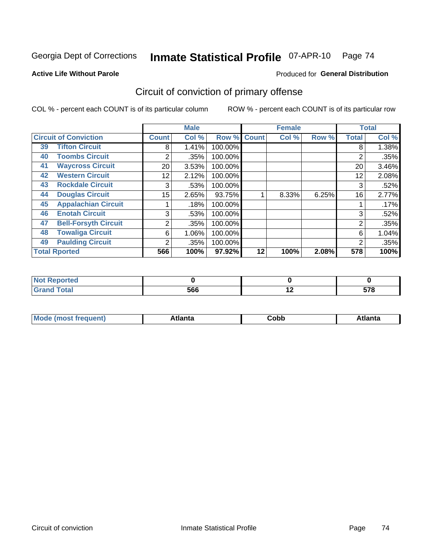Georgia Dept of Corrections

#### Inmate Statistical Profile 07-APR-10 Page 74

#### **Active Life Without Parole**

#### Produced for General Distribution

## Circuit of conviction of primary offense

COL % - percent each COUNT is of its particular column

|                      |                              |                 | <b>Male</b> |         |              | <b>Female</b> |       |              | <b>Total</b> |
|----------------------|------------------------------|-----------------|-------------|---------|--------------|---------------|-------|--------------|--------------|
|                      | <b>Circuit of Conviction</b> | <b>Count</b>    | Col %       | Row %   | <b>Count</b> | Col %         | Row % | <b>Total</b> | Col %        |
| 39                   | <b>Tifton Circuit</b>        | 8               | 1.41%       | 100.00% |              |               |       | 8            | 1.38%        |
| 40                   | <b>Toombs Circuit</b>        | 2               | .35%        | 100.00% |              |               |       | 2            | .35%         |
| 41                   | <b>Waycross Circuit</b>      | 20 <sub>1</sub> | 3.53%       | 100.00% |              |               |       | 20           | 3.46%        |
| 42                   | <b>Western Circuit</b>       | 12              | 2.12%       | 100.00% |              |               |       | 12           | 2.08%        |
| 43                   | <b>Rockdale Circuit</b>      | 3               | .53%        | 100.00% |              |               |       | 3            | .52%         |
| 44                   | <b>Douglas Circuit</b>       | 15              | 2.65%       | 93.75%  |              | 8.33%         | 6.25% | 16           | 2.77%        |
| 45                   | <b>Appalachian Circuit</b>   |                 | .18%        | 100.00% |              |               |       |              | .17%         |
| 46                   | <b>Enotah Circuit</b>        | 3               | .53%        | 100.00% |              |               |       | 3            | .52%         |
| 47                   | <b>Bell-Forsyth Circuit</b>  | 2               | .35%        | 100.00% |              |               |       | 2            | .35%         |
| 48                   | <b>Towaliga Circuit</b>      | 6               | 1.06%       | 100.00% |              |               |       | 6            | 1.04%        |
| 49                   | <b>Paulding Circuit</b>      | $\overline{2}$  | .35%        | 100.00% |              |               |       | 2            | .35%         |
| <b>Total Rported</b> |                              | 566             | 100%        | 97.92%  | 12           | 100%          | 2.08% | 578          | 100%         |

| ported<br>N  |     |     |              |
|--------------|-----|-----|--------------|
| <b>Total</b> | 566 | . . | EZO<br>ວ ເ ໐ |

| M | . | -----<br>oг | ----<br>пLс |
|---|---|-------------|-------------|
|   |   | <b>OUNN</b> |             |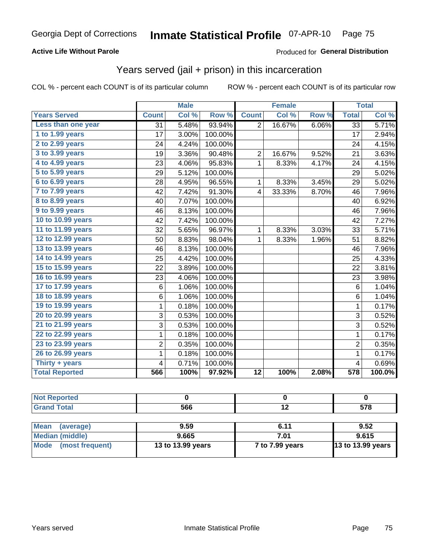## **Active Life Without Parole**

## Produced for General Distribution

## Years served (jail + prison) in this incarceration

COL % - percent each COUNT is of its particular column

|                       |                 | <b>Male</b> |         |                         | <b>Female</b>             |       |                         | <b>Total</b> |
|-----------------------|-----------------|-------------|---------|-------------------------|---------------------------|-------|-------------------------|--------------|
| <b>Years Served</b>   | <b>Count</b>    | Col %       | Row %   | <b>Count</b>            | $\overline{\text{Col 9}}$ | Row % | <b>Total</b>            | Col %        |
| Less than one year    | $\overline{31}$ | 5.48%       | 93.94%  | $\overline{2}$          | 16.67%                    | 6.06% | $\overline{33}$         | 5.71%        |
| 1 to 1.99 years       | 17              | 3.00%       | 100.00% |                         |                           |       | 17                      | 2.94%        |
| 2 to 2.99 years       | 24              | 4.24%       | 100.00% |                         |                           |       | 24                      | 4.15%        |
| 3 to 3.99 years       | 19              | 3.36%       | 90.48%  | $\overline{2}$          | 16.67%                    | 9.52% | 21                      | 3.63%        |
| 4 to 4.99 years       | 23              | 4.06%       | 95.83%  | $\mathbf 1$             | 8.33%                     | 4.17% | 24                      | 4.15%        |
| 5 to 5.99 years       | 29              | 5.12%       | 100.00% |                         |                           |       | 29                      | 5.02%        |
| 6 to 6.99 years       | 28              | 4.95%       | 96.55%  | $\mathbf{1}$            | 8.33%                     | 3.45% | 29                      | 5.02%        |
| 7 to 7.99 years       | 42              | 7.42%       | 91.30%  | $\overline{\mathbf{4}}$ | 33.33%                    | 8.70% | 46                      | 7.96%        |
| 8 to 8.99 years       | 40              | 7.07%       | 100.00% |                         |                           |       | 40                      | 6.92%        |
| 9 to 9.99 years       | 46              | 8.13%       | 100.00% |                         |                           |       | 46                      | 7.96%        |
| 10 to 10.99 years     | 42              | 7.42%       | 100.00% |                         |                           |       | 42                      | 7.27%        |
| 11 to 11.99 years     | 32              | 5.65%       | 96.97%  | 1                       | 8.33%                     | 3.03% | 33                      | 5.71%        |
| 12 to 12.99 years     | 50              | 8.83%       | 98.04%  | 1                       | 8.33%                     | 1.96% | 51                      | 8.82%        |
| 13 to 13.99 years     | 46              | 8.13%       | 100.00% |                         |                           |       | 46                      | 7.96%        |
| 14 to 14.99 years     | 25              | 4.42%       | 100.00% |                         |                           |       | 25                      | 4.33%        |
| 15 to 15.99 years     | 22              | 3.89%       | 100.00% |                         |                           |       | 22                      | 3.81%        |
| 16 to 16.99 years     | 23              | 4.06%       | 100.00% |                         |                           |       | 23                      | 3.98%        |
| 17 to 17.99 years     | 6               | 1.06%       | 100.00% |                         |                           |       | 6                       | 1.04%        |
| 18 to 18.99 years     | 6               | 1.06%       | 100.00% |                         |                           |       | $6\phantom{1}$          | 1.04%        |
| 19 to 19.99 years     | $\mathbf 1$     | 0.18%       | 100.00% |                         |                           |       | $\mathbf 1$             | 0.17%        |
| 20 to 20.99 years     | 3               | 0.53%       | 100.00% |                         |                           |       | 3                       | 0.52%        |
| 21 to 21.99 years     | 3               | 0.53%       | 100.00% |                         |                           |       | $\overline{3}$          | 0.52%        |
| 22 to 22.99 years     | $\overline{1}$  | 0.18%       | 100.00% |                         |                           |       | $\overline{1}$          | 0.17%        |
| 23 to 23.99 years     | $\overline{2}$  | 0.35%       | 100.00% |                         |                           |       | $\overline{2}$          | 0.35%        |
| 26 to 26.99 years     | $\mathbf 1$     | 0.18%       | 100.00% |                         |                           |       | $\mathbf{1}$            | 0.17%        |
| Thirty + years        | 4               | 0.71%       | 100.00% |                         |                           |       | $\overline{\mathbf{4}}$ | 0.69%        |
| <b>Total Reported</b> | 566             | 100%        | 97.92%  | $\overline{12}$         | 100%                      | 2.08% | 578                     | 100.0%       |

| <b>Not Reported</b>            |                   |                 |                          |
|--------------------------------|-------------------|-----------------|--------------------------|
| <b>Grand Total</b>             | 566               | 12              | 578                      |
|                                |                   |                 |                          |
| <b>Mean</b><br>(average)       | 9.59              | 6.11            | 9.52                     |
| <b>Median (middle)</b>         | 9.665             | 7.01            | 9.615                    |
| <b>Mode</b><br>(most frequent) | 13 to 13.99 years | 7 to 7.99 years | <b>13 to 13.99 years</b> |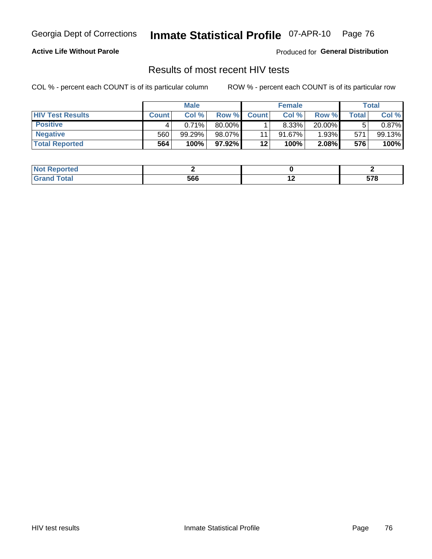Georgia Dept of Corrections

#### Inmate Statistical Profile 07-APR-10 Page 76

## **Active Life Without Parole**

Produced for General Distribution

## Results of most recent HIV tests

COL % - percent each COUNT is of its particular column

|                         |              | <b>Male</b> |        |              | <b>Female</b> |        |                    | Total  |
|-------------------------|--------------|-------------|--------|--------------|---------------|--------|--------------------|--------|
| <b>HIV Test Results</b> | <b>Count</b> | Col%        | Row %I | <b>Count</b> | Col %         | Row %  | Total <sub>I</sub> | Col %  |
| <b>Positive</b>         |              | 0.71%       | 80.00% |              | 8.33%         | 20.00% |                    | 0.87%  |
| <b>Negative</b>         | 560          | 99.29%      | 98.07% |              | $91.67\%$     | 1.93%  | 571                | 99.13% |
| <b>Total Reported</b>   | 564          | 100%        | 97.92% | $12 \,$      | 100%          | 2.08%  | 576                | 100%   |

| <b>Not Reported</b> |     |     |                    |
|---------------------|-----|-----|--------------------|
| <b>otal</b>         | 566 | . . | cyo<br><u>JI U</u> |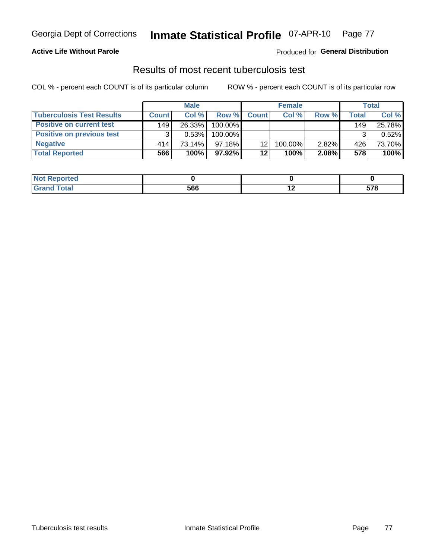#### Inmate Statistical Profile 07-APR-10 Page 77

## **Active Life Without Parole**

## **Produced for General Distribution**

## Results of most recent tuberculosis test

COL % - percent each COUNT is of its particular column

|                                  |              | <b>Male</b> |           |              | <b>Female</b> |       |                  | <b>Total</b> |
|----------------------------------|--------------|-------------|-----------|--------------|---------------|-------|------------------|--------------|
| <b>Tuberculosis Test Results</b> | <b>Count</b> | Col%        | Row %I    | <b>Count</b> | Col %         | Row % | Total            | Col %        |
| <b>Positive on current test</b>  | 149          | 26.33%      | 100.00%   |              |               |       | 149 <sub>1</sub> | 25.78%       |
| <b>Positive on previous test</b> | ◠            | 0.53%       | 100.00%   |              |               |       |                  | 0.52%        |
| <b>Negative</b>                  | 414          | 73.14%      | $97.18\%$ | 12           | 100.00%       | 2.82% | 426              | 73.70%       |
| <b>Total Reported</b>            | 566          | 100%        | $97.92\%$ | 12           | 100%          | 2.08% | 578              | 100%         |

| <b>Not Reported</b>    |     |         |
|------------------------|-----|---------|
| <b>Total</b><br>⊣Grari | 566 | <br>578 |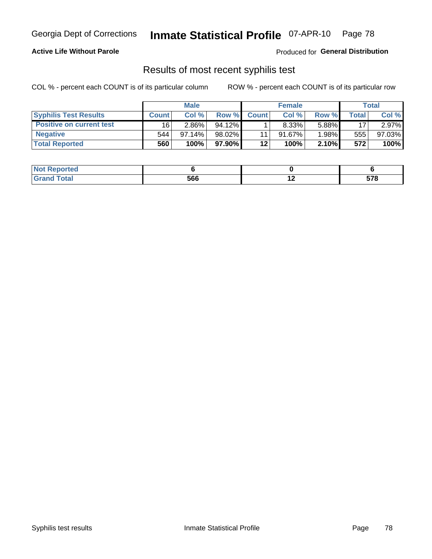#### Inmate Statistical Profile 07-APR-10 Page 78

## **Active Life Without Parole**

Produced for General Distribution

## Results of most recent syphilis test

COL % - percent each COUNT is of its particular column

|                                 |              | <b>Male</b> |           |              | <b>Female</b> |        |       | Total  |
|---------------------------------|--------------|-------------|-----------|--------------|---------------|--------|-------|--------|
| <b>Syphilis Test Results</b>    | <b>Count</b> | Col %       | Row %     | <b>Count</b> | Col %         | Row %I | Total | Col %  |
| <b>Positive on current test</b> | 16           | 2.86%       | $94.12\%$ |              | $8.33\%$      | 5.88%  | 17    | 2.97%  |
| <b>Negative</b>                 | 544          | $97.14\%$   | $98.02\%$ |              | $91.67\%$     | 1.98%  | 555   | 97.03% |
| <b>Total Reported</b>           | 560          | 100%        | 97.90%I   | 12           | 100%          | 2.10%  | 572   | 100%   |

| <b>Not Reported</b> |     |     |     |
|---------------------|-----|-----|-----|
| <b>Total</b>        | 566 | . . | E70 |